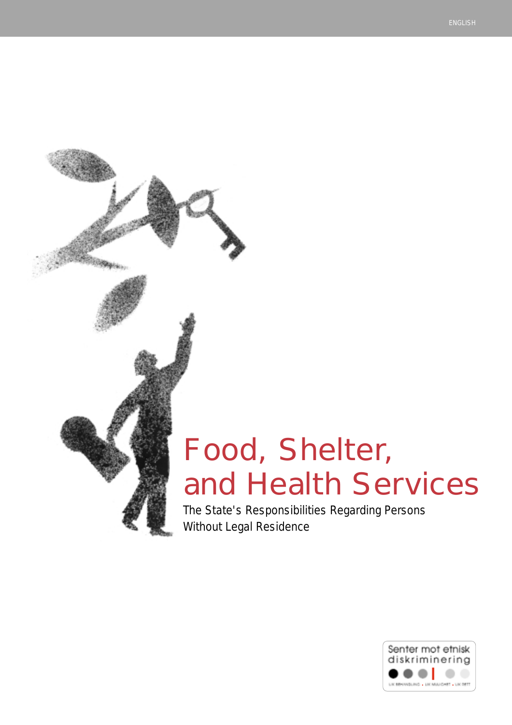# Food, Shelter, and Health Services

The State's Responsibilities Regarding Persons Without Legal Residence

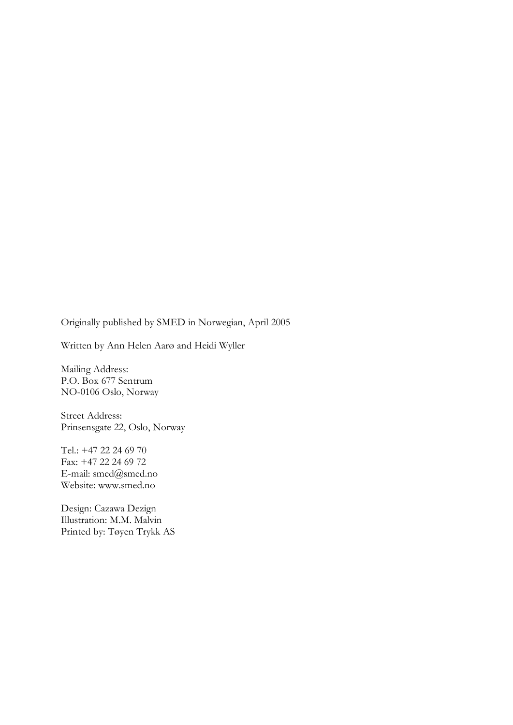Originally published by SMED in Norwegian, April 2005

Written by Ann Helen Aarø and Heidi Wyller

Mailing Address: P.O. Box 677 Sentrum NO-0106 Oslo, Norway

Street Address: Prinsensgate 22, Oslo, Norway

Tel.: +47 22 24 69 70 Fax: +47 22 24 69 72 E-mail: [smed@smed.no](mailto:smed@smed.no) Website: [www.smed.no](http://www.smed.no/)

Design: Cazawa Dezign Illustration: M.M. Malvin Printed by: Tøyen Trykk AS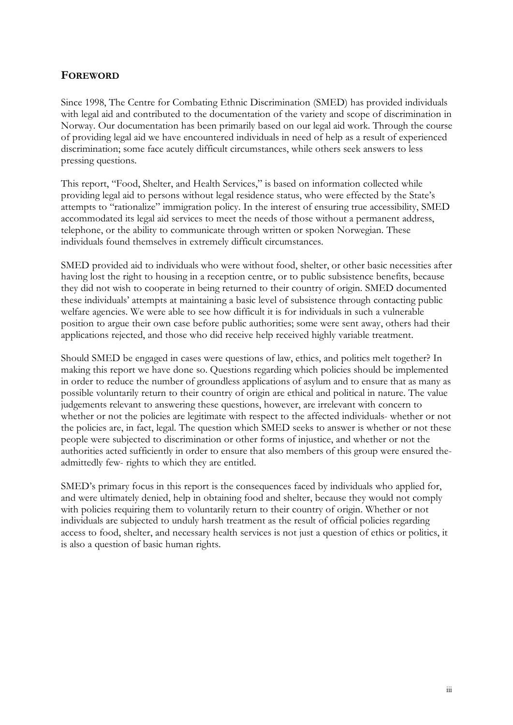#### **FOREWORD**

Since 1998, The Centre for Combating Ethnic Discrimination (SMED) has provided individuals with legal aid and contributed to the documentation of the variety and scope of discrimination in Norway. Our documentation has been primarily based on our legal aid work. Through the course of providing legal aid we have encountered individuals in need of help as a result of experienced discrimination; some face acutely difficult circumstances, while others seek answers to less pressing questions.

This report, "Food, Shelter, and Health Services," is based on information collected while providing legal aid to persons without legal residence status, who were effected by the State's attempts to "rationalize" immigration policy. In the interest of ensuring true accessibility, SMED accommodated its legal aid services to meet the needs of those without a permanent address, telephone, or the ability to communicate through written or spoken Norwegian. These individuals found themselves in extremely difficult circumstances.

SMED provided aid to individuals who were without food, shelter, or other basic necessities after having lost the right to housing in a reception centre, or to public subsistence benefits, because they did not wish to cooperate in being returned to their country of origin. SMED documented these individuals' attempts at maintaining a basic level of subsistence through contacting public welfare agencies. We were able to see how difficult it is for individuals in such a vulnerable position to argue their own case before public authorities; some were sent away, others had their applications rejected, and those who did receive help received highly variable treatment.

Should SMED be engaged in cases were questions of law, ethics, and politics melt together? In making this report we have done so. Questions regarding which policies should be implemented in order to reduce the number of groundless applications of asylum and to ensure that as many as possible voluntarily return to their country of origin are ethical and political in nature. The value judgements relevant to answering these questions, however, are irrelevant with concern to whether or not the policies are legitimate with respect to the affected individuals- whether or not the policies are, in fact, legal. The question which SMED seeks to answer is whether or not these people were subjected to discrimination or other forms of injustice, and whether or not the authorities acted sufficiently in order to ensure that also members of this group were ensured theadmittedly few- rights to which they are entitled.

SMED's primary focus in this report is the consequences faced by individuals who applied for, and were ultimately denied, help in obtaining food and shelter, because they would not comply with policies requiring them to voluntarily return to their country of origin. Whether or not individuals are subjected to unduly harsh treatment as the result of official policies regarding access to food, shelter, and necessary health services is not just a question of ethics or politics, it is also a question of basic human rights.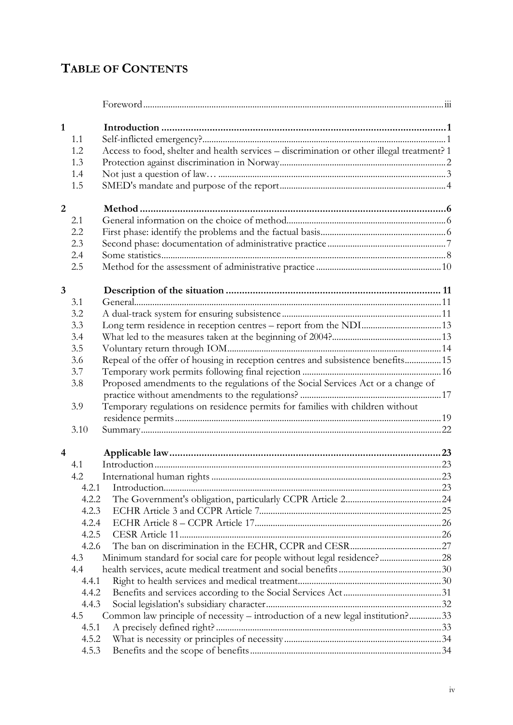# **TABLE OF CONTENTS**

| $\mathbf{1}$            |       |                                                                                            |  |
|-------------------------|-------|--------------------------------------------------------------------------------------------|--|
|                         | 1.1   |                                                                                            |  |
|                         | 1.2   | Access to food, shelter and health services - discrimination or other illegal treatment? 1 |  |
|                         | 1.3   |                                                                                            |  |
|                         | 1.4   |                                                                                            |  |
|                         | 1.5   |                                                                                            |  |
| $\overline{2}$          |       |                                                                                            |  |
|                         | 2.1   |                                                                                            |  |
|                         | 2.2   |                                                                                            |  |
|                         | 2.3   |                                                                                            |  |
|                         | 2.4   |                                                                                            |  |
|                         | 2.5   |                                                                                            |  |
|                         |       |                                                                                            |  |
| $\overline{\mathbf{3}}$ |       |                                                                                            |  |
|                         | 3.1   |                                                                                            |  |
|                         | 3.2   |                                                                                            |  |
|                         | 3.3   | Long term residence in reception centres - report from the NDI13                           |  |
|                         | 3.4   |                                                                                            |  |
|                         | 3.5   |                                                                                            |  |
|                         | 3.6   | Repeal of the offer of housing in reception centres and subsistence benefits15             |  |
|                         | 3.7   |                                                                                            |  |
|                         | 3.8   | Proposed amendments to the regulations of the Social Services Act or a change of           |  |
|                         |       |                                                                                            |  |
|                         | 3.9   | Temporary regulations on residence permits for families with children without              |  |
|                         |       |                                                                                            |  |
|                         | 3.10  |                                                                                            |  |
| $\overline{4}$          |       |                                                                                            |  |
|                         | 4.1   |                                                                                            |  |
|                         | 4.2   |                                                                                            |  |
|                         | 4.2.1 |                                                                                            |  |
|                         | 4.2.2 |                                                                                            |  |
|                         | 4.2.3 |                                                                                            |  |
|                         | 4.2.4 |                                                                                            |  |
|                         | 4.2.5 |                                                                                            |  |
|                         | 4.2.6 |                                                                                            |  |
|                         | 4.3   | Minimum standard for social care for people without legal residence?28                     |  |
|                         | 4.4   |                                                                                            |  |
|                         | 4.4.1 |                                                                                            |  |
|                         | 4.4.2 |                                                                                            |  |
|                         | 4.4.3 |                                                                                            |  |
|                         | 4.5   | Common law principle of necessity – introduction of a new legal institution?33             |  |
|                         | 4.5.1 |                                                                                            |  |
|                         | 4.5.2 |                                                                                            |  |
|                         | 4.5.3 |                                                                                            |  |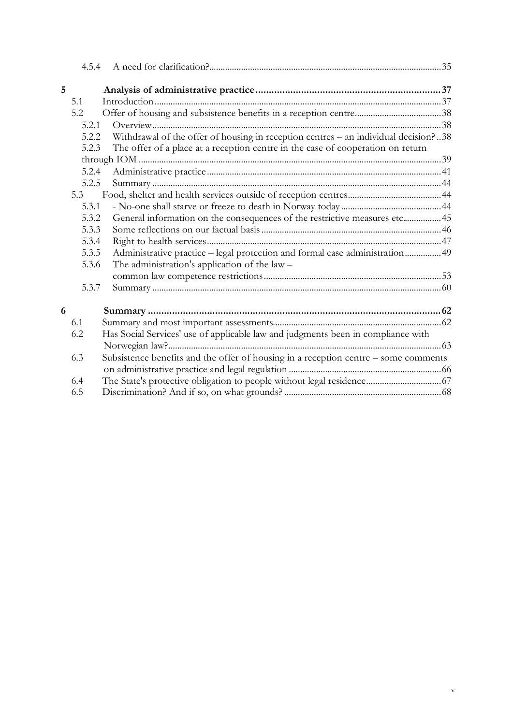| 5 |       |                                                                                      |  |
|---|-------|--------------------------------------------------------------------------------------|--|
|   | 5.1   |                                                                                      |  |
|   | 5.2   |                                                                                      |  |
|   | 5.2.1 |                                                                                      |  |
|   | 5.2.2 | Withdrawal of the offer of housing in reception centres - an individual decision? 38 |  |
|   | 5.2.3 | The offer of a place at a reception centre in the case of cooperation on return      |  |
|   |       |                                                                                      |  |
|   | 5.2.4 |                                                                                      |  |
|   | 5.2.5 |                                                                                      |  |
|   | 5.3   |                                                                                      |  |
|   | 5.3.1 |                                                                                      |  |
|   | 5.3.2 | General information on the consequences of the restrictive measures etc45            |  |
|   | 5.3.3 |                                                                                      |  |
|   | 5.3.4 |                                                                                      |  |
|   | 5.3.5 | Administrative practice - legal protection and formal case administration 49         |  |
|   | 5.3.6 | The administration's application of the law $-$                                      |  |
|   |       |                                                                                      |  |
|   | 5.3.7 |                                                                                      |  |
| 6 |       |                                                                                      |  |
|   | 6.1   |                                                                                      |  |
|   | 6.2   | Has Social Services' use of applicable law and judgments been in compliance with     |  |
|   |       |                                                                                      |  |
|   | 6.3   | Subsistence benefits and the offer of housing in a reception centre - some comments  |  |
|   |       |                                                                                      |  |
|   | 6.4   |                                                                                      |  |
|   | 6.5   |                                                                                      |  |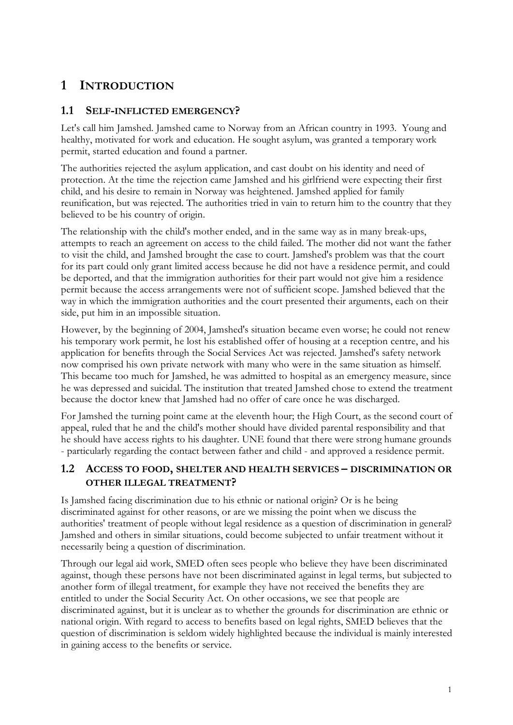# <span id="page-5-0"></span>**1 INTRODUCTION**

#### **1.1 SELF-INFLICTED EMERGENCY?**

Let's call him Jamshed. Jamshed came to Norway from an African country in 1993. Young and healthy, motivated for work and education. He sought asylum, was granted a temporary work permit, started education and found a partner.

The authorities rejected the asylum application, and cast doubt on his identity and need of protection. At the time the rejection came Jamshed and his girlfriend were expecting their first child, and his desire to remain in Norway was heightened. Jamshed applied for family reunification, but was rejected. The authorities tried in vain to return him to the country that they believed to be his country of origin.

The relationship with the child's mother ended, and in the same way as in many break-ups, attempts to reach an agreement on access to the child failed. The mother did not want the father to visit the child, and Jamshed brought the case to court. Jamshed's problem was that the court for its part could only grant limited access because he did not have a residence permit, and could be deported, and that the immigration authorities for their part would not give him a residence permit because the access arrangements were not of sufficient scope. Jamshed believed that the way in which the immigration authorities and the court presented their arguments, each on their side, put him in an impossible situation.

However, by the beginning of 2004, Jamshed's situation became even worse; he could not renew his temporary work permit, he lost his established offer of housing at a reception centre, and his application for benefits through the Social Services Act was rejected. Jamshed's safety network now comprised his own private network with many who were in the same situation as himself. This became too much for Jamshed, he was admitted to hospital as an emergency measure, since he was depressed and suicidal. The institution that treated Jamshed chose to extend the treatment because the doctor knew that Jamshed had no offer of care once he was discharged.

For Jamshed the turning point came at the eleventh hour; the High Court, as the second court of appeal, ruled that he and the child's mother should have divided parental responsibility and that he should have access rights to his daughter. UNE found that there were strong humane grounds - particularly regarding the contact between father and child - and approved a residence permit.

#### **1.2 ACCESS TO FOOD, SHELTER AND HEALTH SERVICES – DISCRIMINATION OR OTHER ILLEGAL TREATMENT?**

Is Jamshed facing discrimination due to his ethnic or national origin? Or is he being discriminated against for other reasons, or are we missing the point when we discuss the authorities' treatment of people without legal residence as a question of discrimination in general? Jamshed and others in similar situations, could become subjected to unfair treatment without it necessarily being a question of discrimination.

Through our legal aid work, SMED often sees people who believe they have been discriminated against, though these persons have not been discriminated against in legal terms, but subjected to another form of illegal treatment, for example they have not received the benefits they are entitled to under the Social Security Act. On other occasions, we see that people are discriminated against, but it is unclear as to whether the grounds for discrimination are ethnic or national origin. With regard to access to benefits based on legal rights, SMED believes that the question of discrimination is seldom widely highlighted because the individual is mainly interested in gaining access to the benefits or service.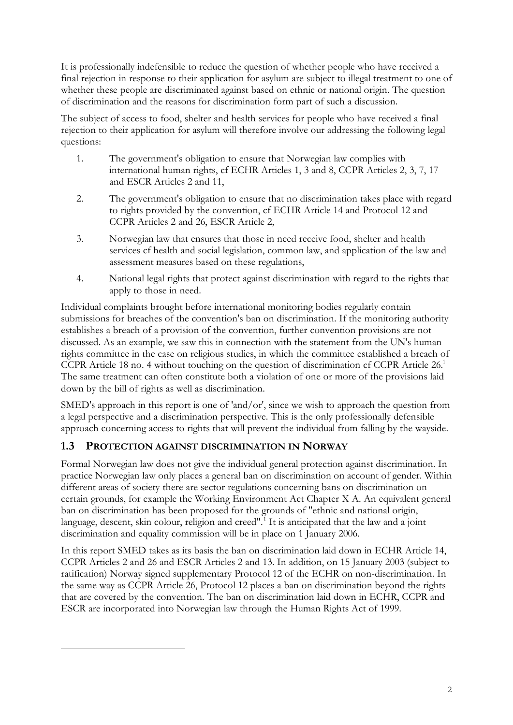<span id="page-6-0"></span>It is professionally indefensible to reduce the question of whether people who have received a final rejection in response to their application for asylum are subject to illegal treatment to one of whether these people are discriminated against based on ethnic or national origin. The question of discrimination and the reasons for discrimination form part of such a discussion.

The subject of access to food, shelter and health services for people who have received a final rejection to their application for asylum will therefore involve our addressing the following legal questions:

- 1. The government's obligation to ensure that Norwegian law complies with international human rights, cf ECHR Articles 1, 3 and 8, CCPR Articles 2, 3, 7, 17 and ESCR Articles 2 and 11,
- 2. The government's obligation to ensure that no discrimination takes place with regard to rights provided by the convention, cf ECHR Article 14 and Protocol 12 and CCPR Articles 2 and 26, ESCR Article 2,
- 3. Norwegian law that ensures that those in need receive food, shelter and health services cf health and social legislation, common law, and application of the law and assessment measures based on these regulations,
- 4. National legal rights that protect against discrimination with regard to the rights that apply to those in need.

Individual complaints brought before international monitoring bodies regularly contain submissions for breaches of the convention's ban on discrimination. If the monitoring authority establishes a breach of a provision of the convention, further convention provisions are not discussed. As an example, we saw this in connection with the statement from the UN's human rights committee in the case on religious studies, in which the committee established a breach of CCPR Article 18 no. 4 without touching on the question of discrimination cf CCPR Article 26.<sup>1</sup> The same treatment can often constitute both a violation of one or more of the provisions laid down by the bill of rights as well as discrimination.

SMED's approach in this report is one of 'and/or', since we wish to approach the question from a legal perspective and a discrimination perspective. This is the only professionally defensible approach concerning access to rights that will prevent the individual from falling by the wayside.

#### **1.3 PROTECTION AGAINST DISCRIMINATION IN NORWAY**

 $\overline{a}$ 

Formal Norwegian law does not give the individual general protection against discrimination. In practice Norwegian law only places a general ban on discrimination on account of gender. Within different areas of society there are sector regulations concerning bans on discrimination on certain grounds, for example the Working Environment Act Chapter X A. An equivalent general ban on discrimination has been proposed for the grounds of "ethnic and national origin, language, descent, skin colour, religion and creed".<sup>1</sup> It is anticipated that the law and a joint discrimination and equality commission will be in place on 1 January 2006.

In this report SMED takes as its basis the ban on discrimination laid down in ECHR Article 14, CCPR Articles 2 and 26 and ESCR Articles 2 and 13. In addition, on 15 January 2003 (subject to ratification) Norway signed supplementary Protocol 12 of the ECHR on non-discrimination. In the same way as CCPR Article 26, Protocol 12 places a ban on discrimination beyond the rights that are covered by the convention. The ban on discrimination laid down in ECHR, CCPR and ESCR are incorporated into Norwegian law through the Human Rights Act of 1999.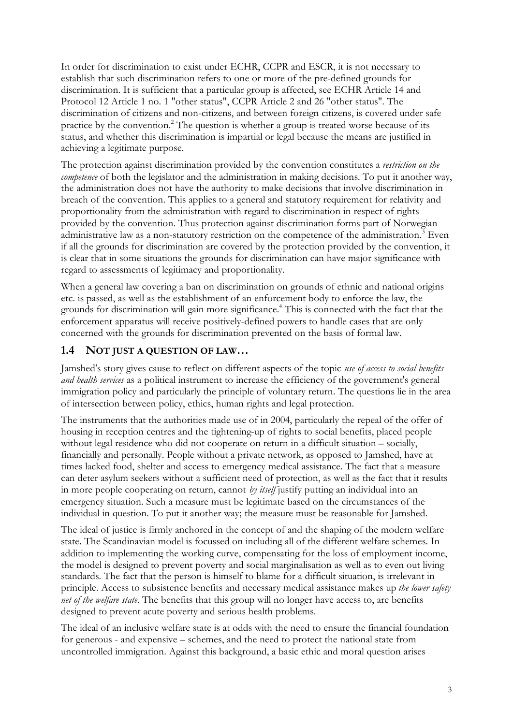<span id="page-7-0"></span>In order for discrimination to exist under ECHR, CCPR and ESCR, it is not necessary to establish that such discrimination refers to one or more of the pre-defined grounds for discrimination. It is sufficient that a particular group is affected, see ECHR Article 14 and Protocol 12 Article 1 no. 1 "other status", CCPR Article 2 and 26 "other status". The discrimination of citizens and non-citizens, and between foreign citizens, is covered under safe practice by the convention.<sup>2</sup> The question is whether a group is treated worse because of its status, and whether this discrimination is impartial or legal because the means are justified in achieving a legitimate purpose.

The protection against discrimination provided by the convention constitutes a *restriction on the competence* of both the legislator and the administration in making decisions. To put it another way, the administration does not have the authority to make decisions that involve discrimination in breach of the convention. This applies to a general and statutory requirement for relativity and proportionality from the administration with regard to discrimination in respect of rights provided by the convention. Thus protection against discrimination forms part of Norwegian administrative law as a non-statutory restriction on the competence of the administration.<sup>3</sup> Even if all the grounds for discrimination are covered by the protection provided by the convention, it is clear that in some situations the grounds for discrimination can have major significance with regard to assessments of legitimacy and proportionality.

When a general law covering a ban on discrimination on grounds of ethnic and national origins etc. is passed, as well as the establishment of an enforcement body to enforce the law, the grounds for discrimination will gain more significance.<sup>4</sup> This is connected with the fact that the enforcement apparatus will receive positively-defined powers to handle cases that are only concerned with the grounds for discrimination prevented on the basis of formal law.

#### **1.4 NOT JUST A QUESTION OF LAW…**

Jamshed's story gives cause to reflect on different aspects of the topic *use of access to social benefits and health services* as a political instrument to increase the efficiency of the government's general immigration policy and particularly the principle of voluntary return. The questions lie in the area of intersection between policy, ethics, human rights and legal protection.

The instruments that the authorities made use of in 2004, particularly the repeal of the offer of housing in reception centres and the tightening-up of rights to social benefits, placed people without legal residence who did not cooperate on return in a difficult situation – socially, financially and personally. People without a private network, as opposed to Jamshed, have at times lacked food, shelter and access to emergency medical assistance. The fact that a measure can deter asylum seekers without a sufficient need of protection, as well as the fact that it results in more people cooperating on return, cannot *by itself* justify putting an individual into an emergency situation. Such a measure must be legitimate based on the circumstances of the individual in question. To put it another way; the measure must be reasonable for Jamshed.

The ideal of justice is firmly anchored in the concept of and the shaping of the modern welfare state. The Scandinavian model is focussed on including all of the different welfare schemes. In addition to implementing the working curve, compensating for the loss of employment income, the model is designed to prevent poverty and social marginalisation as well as to even out living standards. The fact that the person is himself to blame for a difficult situation, is irrelevant in principle. Access to subsistence benefits and necessary medical assistance makes up *the lower safety net of the welfare state*. The benefits that this group will no longer have access to, are benefits designed to prevent acute poverty and serious health problems.

The ideal of an inclusive welfare state is at odds with the need to ensure the financial foundation for generous - and expensive – schemes, and the need to protect the national state from uncontrolled immigration. Against this background, a basic ethic and moral question arises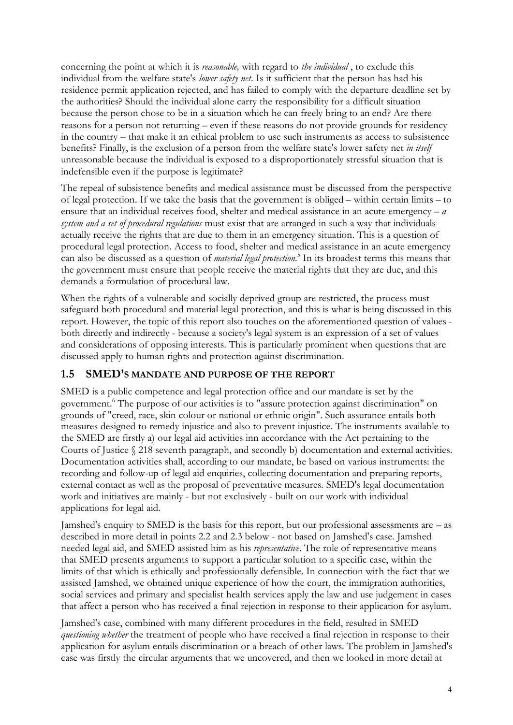<span id="page-8-0"></span>concerning the point at which it is *reasonable,* with regard to *the individual* , to exclude this individual from the welfare state's *lower safety net*. Is it sufficient that the person has had his residence permit application rejected, and has failed to comply with the departure deadline set by the authorities? Should the individual alone carry the responsibility for a difficult situation because the person chose to be in a situation which he can freely bring to an end? Are there reasons for a person not returning – even if these reasons do not provide grounds for residency in the country – that make it an ethical problem to use such instruments as access to subsistence benefits? Finally, is the exclusion of a person from the welfare state's lower safety net *in itself* unreasonable because the individual is exposed to a disproportionately stressful situation that is indefensible even if the purpose is legitimate?

The repeal of subsistence benefits and medical assistance must be discussed from the perspective of legal protection. If we take the basis that the government is obliged – within certain limits – to ensure that an individual receives food, shelter and medical assistance in an acute emergency – *a system and a set of procedural regulations* must exist that are arranged in such a way that individuals actually receive the rights that are due to them in an emergency situation. This is a question of procedural legal protection. Access to food, shelter and medical assistance in an acute emergency can also be discussed as a question of *material legal protection*. 5 In its broadest terms this means that the government must ensure that people receive the material rights that they are due, and this demands a formulation of procedural law.

When the rights of a vulnerable and socially deprived group are restricted, the process must safeguard both procedural and material legal protection, and this is what is being discussed in this report. However, the topic of this report also touches on the aforementioned question of values both directly and indirectly - because a society's legal system is an expression of a set of values and considerations of opposing interests. This is particularly prominent when questions that are discussed apply to human rights and protection against discrimination.

#### **1.5 SMED'S MANDATE AND PURPOSE OF THE REPORT**

SMED is a public competence and legal protection office and our mandate is set by the government.<sup>6</sup> The purpose of our activities is to "assure protection against discrimination" on grounds of "creed, race, skin colour or national or ethnic origin". Such assurance entails both measures designed to remedy injustice and also to prevent injustice. The instruments available to the SMED are firstly a) our legal aid activities inn accordance with the Act pertaining to the Courts of Justice § 218 seventh paragraph, and secondly b) documentation and external activities. Documentation activities shall, according to our mandate, be based on various instruments: the recording and follow-up of legal aid enquiries, collecting documentation and preparing reports, external contact as well as the proposal of preventative measures. SMED's legal documentation work and initiatives are mainly - but not exclusively - built on our work with individual applications for legal aid.

Jamshed's enquiry to SMED is the basis for this report, but our professional assessments are – as described in more detail in points 2.2 and 2.3 below - not based on Jamshed's case. Jamshed needed legal aid, and SMED assisted him as his *representative*. The role of representative means that SMED presents arguments to support a particular solution to a specific case, within the limits of that which is ethically and professionally defensible. In connection with the fact that we assisted Jamshed, we obtained unique experience of how the court, the immigration authorities, social services and primary and specialist health services apply the law and use judgement in cases that affect a person who has received a final rejection in response to their application for asylum.

Jamshed's case, combined with many different procedures in the field, resulted in SMED *questioning whether* the treatment of people who have received a final rejection in response to their application for asylum entails discrimination or a breach of other laws. The problem in Jamshed's case was firstly the circular arguments that we uncovered, and then we looked in more detail at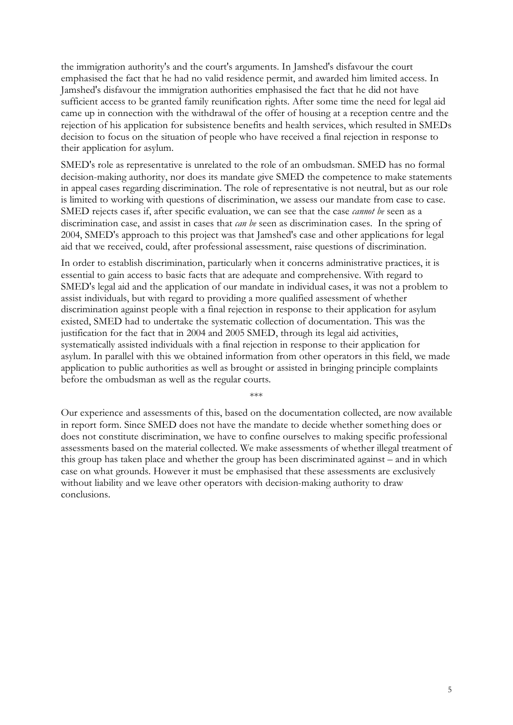the immigration authority's and the court's arguments. In Jamshed's disfavour the court emphasised the fact that he had no valid residence permit, and awarded him limited access. In Jamshed's disfavour the immigration authorities emphasised the fact that he did not have sufficient access to be granted family reunification rights. After some time the need for legal aid came up in connection with the withdrawal of the offer of housing at a reception centre and the rejection of his application for subsistence benefits and health services, which resulted in SMEDs decision to focus on the situation of people who have received a final rejection in response to their application for asylum.

SMED's role as representative is unrelated to the role of an ombudsman. SMED has no formal decision-making authority, nor does its mandate give SMED the competence to make statements in appeal cases regarding discrimination. The role of representative is not neutral, but as our role is limited to working with questions of discrimination, we assess our mandate from case to case. SMED rejects cases if, after specific evaluation, we can see that the case *cannot be* seen as a discrimination case, and assist in cases that *can be* seen as discrimination cases. In the spring of 2004, SMED's approach to this project was that Jamshed's case and other applications for legal aid that we received, could, after professional assessment, raise questions of discrimination.

In order to establish discrimination, particularly when it concerns administrative practices, it is essential to gain access to basic facts that are adequate and comprehensive. With regard to SMED's legal aid and the application of our mandate in individual cases, it was not a problem to assist individuals, but with regard to providing a more qualified assessment of whether discrimination against people with a final rejection in response to their application for asylum existed, SMED had to undertake the systematic collection of documentation. This was the justification for the fact that in 2004 and 2005 SMED, through its legal aid activities, systematically assisted individuals with a final rejection in response to their application for asylum. In parallel with this we obtained information from other operators in this field, we made application to public authorities as well as brought or assisted in bringing principle complaints before the ombudsman as well as the regular courts.

Our experience and assessments of this, based on the documentation collected, are now available in report form. Since SMED does not have the mandate to decide whether something does or does not constitute discrimination, we have to confine ourselves to making specific professional assessments based on the material collected. We make assessments of whether illegal treatment of this group has taken place and whether the group has been discriminated against – and in which case on what grounds. However it must be emphasised that these assessments are exclusively without liability and we leave other operators with decision-making authority to draw conclusions.

\*\*\*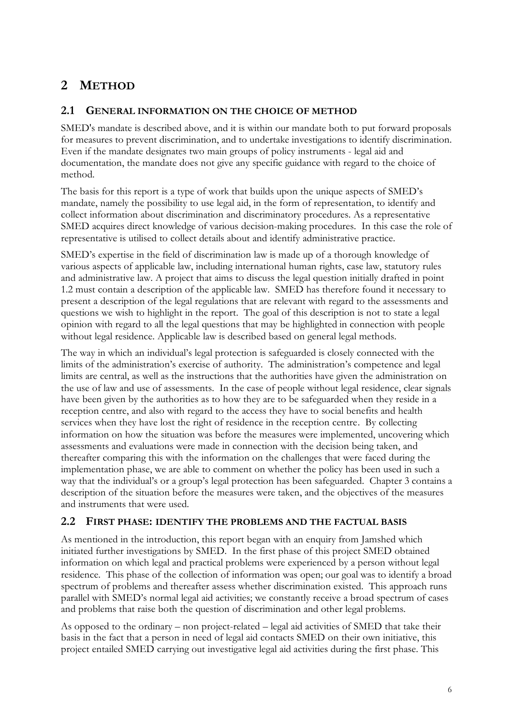# <span id="page-10-0"></span>**2 METHOD**

#### **2.1 GENERAL INFORMATION ON THE CHOICE OF METHOD**

SMED's mandate is described above, and it is within our mandate both to put forward proposals for measures to prevent discrimination, and to undertake investigations to identify discrimination. Even if the mandate designates two main groups of policy instruments - legal aid and documentation, the mandate does not give any specific guidance with regard to the choice of method.

The basis for this report is a type of work that builds upon the unique aspects of SMED's mandate, namely the possibility to use legal aid, in the form of representation, to identify and collect information about discrimination and discriminatory procedures. As a representative SMED acquires direct knowledge of various decision-making procedures. In this case the role of representative is utilised to collect details about and identify administrative practice.

SMED's expertise in the field of discrimination law is made up of a thorough knowledge of various aspects of applicable law, including international human rights, case law, statutory rules and administrative law. A project that aims to discuss the legal question initially drafted in point 1.2 must contain a description of the applicable law. SMED has therefore found it necessary to present a description of the legal regulations that are relevant with regard to the assessments and questions we wish to highlight in the report. The goal of this description is not to state a legal opinion with regard to all the legal questions that may be highlighted in connection with people without legal residence. Applicable law is described based on general legal methods.

The way in which an individual's legal protection is safeguarded is closely connected with the limits of the administration's exercise of authority. The administration's competence and legal limits are central, as well as the instructions that the authorities have given the administration on the use of law and use of assessments. In the case of people without legal residence, clear signals have been given by the authorities as to how they are to be safeguarded when they reside in a reception centre, and also with regard to the access they have to social benefits and health services when they have lost the right of residence in the reception centre. By collecting information on how the situation was before the measures were implemented, uncovering which assessments and evaluations were made in connection with the decision being taken, and thereafter comparing this with the information on the challenges that were faced during the implementation phase, we are able to comment on whether the policy has been used in such a way that the individual's or a group's legal protection has been safeguarded. Chapter 3 contains a description of the situation before the measures were taken, and the objectives of the measures and instruments that were used.

#### **2.2 FIRST PHASE: IDENTIFY THE PROBLEMS AND THE FACTUAL BASIS**

As mentioned in the introduction, this report began with an enquiry from Jamshed which initiated further investigations by SMED. In the first phase of this project SMED obtained information on which legal and practical problems were experienced by a person without legal residence. This phase of the collection of information was open; our goal was to identify a broad spectrum of problems and thereafter assess whether discrimination existed. This approach runs parallel with SMED's normal legal aid activities; we constantly receive a broad spectrum of cases and problems that raise both the question of discrimination and other legal problems.

As opposed to the ordinary – non project-related – legal aid activities of SMED that take their basis in the fact that a person in need of legal aid contacts SMED on their own initiative, this project entailed SMED carrying out investigative legal aid activities during the first phase. This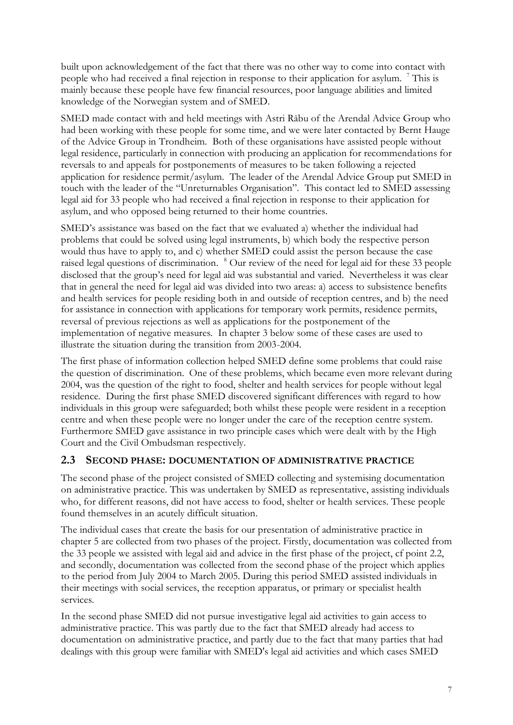<span id="page-11-0"></span>built upon acknowledgement of the fact that there was no other way to come into contact with people who had received a final rejection in response to their application for asylum. <sup>7</sup> This is mainly because these people have few financial resources, poor language abilities and limited knowledge of the Norwegian system and of SMED.

SMED made contact with and held meetings with Astri Råbu of the Arendal Advice Group who had been working with these people for some time, and we were later contacted by Bernt Hauge of the Advice Group in Trondheim. Both of these organisations have assisted people without legal residence, particularly in connection with producing an application for recommendations for reversals to and appeals for postponements of measures to be taken following a rejected application for residence permit/asylum. The leader of the Arendal Advice Group put SMED in touch with the leader of the "Unreturnables Organisation". This contact led to SMED assessing legal aid for 33 people who had received a final rejection in response to their application for asylum, and who opposed being returned to their home countries.

SMED's assistance was based on the fact that we evaluated a) whether the individual had problems that could be solved using legal instruments, b) which body the respective person would thus have to apply to, and c) whether SMED could assist the person because the case raised legal questions of discrimination. <sup>8</sup> Our review of the need for legal aid for these 33 people disclosed that the group's need for legal aid was substantial and varied. Nevertheless it was clear that in general the need for legal aid was divided into two areas: a) access to subsistence benefits and health services for people residing both in and outside of reception centres, and b) the need for assistance in connection with applications for temporary work permits, residence permits, reversal of previous rejections as well as applications for the postponement of the implementation of negative measures. In chapter 3 below some of these cases are used to illustrate the situation during the transition from 2003-2004.

The first phase of information collection helped SMED define some problems that could raise the question of discrimination. One of these problems, which became even more relevant during 2004, was the question of the right to food, shelter and health services for people without legal residence. During the first phase SMED discovered significant differences with regard to how individuals in this group were safeguarded; both whilst these people were resident in a reception centre and when these people were no longer under the care of the reception centre system. Furthermore SMED gave assistance in two principle cases which were dealt with by the High Court and the Civil Ombudsman respectively.

#### **2.3 SECOND PHASE: DOCUMENTATION OF ADMINISTRATIVE PRACTICE**

The second phase of the project consisted of SMED collecting and systemising documentation on administrative practice. This was undertaken by SMED as representative, assisting individuals who, for different reasons, did not have access to food, shelter or health services. These people found themselves in an acutely difficult situation.

The individual cases that create the basis for our presentation of administrative practice in chapter 5 are collected from two phases of the project. Firstly, documentation was collected from the 33 people we assisted with legal aid and advice in the first phase of the project, cf point 2.2, and secondly, documentation was collected from the second phase of the project which applies to the period from July 2004 to March 2005. During this period SMED assisted individuals in their meetings with social services, the reception apparatus, or primary or specialist health services.

In the second phase SMED did not pursue investigative legal aid activities to gain access to administrative practice. This was partly due to the fact that SMED already had access to documentation on administrative practice, and partly due to the fact that many parties that had dealings with this group were familiar with SMED's legal aid activities and which cases SMED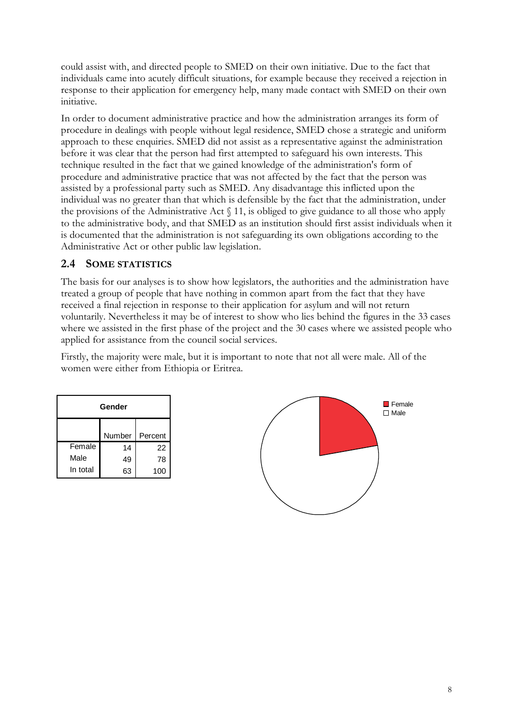<span id="page-12-0"></span>could assist with, and directed people to SMED on their own initiative. Due to the fact that individuals came into acutely difficult situations, for example because they received a rejection in response to their application for emergency help, many made contact with SMED on their own initiative.

In order to document administrative practice and how the administration arranges its form of procedure in dealings with people without legal residence, SMED chose a strategic and uniform approach to these enquiries. SMED did not assist as a representative against the administration before it was clear that the person had first attempted to safeguard his own interests. This technique resulted in the fact that we gained knowledge of the administration's form of procedure and administrative practice that was not affected by the fact that the person was assisted by a professional party such as SMED. Any disadvantage this inflicted upon the individual was no greater than that which is defensible by the fact that the administration, under the provisions of the Administrative Act § 11, is obliged to give guidance to all those who apply to the administrative body, and that SMED as an institution should first assist individuals when it is documented that the administration is not safeguarding its own obligations according to the Administrative Act or other public law legislation.

#### **2.4 SOME STATISTICS**

The basis for our analyses is to show how legislators, the authorities and the administration have treated a group of people that have nothing in common apart from the fact that they have received a final rejection in response to their application for asylum and will not return voluntarily. Nevertheless it may be of interest to show who lies behind the figures in the 33 cases where we assisted in the first phase of the project and the 30 cases where we assisted people who applied for assistance from the council social services.

Firstly, the majority were male, but it is important to note that not all were male. All of the women were either from Ethiopia or Eritrea.

| Gender   |        |         |  |
|----------|--------|---------|--|
|          | Number | Percent |  |
| Female   | 14     | 22      |  |
| Male     | 49     | 78      |  |
| In total | 63     | 100     |  |

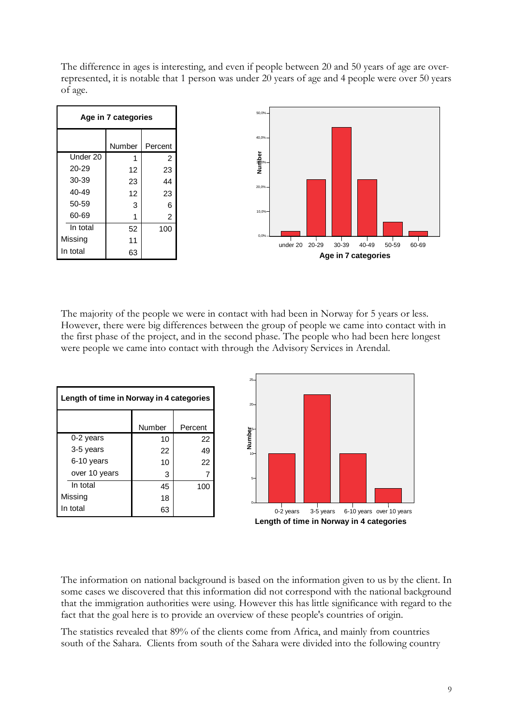The difference in ages is interesting, and even if people between 20 and 50 years of age are overrepresented, it is notable that 1 person was under 20 years of age and 4 people were over 50 years of age.



The majority of the people we were in contact with had been in Norway for 5 years or less. However, there were big differences between the group of people we came into contact with in the first phase of the project, and in the second phase. The people who had been here longest were people we came into contact with through the Advisory Services in Arendal.

|                                          |               |         | $25 -$   |           |           |                                          |
|------------------------------------------|---------------|---------|----------|-----------|-----------|------------------------------------------|
| Length of time in Norway in 4 categories |               |         | $20 -$   |           |           |                                          |
|                                          | <b>Number</b> | Percent |          |           |           |                                          |
| 0-2 years                                | 10            | 22      | Number   |           |           |                                          |
| 3-5 years                                | 22            | 49      | $10 -$   |           |           |                                          |
| 6-10 years                               | 10            | 22      |          |           |           |                                          |
| over 10 years                            | 3             |         | $5-$     |           |           |                                          |
| In total                                 | 45            | 100     |          |           |           |                                          |
| Missing                                  | 18            |         | $\Omega$ |           |           |                                          |
| In total                                 | 63            |         |          | 0-2 years | 3-5 years | 6-10 years over 10 years                 |
|                                          |               |         |          |           |           | Length of time in Norway in 4 categories |

The information on national background is based on the information given to us by the client. In some cases we discovered that this information did not correspond with the national background that the immigration authorities were using. However this has little significance with regard to the fact that the goal here is to provide an overview of these people's countries of origin.

The statistics revealed that 89% of the clients come from Africa, and mainly from countries south of the Sahara. Clients from south of the Sahara were divided into the following country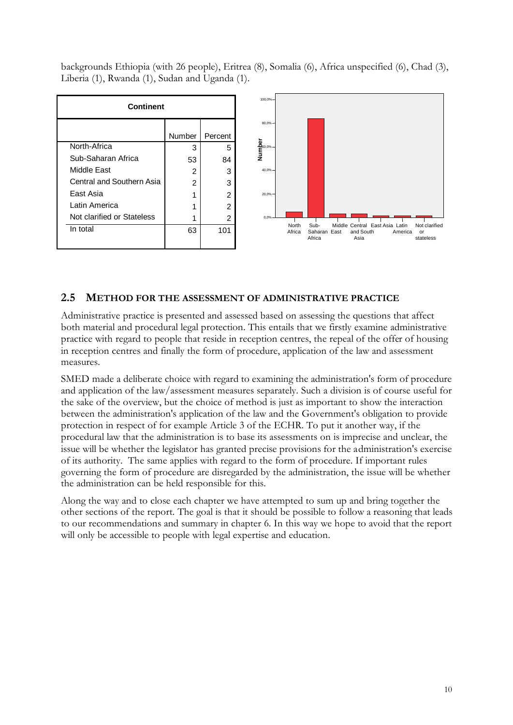<span id="page-14-0"></span>backgrounds Ethiopia (with 26 people), Eritrea (8), Somalia (6), Africa unspecified (6), Chad (3), Liberia (1), Rwanda (1), Sudan and Uganda (1).



#### **2.5 METHOD FOR THE ASSESSMENT OF ADMINISTRATIVE PRACTICE**

Administrative practice is presented and assessed based on assessing the questions that affect both material and procedural legal protection. This entails that we firstly examine administrative practice with regard to people that reside in reception centres, the repeal of the offer of housing in reception centres and finally the form of procedure, application of the law and assessment measures.

SMED made a deliberate choice with regard to examining the administration's form of procedure and application of the law/assessment measures separately. Such a division is of course useful for the sake of the overview, but the choice of method is just as important to show the interaction between the administration's application of the law and the Government's obligation to provide protection in respect of for example Article 3 of the ECHR. To put it another way, if the procedural law that the administration is to base its assessments on is imprecise and unclear, the issue will be whether the legislator has granted precise provisions for the administration's exercise of its authority. The same applies with regard to the form of procedure. If important rules governing the form of procedure are disregarded by the administration, the issue will be whether the administration can be held responsible for this.

Along the way and to close each chapter we have attempted to sum up and bring together the other sections of the report. The goal is that it should be possible to follow a reasoning that leads to our recommendations and summary in chapter 6. In this way we hope to avoid that the report will only be accessible to people with legal expertise and education.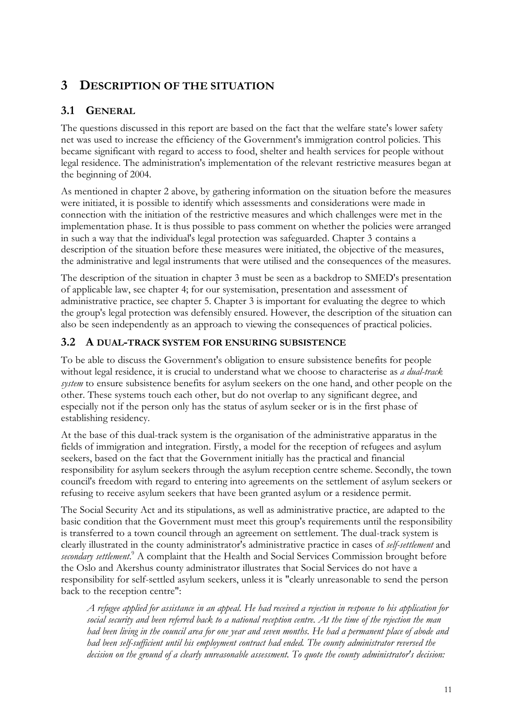# <span id="page-15-0"></span>**3 DESCRIPTION OF THE SITUATION**

### **3.1 GENERAL**

The questions discussed in this report are based on the fact that the welfare state's lower safety net was used to increase the efficiency of the Government's immigration control policies. This became significant with regard to access to food, shelter and health services for people without legal residence. The administration's implementation of the relevant restrictive measures began at the beginning of 2004.

As mentioned in chapter 2 above, by gathering information on the situation before the measures were initiated, it is possible to identify which assessments and considerations were made in connection with the initiation of the restrictive measures and which challenges were met in the implementation phase. It is thus possible to pass comment on whether the policies were arranged in such a way that the individual's legal protection was safeguarded. Chapter 3 contains a description of the situation before these measures were initiated, the objective of the measures, the administrative and legal instruments that were utilised and the consequences of the measures.

The description of the situation in chapter 3 must be seen as a backdrop to SMED's presentation of applicable law, see chapter 4; for our systemisation, presentation and assessment of administrative practice, see chapter 5. Chapter 3 is important for evaluating the degree to which the group's legal protection was defensibly ensured. However, the description of the situation can also be seen independently as an approach to viewing the consequences of practical policies.

#### **3.2 A DUAL-TRACK SYSTEM FOR ENSURING SUBSISTENCE**

To be able to discuss the Government's obligation to ensure subsistence benefits for people without legal residence, it is crucial to understand what we choose to characterise as *a dual-track system* to ensure subsistence benefits for asylum seekers on the one hand, and other people on the other. These systems touch each other, but do not overlap to any significant degree, and especially not if the person only has the status of asylum seeker or is in the first phase of establishing residency.

At the base of this dual-track system is the organisation of the administrative apparatus in the fields of immigration and integration. Firstly, a model for the reception of refugees and asylum seekers, based on the fact that the Government initially has the practical and financial responsibility for asylum seekers through the asylum reception centre scheme. Secondly, the town council's freedom with regard to entering into agreements on the settlement of asylum seekers or refusing to receive asylum seekers that have been granted asylum or a residence permit.

The Social Security Act and its stipulations, as well as administrative practice, are adapted to the basic condition that the Government must meet this group's requirements until the responsibility is transferred to a town council through an agreement on settlement. The dual-track system is clearly illustrated in the county administrator's administrative practice in cases of *self-settlement* and secondary settlement.<sup>9</sup> A complaint that the Health and Social Services Commission brought before the Oslo and Akershus county administrator illustrates that Social Services do not have a responsibility for self-settled asylum seekers, unless it is "clearly unreasonable to send the person back to the reception centre":

*A refugee applied for assistance in an appeal. He had received a rejection in response to his application for social security and been referred back to a national reception centre. At the time of the rejection the man had been living in the council area for one year and seven months. He had a permanent place of abode and had been self-sufficient until his employment contract had ended. The county administrator reversed the decision on the ground of a clearly unreasonable assessment. To quote the county administrator's decision:*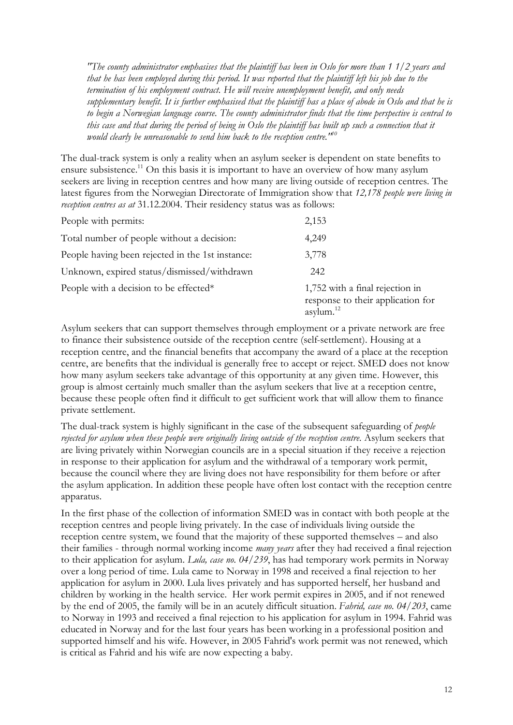*"The county administrator emphasises that the plaintiff has been in Oslo for more than 1 1/2 years and that he has been employed during this period. It was reported that the plaintiff left his job due to the termination of his employment contract. He will receive unemployment benefit, and only needs supplementary benefit. It is further emphasised that the plaintiff has a place of abode in Oslo and that he is to begin a Norwegian language course. The county administrator finds that the time perspective is central to this case and that during the period of being in Oslo the plaintiff has built up such a connection that it would clearly be unreasonable to send him back to the reception centre."<sup>10</sup>*

The dual-track system is only a reality when an asylum seeker is dependent on state benefits to ensure subsistence.<sup>11</sup> On this basis it is important to have an overview of how many asylum seekers are living in reception centres and how many are living outside of reception centres. The latest figures from the Norwegian Directorate of Immigration show that *12,178 people were living in reception centres as at* 31.12.2004. Their residency status was as follows:

| People with permits:                             | 2,153                                                                                   |
|--------------------------------------------------|-----------------------------------------------------------------------------------------|
| Total number of people without a decision:       | 4,249                                                                                   |
| People having been rejected in the 1st instance: | 3,778                                                                                   |
| Unknown, expired status/dismissed/withdrawn      | 242                                                                                     |
| People with a decision to be effected*           | 1,752 with a final rejection in<br>response to their application for<br>asylum. $^{12}$ |

Asylum seekers that can support themselves through employment or a private network are free to finance their subsistence outside of the reception centre (self-settlement). Housing at a reception centre, and the financial benefits that accompany the award of a place at the reception centre, are benefits that the individual is generally free to accept or reject. SMED does not know how many asylum seekers take advantage of this opportunity at any given time. However, this group is almost certainly much smaller than the asylum seekers that live at a reception centre, because these people often find it difficult to get sufficient work that will allow them to finance private settlement.

The dual-track system is highly significant in the case of the subsequent safeguarding of *people rejected for asylum when these people were originally living outside of the reception centre.* Asylum seekers that are living privately within Norwegian councils are in a special situation if they receive a rejection in response to their application for asylum and the withdrawal of a temporary work permit, because the council where they are living does not have responsibility for them before or after the asylum application. In addition these people have often lost contact with the reception centre apparatus.

In the first phase of the collection of information SMED was in contact with both people at the reception centres and people living privately. In the case of individuals living outside the reception centre system, we found that the majority of these supported themselves – and also their families - through normal working income *many years* after they had received a final rejection to their application for asylum. *Lula, case no. 04/239*, has had temporary work permits in Norway over a long period of time. Lula came to Norway in 1998 and received a final rejection to her application for asylum in 2000. Lula lives privately and has supported herself, her husband and children by working in the health service. Her work permit expires in 2005, and if not renewed by the end of 2005, the family will be in an acutely difficult situation. *Fahrid, case no. 04/203*, came to Norway in 1993 and received a final rejection to his application for asylum in 1994. Fahrid was educated in Norway and for the last four years has been working in a professional position and supported himself and his wife. However, in 2005 Fahrid's work permit was not renewed, which is critical as Fahrid and his wife are now expecting a baby.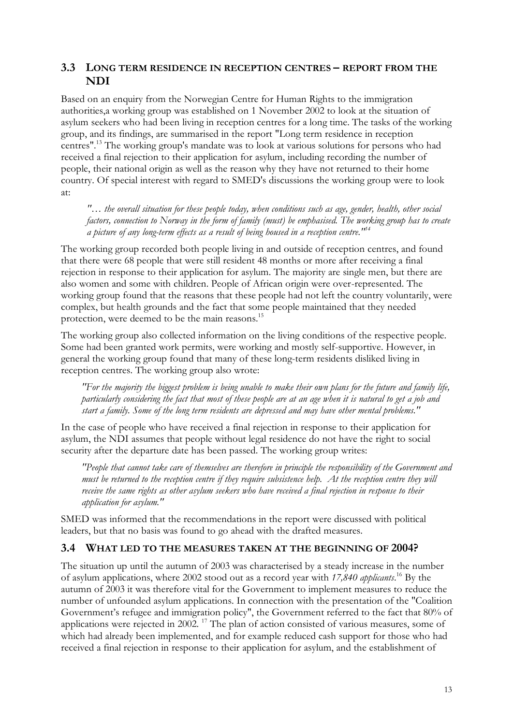#### <span id="page-17-0"></span>**3.3 LONG TERM RESIDENCE IN RECEPTION CENTRES – REPORT FROM THE NDI**

Based on an enquiry from the Norwegian Centre for Human Rights to the immigration authorities,a working group was established on 1 November 2002 to look at the situation of asylum seekers who had been living in reception centres for a long time. The tasks of the working group, and its findings, are summarised in the report "Long term residence in reception centres".<sup>13</sup> The working group's mandate was to look at various solutions for persons who had received a final rejection to their application for asylum, including recording the number of people, their national origin as well as the reason why they have not returned to their home country. Of special interest with regard to SMED's discussions the working group were to look at:

*"… the overall situation for these people today, when conditions such as age, gender, health, other social factors, connection to Norway in the form of family (must) be emphasised. The working group has to create a picture of any long-term effects as a result of being housed in a reception centre."<sup>14</sup>*

The working group recorded both people living in and outside of reception centres, and found that there were 68 people that were still resident 48 months or more after receiving a final rejection in response to their application for asylum. The majority are single men, but there are also women and some with children. People of African origin were over-represented. The working group found that the reasons that these people had not left the country voluntarily, were complex, but health grounds and the fact that some people maintained that they needed protection, were deemed to be the main reasons.<sup>15</sup>

The working group also collected information on the living conditions of the respective people. Some had been granted work permits, were working and mostly self-supportive. However, in general the working group found that many of these long-term residents disliked living in reception centres. The working group also wrote:

*"For the majority the biggest problem is being unable to make their own plans for the future and family life, particularly considering the fact that most of these people are at an age when it is natural to get a job and start a family. Some of the long term residents are depressed and may have other mental problems."*

In the case of people who have received a final rejection in response to their application for asylum, the NDI assumes that people without legal residence do not have the right to social security after the departure date has been passed. The working group writes:

*"People that cannot take care of themselves are therefore in principle the responsibility of the Government and must be returned to the reception centre if they require subsistence help. At the reception centre they will receive the same rights as other asylum seekers who have received a final rejection in response to their application for asylum."*

SMED was informed that the recommendations in the report were discussed with political leaders, but that no basis was found to go ahead with the drafted measures.

#### **3.4 WHAT LED TO THE MEASURES TAKEN AT THE BEGINNING OF 2004?**

The situation up until the autumn of 2003 was characterised by a steady increase in the number of asylum applications, where 2002 stood out as a record year with *17,840 applicants*. <sup>16</sup> By the autumn of 2003 it was therefore vital for the Government to implement measures to reduce the number of unfounded asylum applications. In connection with the presentation of the "Coalition Government's refugee and immigration policy", the Government referred to the fact that 80% of applications were rejected in 2002.<sup>17</sup> The plan of action consisted of various measures, some of which had already been implemented, and for example reduced cash support for those who had received a final rejection in response to their application for asylum, and the establishment of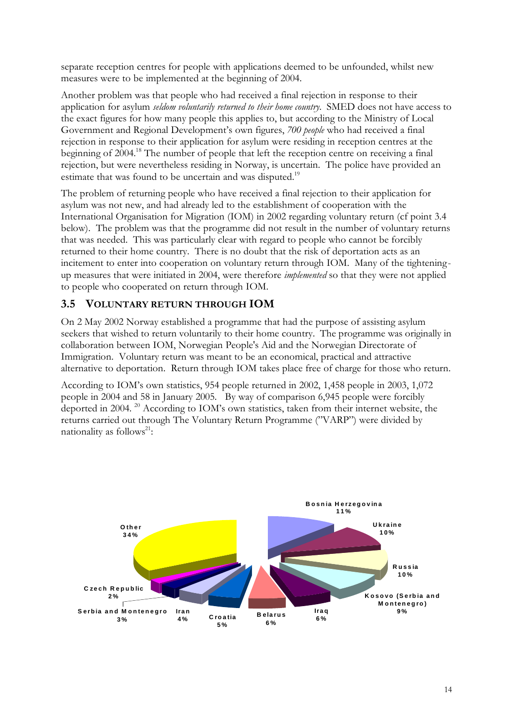<span id="page-18-0"></span>separate reception centres for people with applications deemed to be unfounded, whilst new measures were to be implemented at the beginning of 2004.

Another problem was that people who had received a final rejection in response to their application for asylum *seldom voluntarily returned to their home country.* SMED does not have access to the exact figures for how many people this applies to, but according to the Ministry of Local Government and Regional Development's own figures, *700 people* who had received a final rejection in response to their application for asylum were residing in reception centres at the beginning of 2004.<sup>18</sup> The number of people that left the reception centre on receiving a final rejection, but were nevertheless residing in Norway, is uncertain. The police have provided an estimate that was found to be uncertain and was disputed.<sup>19</sup>

The problem of returning people who have received a final rejection to their application for asylum was not new, and had already led to the establishment of cooperation with the International Organisation for Migration (IOM) in 2002 regarding voluntary return (cf point 3.4 below). The problem was that the programme did not result in the number of voluntary returns that was needed. This was particularly clear with regard to people who cannot be forcibly returned to their home country. There is no doubt that the risk of deportation acts as an incitement to enter into cooperation on voluntary return through IOM. Many of the tighteningup measures that were initiated in 2004, were therefore *implemented* so that they were not applied to people who cooperated on return through IOM.

#### **3.5 VOLUNTARY RETURN THROUGH IOM**

On 2 May 2002 Norway established a programme that had the purpose of assisting asylum seekers that wished to return voluntarily to their home country. The programme was originally in collaboration between IOM, Norwegian People's Aid and the Norwegian Directorate of Immigration. Voluntary return was meant to be an economical, practical and attractive alternative to deportation. Return through IOM takes place free of charge for those who return.

According to IOM's own statistics, 954 people returned in 2002, 1,458 people in 2003, 1,072 people in 2004 and 58 in January 2005. By way of comparison 6,945 people were forcibly deported in 2004. <sup>20</sup> According to IOM's own statistics, taken from their internet website, the returns carried out through The Voluntary Return Programme ("VARP") were divided by nationality as follows<sup>21</sup>:

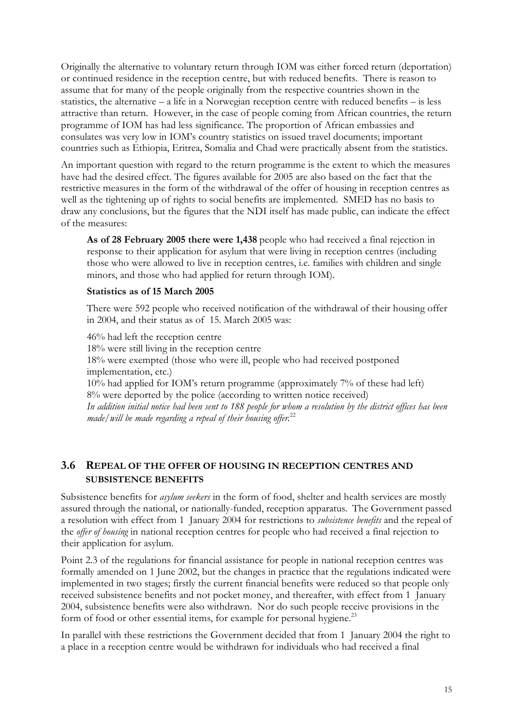<span id="page-19-0"></span>Originally the alternative to voluntary return through IOM was either forced return (deportation) or continued residence in the reception centre, but with reduced benefits. There is reason to assume that for many of the people originally from the respective countries shown in the statistics, the alternative – a life in a Norwegian reception centre with reduced benefits – is less attractive than return. However, in the case of people coming from African countries, the return programme of IOM has had less significance. The proportion of African embassies and consulates was very low in IOM's country statistics on issued travel documents; important countries such as Ethiopia, Eritrea, Somalia and Chad were practically absent from the statistics.

An important question with regard to the return programme is the extent to which the measures have had the desired effect. The figures available for 2005 are also based on the fact that the restrictive measures in the form of the withdrawal of the offer of housing in reception centres as well as the tightening up of rights to social benefits are implemented. SMED has no basis to draw any conclusions, but the figures that the NDI itself has made public, can indicate the effect of the measures:

**As of 28 February 2005 there were 1,438** people who had received a final rejection in response to their application for asylum that were living in reception centres (including those who were allowed to live in reception centres, i.e. families with children and single minors, and those who had applied for return through IOM).

#### **Statistics as of 15 March 2005**

There were 592 people who received notification of the withdrawal of their housing offer in 2004, and their status as of 15. March 2005 was:

46% had left the reception centre 18% were still living in the reception centre 18% were exempted (those who were ill, people who had received postponed implementation, etc.) 10% had applied for IOM's return programme (approximately 7% of these had left) 8% were deported by the police (according to written notice received) *In addition initial notice had been sent to 188 people for whom a resolution by the district offices has been made/will be made regarding a repeal of their housing offer.*<sup>22</sup>

#### **3.6 REPEAL OF THE OFFER OF HOUSING IN RECEPTION CENTRES AND SUBSISTENCE BENEFITS**

Subsistence benefits for *asylum seekers* in the form of food, shelter and health services are mostly assured through the national, or nationally-funded, reception apparatus. The Government passed a resolution with effect from 1 January 2004 for restrictions to *subsistence benefits* and the repeal of the *offer of housing* in national reception centres for people who had received a final rejection to their application for asylum.

Point 2.3 of the regulations for financial assistance for people in national reception centres was formally amended on 1 June 2002, but the changes in practice that the regulations indicated were implemented in two stages; firstly the current financial benefits were reduced so that people only received subsistence benefits and not pocket money, and thereafter, with effect from 1 January 2004, subsistence benefits were also withdrawn. Nor do such people receive provisions in the form of food or other essential items, for example for personal hygiene.<sup>23</sup>

In parallel with these restrictions the Government decided that from 1 January 2004 the right to a place in a reception centre would be withdrawn for individuals who had received a final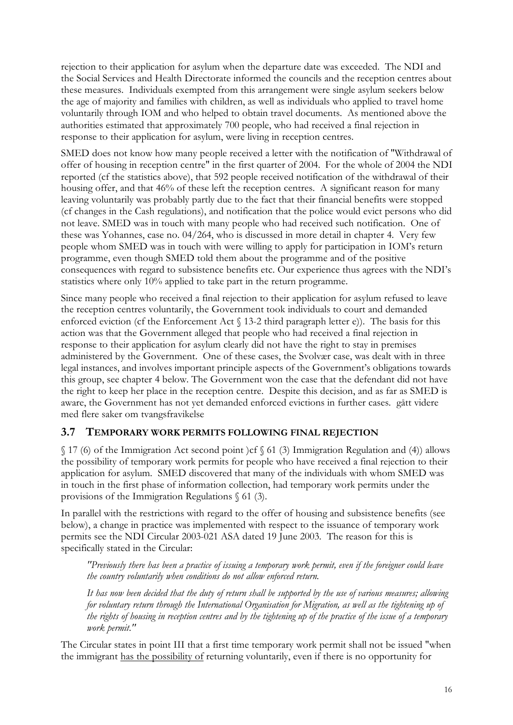<span id="page-20-0"></span>rejection to their application for asylum when the departure date was exceeded. The NDI and the Social Services and Health Directorate informed the councils and the reception centres about these measures. Individuals exempted from this arrangement were single asylum seekers below the age of majority and families with children, as well as individuals who applied to travel home voluntarily through IOM and who helped to obtain travel documents. As mentioned above the authorities estimated that approximately 700 people, who had received a final rejection in response to their application for asylum, were living in reception centres.

SMED does not know how many people received a letter with the notification of "Withdrawal of offer of housing in reception centre" in the first quarter of 2004. For the whole of 2004 the NDI reported (cf the statistics above), that 592 people received notification of the withdrawal of their housing offer, and that 46% of these left the reception centres. A significant reason for many leaving voluntarily was probably partly due to the fact that their financial benefits were stopped (cf changes in the Cash regulations), and notification that the police would evict persons who did not leave. SMED was in touch with many people who had received such notification. One of these was Yohannes, case no. 04/264, who is discussed in more detail in chapter 4. Very few people whom SMED was in touch with were willing to apply for participation in IOM's return programme, even though SMED told them about the programme and of the positive consequences with regard to subsistence benefits etc. Our experience thus agrees with the NDI's statistics where only 10% applied to take part in the return programme.

Since many people who received a final rejection to their application for asylum refused to leave the reception centres voluntarily, the Government took individuals to court and demanded enforced eviction (cf the Enforcement Act § 13-2 third paragraph letter e)). The basis for this action was that the Government alleged that people who had received a final rejection in response to their application for asylum clearly did not have the right to stay in premises administered by the Government. One of these cases, the Svolvær case, was dealt with in three legal instances, and involves important principle aspects of the Government's obligations towards this group, see chapter 4 below. The Government won the case that the defendant did not have the right to keep her place in the reception centre. Despite this decision, and as far as SMED is aware, the Government has not yet demanded enforced evictions in further cases. gått videre med flere saker om tvangsfravikelse

#### **3.7 TEMPORARY WORK PERMITS FOLLOWING FINAL REJECTION**

§ 17 (6) of the Immigration Act second point )cf § 61 (3) Immigration Regulation and (4)) allows the possibility of temporary work permits for people who have received a final rejection to their application for asylum. SMED discovered that many of the individuals with whom SMED was in touch in the first phase of information collection, had temporary work permits under the provisions of the Immigration Regulations § 61 (3).

In parallel with the restrictions with regard to the offer of housing and subsistence benefits (see below), a change in practice was implemented with respect to the issuance of temporary work permits see the NDI Circular 2003-021 ASA dated 19 June 2003. The reason for this is specifically stated in the Circular:

*"Previously there has been a practice of issuing a temporary work permit, even if the foreigner could leave the country voluntarily when conditions do not allow enforced return.*

*It has now been decided that the duty of return shall be supported by the use of various measures; allowing for voluntary return through the International Organisation for Migration, as well as the tightening up of the rights of housing in reception centres and by the tightening up of the practice of the issue of a temporary work permit."*

The Circular states in point III that a first time temporary work permit shall not be issued "when the immigrant has the possibility of returning voluntarily, even if there is no opportunity for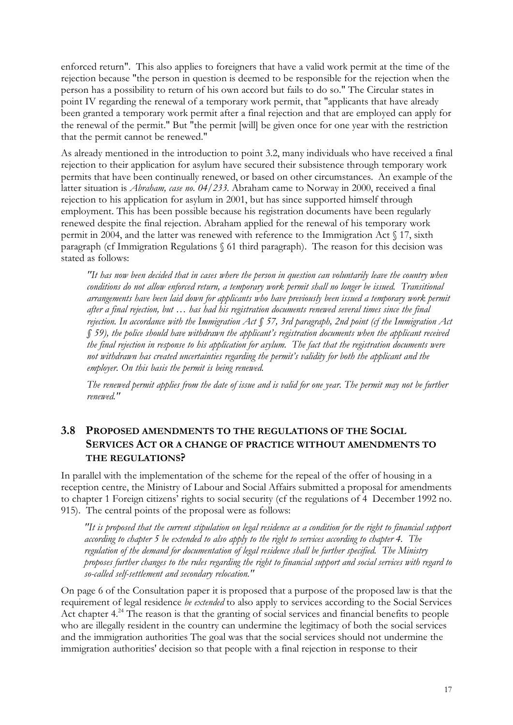<span id="page-21-0"></span>enforced return". This also applies to foreigners that have a valid work permit at the time of the rejection because "the person in question is deemed to be responsible for the rejection when the person has a possibility to return of his own accord but fails to do so." The Circular states in point IV regarding the renewal of a temporary work permit, that "applicants that have already been granted a temporary work permit after a final rejection and that are employed can apply for the renewal of the permit." But "the permit [will] be given once for one year with the restriction that the permit cannot be renewed."

As already mentioned in the introduction to point 3.2, many individuals who have received a final rejection to their application for asylum have secured their subsistence through temporary work permits that have been continually renewed, or based on other circumstances. An example of the latter situation is *Abraham, case no. 04/233*. Abraham came to Norway in 2000, received a final rejection to his application for asylum in 2001, but has since supported himself through employment. This has been possible because his registration documents have been regularly renewed despite the final rejection. Abraham applied for the renewal of his temporary work permit in 2004, and the latter was renewed with reference to the Immigration Act § 17, sixth paragraph (cf Immigration Regulations § 61 third paragraph). The reason for this decision was stated as follows:

*"It has now been decided that in cases where the person in question can voluntarily leave the country when conditions do not allow enforced return, a temporary work permit shall no longer be issued. Transitional arrangements have been laid down for applicants who have previously been issued a temporary work permit after a final rejection, but … has had his registration documents renewed several times since the final rejection. In accordance with the Immigration Act § 57, 3rd paragraph, 2nd point (cf the Immigration Act § 59), the police should have withdrawn the applicant's registration documents when the applicant received the final rejection in response to his application for asylum. The fact that the registration documents were not withdrawn has created uncertainties regarding the permit's validity for both the applicant and the employer. On this basis the permit is being renewed.*

*The renewed permit applies from the date of issue and is valid for one year. The permit may not be further renewed."*

#### **3.8 PROPOSED AMENDMENTS TO THE REGULATIONS OF THE SOCIAL SERVICES ACT OR A CHANGE OF PRACTICE WITHOUT AMENDMENTS TO THE REGULATIONS?**

In parallel with the implementation of the scheme for the repeal of the offer of housing in a reception centre, the Ministry of Labour and Social Affairs submitted a proposal for amendments to chapter 1 Foreign citizens' rights to social security (cf the regulations of 4 December 1992 no. 915). The central points of the proposal were as follows:

*"It is proposed that the current stipulation on legal residence as a condition for the right to financial support according to chapter 5 be extended to also apply to the right to services according to chapter 4. The regulation of the demand for documentation of legal residence shall be further specified. The Ministry proposes further changes to the rules regarding the right to financial support and social services with regard to so-called self-settlement and secondary relocation."*

On page 6 of the Consultation paper it is proposed that a purpose of the proposed law is that the requirement of legal residence *be extended* to also apply to services according to the Social Services Act chapter  $4^{24}$  The reason is that the granting of social services and financial benefits to people who are illegally resident in the country can undermine the legitimacy of both the social services and the immigration authorities The goal was that the social services should not undermine the immigration authorities' decision so that people with a final rejection in response to their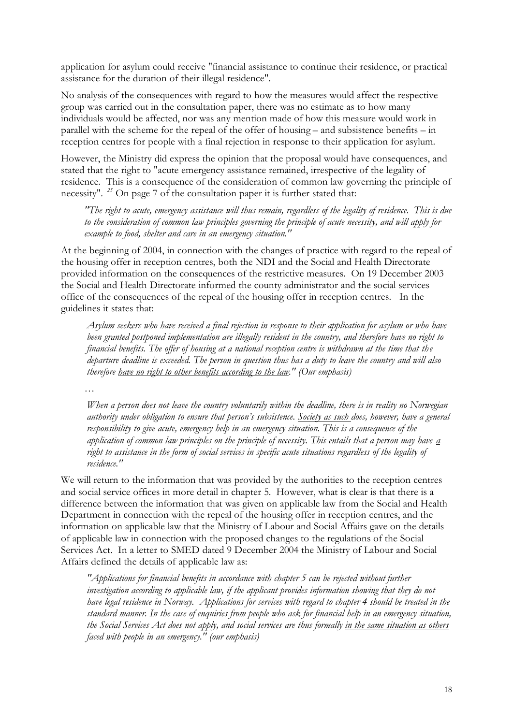application for asylum could receive "financial assistance to continue their residence, or practical assistance for the duration of their illegal residence".

No analysis of the consequences with regard to how the measures would affect the respective group was carried out in the consultation paper, there was no estimate as to how many individuals would be affected, nor was any mention made of how this measure would work in parallel with the scheme for the repeal of the offer of housing – and subsistence benefits – in reception centres for people with a final rejection in response to their application for asylum.

However, the Ministry did express the opinion that the proposal would have consequences, and stated that the right to "acute emergency assistance remained, irrespective of the legality of residence. This is a consequence of the consideration of common law governing the principle of necessity". *<sup>25</sup>* On page 7 of the consultation paper it is further stated that:

*"The right to acute, emergency assistance will thus remain, regardless of the legality of residence. This is due to the consideration of common law principles governing the principle of acute necessity, and will apply for example to food, shelter and care in an emergency situation."*

At the beginning of 2004, in connection with the changes of practice with regard to the repeal of the housing offer in reception centres, both the NDI and the Social and Health Directorate provided information on the consequences of the restrictive measures. On 19 December 2003 the Social and Health Directorate informed the county administrator and the social services office of the consequences of the repeal of the housing offer in reception centres. In the guidelines it states that:

*Asylum seekers who have received a final rejection in response to their application for asylum or who have been granted postponed implementation are illegally resident in the country, and therefore have no right to financial benefits. The offer of housing at a national reception centre is withdrawn at the time that the departure deadline is exceeded. The person in question thus has a duty to leave the country and will also therefore have no right to other benefits according to the law." (Our emphasis)*

*…*

*When a person does not leave the country voluntarily within the deadline, there is in reality no Norwegian authority under obligation to ensure that person's subsistence. Society as such does, however, have a general responsibility to give acute, emergency help in an emergency situation. This is a consequence of the application of common law principles on the principle of necessity. This entails that a person may have a right to assistance in the form of social services in specific acute situations regardless of the legality of residence."*

We will return to the information that was provided by the authorities to the reception centres and social service offices in more detail in chapter 5. However, what is clear is that there is a difference between the information that was given on applicable law from the Social and Health Department in connection with the repeal of the housing offer in reception centres, and the information on applicable law that the Ministry of Labour and Social Affairs gave on the details of applicable law in connection with the proposed changes to the regulations of the Social Services Act. In a letter to SMED dated 9 December 2004 the Ministry of Labour and Social Affairs defined the details of applicable law as:

*"Applications for financial benefits in accordance with chapter 5 can be rejected without further investigation according to applicable law, if the applicant provides information showing that they do not have legal residence in Norway. Applications for services with regard to chapter 4 should be treated in the standard manner. In the case of enquiries from people who ask for financial help in an emergency situation, the Social Services Act does not apply, and social services are thus formally in the same situation as others faced with people in an emergency." (our emphasis)*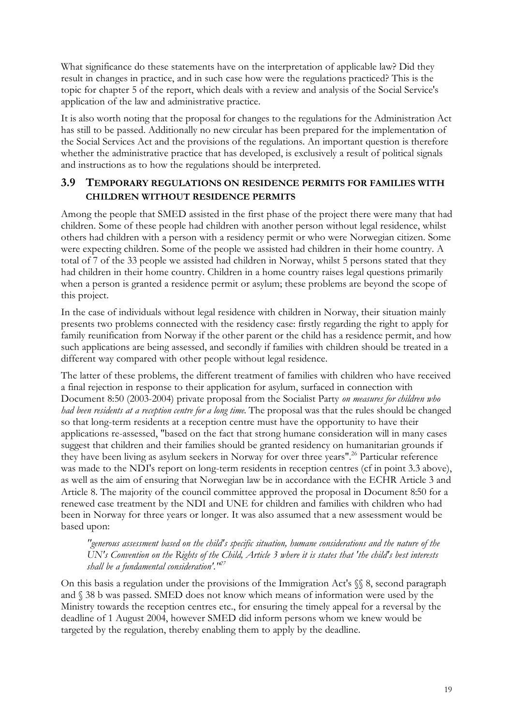<span id="page-23-0"></span>What significance do these statements have on the interpretation of applicable law? Did they result in changes in practice, and in such case how were the regulations practiced? This is the topic for chapter 5 of the report, which deals with a review and analysis of the Social Service's application of the law and administrative practice.

It is also worth noting that the proposal for changes to the regulations for the Administration Act has still to be passed. Additionally no new circular has been prepared for the implementation of the Social Services Act and the provisions of the regulations. An important question is therefore whether the administrative practice that has developed, is exclusively a result of political signals and instructions as to how the regulations should be interpreted.

#### **3.9 TEMPORARY REGULATIONS ON RESIDENCE PERMITS FOR FAMILIES WITH CHILDREN WITHOUT RESIDENCE PERMITS**

Among the people that SMED assisted in the first phase of the project there were many that had children. Some of these people had children with another person without legal residence, whilst others had children with a person with a residency permit or who were Norwegian citizen. Some were expecting children. Some of the people we assisted had children in their home country. A total of 7 of the 33 people we assisted had children in Norway, whilst 5 persons stated that they had children in their home country. Children in a home country raises legal questions primarily when a person is granted a residence permit or asylum; these problems are beyond the scope of this project.

In the case of individuals without legal residence with children in Norway, their situation mainly presents two problems connected with the residency case: firstly regarding the right to apply for family reunification from Norway if the other parent or the child has a residence permit, and how such applications are being assessed, and secondly if families with children should be treated in a different way compared with other people without legal residence.

The latter of these problems, the different treatment of families with children who have received a final rejection in response to their application for asylum, surfaced in connection with Document 8:50 (2003-2004) private proposal from the Socialist Party *on measures for children who had been residents at a reception centre for a long time*. The proposal was that the rules should be changed so that long-term residents at a reception centre must have the opportunity to have their applications re-assessed, "based on the fact that strong humane consideration will in many cases suggest that children and their families should be granted residency on humanitarian grounds if they have been living as asylum seekers in Norway for over three years".<sup>26</sup> Particular reference was made to the NDI's report on long-term residents in reception centres (cf in point 3.3 above), as well as the aim of ensuring that Norwegian law be in accordance with the ECHR Article 3 and Article 8. The majority of the council committee approved the proposal in Document 8:50 for a renewed case treatment by the NDI and UNE for children and families with children who had been in Norway for three years or longer. It was also assumed that a new assessment would be based upon:

*"generous assessment based on the child's specific situation, humane considerations and the nature of the UN's Convention on the Rights of the Child, Article 3 where it is states that 'the child's best interests shall be a fundamental consideration'."<sup>27</sup>*

On this basis a regulation under the provisions of the Immigration Act's §§ 8, second paragraph and § 38 b was passed. SMED does not know which means of information were used by the Ministry towards the reception centres etc., for ensuring the timely appeal for a reversal by the deadline of 1 August 2004, however SMED did inform persons whom we knew would be targeted by the regulation, thereby enabling them to apply by the deadline.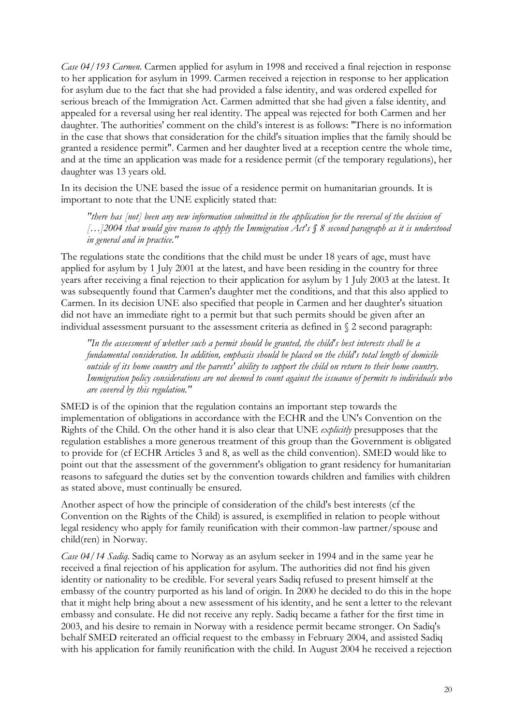*Case 04/193 Carmen*. Carmen applied for asylum in 1998 and received a final rejection in response to her application for asylum in 1999. Carmen received a rejection in response to her application for asylum due to the fact that she had provided a false identity, and was ordered expelled for serious breach of the Immigration Act. Carmen admitted that she had given a false identity, and appealed for a reversal using her real identity. The appeal was rejected for both Carmen and her daughter. The authorities' comment on the child's interest is as follows: "There is no information in the case that shows that consideration for the child's situation implies that the family should be granted a residence permit". Carmen and her daughter lived at a reception centre the whole time, and at the time an application was made for a residence permit (cf the temporary regulations), her daughter was 13 years old.

In its decision the UNE based the issue of a residence permit on humanitarian grounds. It is important to note that the UNE explicitly stated that:

*"there has [not] been any new information submitted in the application for the reversal of the decision of […]2004 that would give reason to apply the Immigration Act's § 8 second paragraph as it is understood in general and in practice."*

The regulations state the conditions that the child must be under 18 years of age, must have applied for asylum by 1 July 2001 at the latest, and have been residing in the country for three years after receiving a final rejection to their application for asylum by 1 July 2003 at the latest. It was subsequently found that Carmen's daughter met the conditions, and that this also applied to Carmen. In its decision UNE also specified that people in Carmen and her daughter's situation did not have an immediate right to a permit but that such permits should be given after an individual assessment pursuant to the assessment criteria as defined in § 2 second paragraph:

*"In the assessment of whether such a permit should be granted, the child's best interests shall be a fundamental consideration. In addition, emphasis should be placed on the child's total length of domicile outside of its home country and the parents' ability to support the child on return to their home country. Immigration policy considerations are not deemed to count against the issuance of permits to individuals who are covered by this regulation."*

SMED is of the opinion that the regulation contains an important step towards the implementation of obligations in accordance with the ECHR and the UN's Convention on the Rights of the Child. On the other hand it is also clear that UNE *explicitly* presupposes that the regulation establishes a more generous treatment of this group than the Government is obligated to provide for (cf ECHR Articles 3 and 8, as well as the child convention). SMED would like to point out that the assessment of the government's obligation to grant residency for humanitarian reasons to safeguard the duties set by the convention towards children and families with children as stated above, must continually be ensured.

Another aspect of how the principle of consideration of the child's best interests (cf the Convention on the Rights of the Child) is assured, is exemplified in relation to people without legal residency who apply for family reunification with their common-law partner/spouse and child(ren) in Norway.

*Case 04/14 Sadiq*. Sadiq came to Norway as an asylum seeker in 1994 and in the same year he received a final rejection of his application for asylum. The authorities did not find his given identity or nationality to be credible. For several years Sadiq refused to present himself at the embassy of the country purported as his land of origin. In 2000 he decided to do this in the hope that it might help bring about a new assessment of his identity, and he sent a letter to the relevant embassy and consulate. He did not receive any reply. Sadiq became a father for the first time in 2003, and his desire to remain in Norway with a residence permit became stronger. On Sadiq's behalf SMED reiterated an official request to the embassy in February 2004, and assisted Sadiq with his application for family reunification with the child. In August 2004 he received a rejection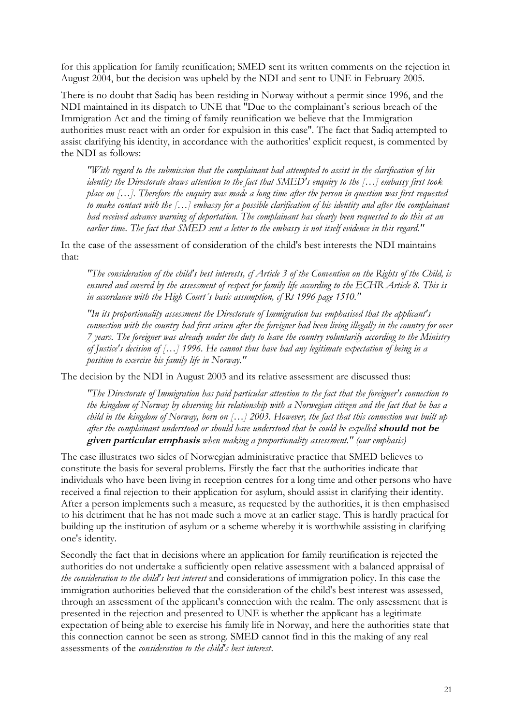for this application for family reunification; SMED sent its written comments on the rejection in August 2004, but the decision was upheld by the NDI and sent to UNE in February 2005.

There is no doubt that Sadiq has been residing in Norway without a permit since 1996, and the NDI maintained in its dispatch to UNE that "Due to the complainant's serious breach of the Immigration Act and the timing of family reunification we believe that the Immigration authorities must react with an order for expulsion in this case". The fact that Sadiq attempted to assist clarifying his identity, in accordance with the authorities' explicit request, is commented by the NDI as follows:

*"With regard to the submission that the complainant had attempted to assist in the clarification of his identity the Directorate draws attention to the fact that SMED's enquiry to the […] embassy first took place on […]. Therefore the enquiry was made a long time after the person in question was first requested to make contact with the […] embassy for a possible clarification of his identity and after the complainant had received advance warning of deportation. The complainant has clearly been requested to do this at an earlier time. The fact that SMED sent a letter to the embassy is not itself evidence in this regard."* 

In the case of the assessment of consideration of the child's best interests the NDI maintains that:

*"The consideration of the child's best interests, cf Article 3 of the Convention on the Rights of the Child, is ensured and covered by the assessment of respect for family life according to the ECHR Article 8. This is in accordance with the High Court´s basic assumption, cf Rt 1996 page 1510."*

*"In its proportionality assessment the Directorate of Immigration has emphasised that the applicant's connection with the country had first arisen after the foreigner had been living illegally in the country for over 7 years. The foreigner was already under the duty to leave the country voluntarily according to the Ministry of Justice's decision of […] 1996. He cannot thus have had any legitimate expectation of being in a position to exercise his family life in Norway."*

The decision by the NDI in August 2003 and its relative assessment are discussed thus:

*"The Directorate of Immigration has paid particular attention to the fact that the foreigner's connection to the kingdom of Norway by observing his relationship with a Norwegian citizen and the fact that he has a child in the kingdom of Norway, born on […] 2003. However, the fact that this connection was built up after the complainant understood or should have understood that he could be expelled* **should not be given particular emphasis** *when making a proportionality assessment." (our emphasis)*

The case illustrates two sides of Norwegian administrative practice that SMED believes to constitute the basis for several problems. Firstly the fact that the authorities indicate that individuals who have been living in reception centres for a long time and other persons who have received a final rejection to their application for asylum, should assist in clarifying their identity. After a person implements such a measure, as requested by the authorities, it is then emphasised to his detriment that he has not made such a move at an earlier stage. This is hardly practical for building up the institution of asylum or a scheme whereby it is worthwhile assisting in clarifying one's identity.

Secondly the fact that in decisions where an application for family reunification is rejected the authorities do not undertake a sufficiently open relative assessment with a balanced appraisal of *the consideration to the child's best interest* and considerations of immigration policy. In this case the immigration authorities believed that the consideration of the child's best interest was assessed, through an assessment of the applicant's connection with the realm. The only assessment that is presented in the rejection and presented to UNE is whether the applicant has a legitimate expectation of being able to exercise his family life in Norway, and here the authorities state that this connection cannot be seen as strong. SMED cannot find in this the making of any real assessments of the *consideration to the child's best interest*.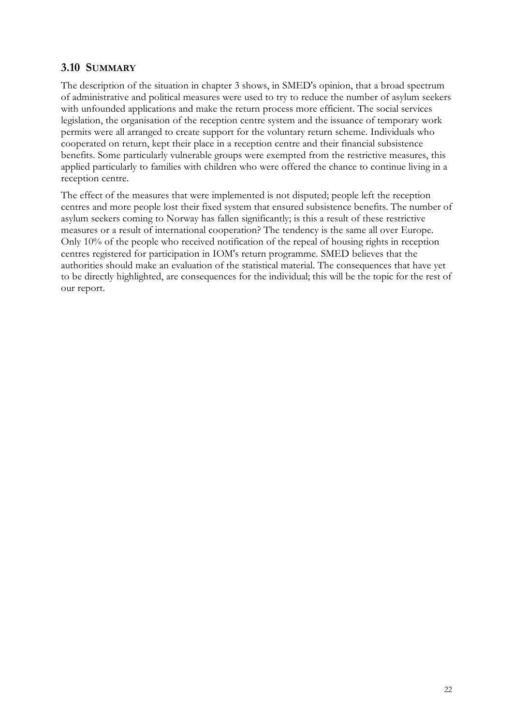#### <span id="page-26-0"></span>**3.10 SUMMARY**

The description of the situation in chapter 3 shows, in SMED's opinion, that a broad spectrum of administrative and political measures were used to try to reduce the number of asylum seekers with unfounded applications and make the return process more efficient. The social services legislation, the organisation of the reception centre system and the issuance of temporary work permits were all arranged to create support for the voluntary return scheme. Individuals who cooperated on return, kept their place in a reception centre and their financial subsistence benefits. Some particularly vulnerable groups were exempted from the restrictive measures, this applied particularly to families with children who were offered the chance to continue living in a reception centre.

The effect of the measures that were implemented is not disputed; people left the reception centres and more people lost their fixed system that ensured subsistence benefits. The number of asylum seekers coming to Norway has fallen significantly; is this a result of these restrictive measures or a result of international cooperation? The tendency is the same all over Europe. Only 10% of the people who received notification of the repeal of housing rights in reception centres registered for participation in IOM's return programme. SMED believes that the authorities should make an evaluation of the statistical material. The consequences that have yet to be directly highlighted, are consequences for the individual; this will be the topic for the rest of our report.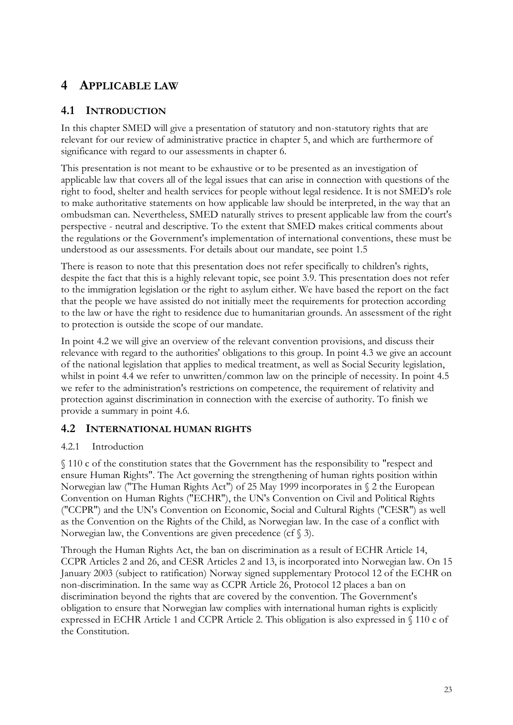## <span id="page-27-0"></span>**4 APPLICABLE LAW**

#### **4.1 INTRODUCTION**

In this chapter SMED will give a presentation of statutory and non-statutory rights that are relevant for our review of administrative practice in chapter 5, and which are furthermore of significance with regard to our assessments in chapter 6.

This presentation is not meant to be exhaustive or to be presented as an investigation of applicable law that covers all of the legal issues that can arise in connection with questions of the right to food, shelter and health services for people without legal residence. It is not SMED's role to make authoritative statements on how applicable law should be interpreted, in the way that an ombudsman can. Nevertheless, SMED naturally strives to present applicable law from the court's perspective - neutral and descriptive. To the extent that SMED makes critical comments about the regulations or the Government's implementation of international conventions, these must be understood as our assessments. For details about our mandate, see point 1.5

There is reason to note that this presentation does not refer specifically to children's rights, despite the fact that this is a highly relevant topic, see point 3.9. This presentation does not refer to the immigration legislation or the right to asylum either. We have based the report on the fact that the people we have assisted do not initially meet the requirements for protection according to the law or have the right to residence due to humanitarian grounds. An assessment of the right to protection is outside the scope of our mandate.

In point 4.2 we will give an overview of the relevant convention provisions, and discuss their relevance with regard to the authorities' obligations to this group. In point 4.3 we give an account of the national legislation that applies to medical treatment, as well as Social Security legislation, whilst in point 4.4 we refer to unwritten/common law on the principle of necessity. In point 4.5 we refer to the administration's restrictions on competence, the requirement of relativity and protection against discrimination in connection with the exercise of authority. To finish we provide a summary in point 4.6.

#### **4.2 INTERNATIONAL HUMAN RIGHTS**

#### 4.2.1 Introduction

§ 110 c of the constitution states that the Government has the responsibility to "respect and ensure Human Rights". The Act governing the strengthening of human rights position within Norwegian law ("The Human Rights Act") of 25 May 1999 incorporates in § 2 the European Convention on Human Rights ("ECHR"), the UN's Convention on Civil and Political Rights ("CCPR") and the UN's Convention on Economic, Social and Cultural Rights ("CESR") as well as the Convention on the Rights of the Child, as Norwegian law. In the case of a conflict with Norwegian law, the Conventions are given precedence (cf  $\S$  3).

Through the Human Rights Act, the ban on discrimination as a result of ECHR Article 14, CCPR Articles 2 and 26, and CESR Articles 2 and 13, is incorporated into Norwegian law. On 15 January 2003 (subject to ratification) Norway signed supplementary Protocol 12 of the ECHR on non-discrimination. In the same way as CCPR Article 26, Protocol 12 places a ban on discrimination beyond the rights that are covered by the convention. The Government's obligation to ensure that Norwegian law complies with international human rights is explicitly expressed in ECHR Article 1 and CCPR Article 2. This obligation is also expressed in § 110 c of the Constitution.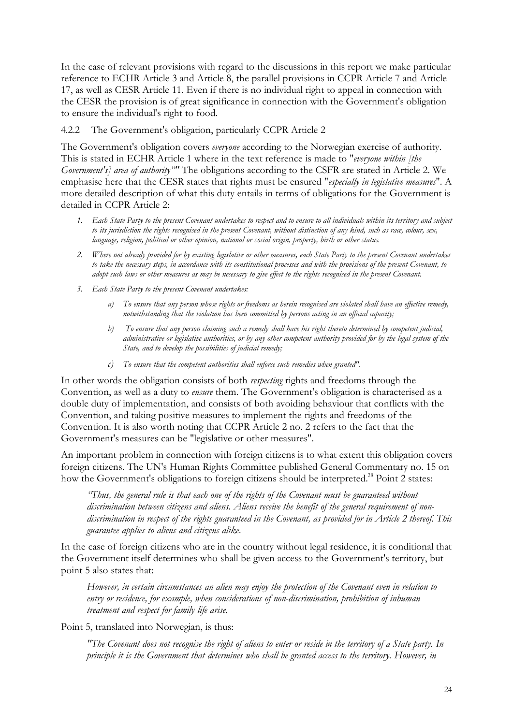<span id="page-28-0"></span>In the case of relevant provisions with regard to the discussions in this report we make particular reference to ECHR Article 3 and Article 8, the parallel provisions in CCPR Article 7 and Article 17, as well as CESR Article 11. Even if there is no individual right to appeal in connection with the CESR the provision is of great significance in connection with the Government's obligation to ensure the individual's right to food.

#### 4.2.2 The Government's obligation, particularly CCPR Article 2

The Government's obligation covers *everyone* according to the Norwegian exercise of authority. This is stated in ECHR Article 1 where in the text reference is made to "*everyone within [the Government's] area of authority*"' The obligations according to the CSFR are stated in Article 2. We emphasise here that the CESR states that rights must be ensured "*especially in legislative measures*". A more detailed description of what this duty entails in terms of obligations for the Government is detailed in CCPR Article 2:

- *1. Each State Party to the present Covenant undertakes to respect and to ensure to all individuals within its territory and subject to its jurisdiction the rights recognised in the present Covenant, without distinction of any kind, such as race, colour, sex, language, religion, political or other opinion, national or social origin, property, birth or other status.*
- *2. Where not already provided for by existing legislative or other measures, each State Party to the present Covenant undertakes to take the necessary steps, in accordance with its constitutional processes and with the provisions of the present Covenant, to adopt such laws or other measures as may be necessary to give effect to the rights recognised in the present Covenant.*
- *3. Each State Party to the present Covenant undertakes:*
	- *a) To ensure that any person whose rights or freedoms as herein recognised are violated shall have an effective remedy, notwithstanding that the violation has been committed by persons acting in an official capacity;*
	- *b) To ensure that any person claiming such a remedy shall have his right thereto determined by competent judicial, administrative or legislative authorities, or by any other competent authority provided for by the legal system of the State, and to develop the possibilities of judicial remedy;*
	- *c) To ensure that the competent authorities shall enforce such remedies when granted".*

In other words the obligation consists of both *respecting* rights and freedoms through the Convention, as well as a duty to *ensure* them. The Government's obligation is characterised as a double duty of implementation, and consists of both avoiding behaviour that conflicts with the Convention, and taking positive measures to implement the rights and freedoms of the Convention. It is also worth noting that CCPR Article 2 no. 2 refers to the fact that the Government's measures can be "legislative or other measures".

An important problem in connection with foreign citizens is to what extent this obligation covers foreign citizens. The UN's Human Rights Committee published General Commentary no. 15 on how the Government's obligations to foreign citizens should be interpreted.<sup>28</sup> Point 2 states:

*"Thus, the general rule is that each one of the rights of the Covenant must be guaranteed without discrimination between citizens and aliens. Aliens receive the benefit of the general requirement of nondiscrimination in respect of the rights guaranteed in the Covenant, as provided for in Article 2 thereof. This guarantee applies to aliens and citizens alike.*

In the case of foreign citizens who are in the country without legal residence, it is conditional that the Government itself determines who shall be given access to the Government's territory, but point 5 also states that:

*However, in certain circumstances an alien may enjoy the protection of the Covenant even in relation to entry or residence, for example, when considerations of non-discrimination, prohibition of inhuman treatment and respect for family life arise.*

Point 5, translated into Norwegian, is thus:

*"The Covenant does not recognise the right of aliens to enter or reside in the territory of a State party. In principle it is the Government that determines who shall be granted access to the territory. However, in*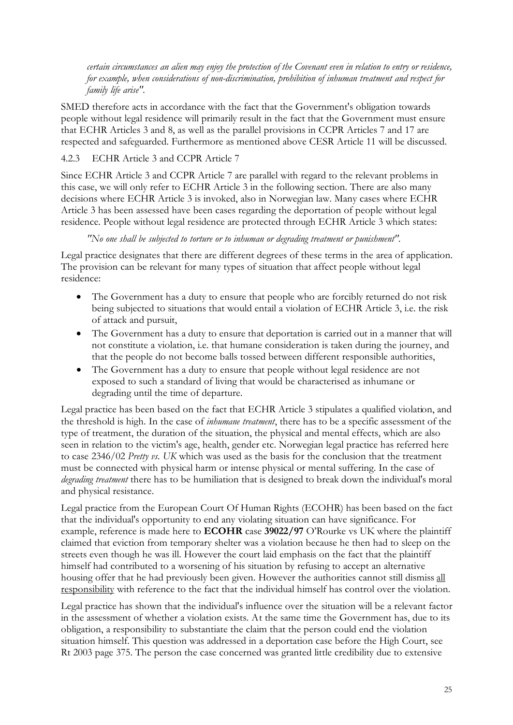<span id="page-29-0"></span>*certain circumstances an alien may enjoy the protection of the Covenant even in relation to entry or residence, for example, when considerations of non-discrimination, prohibition of inhuman treatment and respect for family life arise".*

SMED therefore acts in accordance with the fact that the Government's obligation towards people without legal residence will primarily result in the fact that the Government must ensure that ECHR Articles 3 and 8, as well as the parallel provisions in CCPR Articles 7 and 17 are respected and safeguarded. Furthermore as mentioned above CESR Article 11 will be discussed.

#### 4.2.3 ECHR Article 3 and CCPR Article 7

Since ECHR Article 3 and CCPR Article 7 are parallel with regard to the relevant problems in this case, we will only refer to ECHR Article 3 in the following section. There are also many decisions where ECHR Article 3 is invoked, also in Norwegian law. Many cases where ECHR Article 3 has been assessed have been cases regarding the deportation of people without legal residence. People without legal residence are protected through ECHR Article 3 which states:

*"No one shall be subjected to torture or to inhuman or degrading treatment or punishment".*

Legal practice designates that there are different degrees of these terms in the area of application. The provision can be relevant for many types of situation that affect people without legal residence:

- The Government has a duty to ensure that people who are forcibly returned do not risk being subjected to situations that would entail a violation of ECHR Article 3, i.e. the risk of attack and pursuit,
- The Government has a duty to ensure that deportation is carried out in a manner that will not constitute a violation, i.e. that humane consideration is taken during the journey, and that the people do not become balls tossed between different responsible authorities,
- The Government has a duty to ensure that people without legal residence are not exposed to such a standard of living that would be characterised as inhumane or degrading until the time of departure.

Legal practice has been based on the fact that ECHR Article 3 stipulates a qualified violation, and the threshold is high. In the case of *inhumane treatment*, there has to be a specific assessment of the type of treatment, the duration of the situation, the physical and mental effects, which are also seen in relation to the victim's age, health, gender etc. Norwegian legal practice has referred here to case 2346/02 *Pretty vs. UK* which was used as the basis for the conclusion that the treatment must be connected with physical harm or intense physical or mental suffering. In the case of *degrading treatment* there has to be humiliation that is designed to break down the individual's moral and physical resistance.

Legal practice from the European Court Of Human Rights (ECOHR) has been based on the fact that the individual's opportunity to end any violating situation can have significance. For example, reference is made here to **ECOHR** case **39022/97** O'Rourke vs UK where the plaintiff claimed that eviction from temporary shelter was a violation because he then had to sleep on the streets even though he was ill. However the court laid emphasis on the fact that the plaintiff himself had contributed to a worsening of his situation by refusing to accept an alternative housing offer that he had previously been given. However the authorities cannot still dismiss all responsibility with reference to the fact that the individual himself has control over the violation.

Legal practice has shown that the individual's influence over the situation will be a relevant factor in the assessment of whether a violation exists. At the same time the Government has, due to its obligation, a responsibility to substantiate the claim that the person could end the violation situation himself. This question was addressed in a deportation case before the High Court, see Rt 2003 page 375. The person the case concerned was granted little credibility due to extensive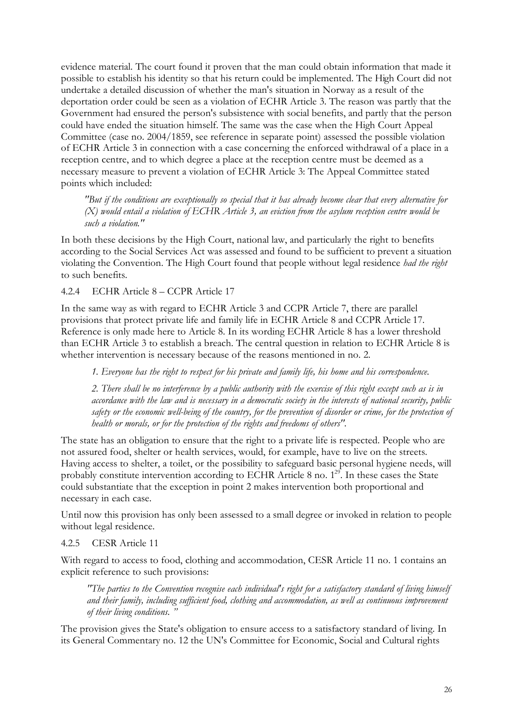<span id="page-30-0"></span>evidence material. The court found it proven that the man could obtain information that made it possible to establish his identity so that his return could be implemented. The High Court did not undertake a detailed discussion of whether the man's situation in Norway as a result of the deportation order could be seen as a violation of ECHR Article 3. The reason was partly that the Government had ensured the person's subsistence with social benefits, and partly that the person could have ended the situation himself. The same was the case when the High Court Appeal Committee (case no. 2004/1859, see reference in separate point) assessed the possible violation of ECHR Article 3 in connection with a case concerning the enforced withdrawal of a place in a reception centre, and to which degree a place at the reception centre must be deemed as a necessary measure to prevent a violation of ECHR Article 3: The Appeal Committee stated points which included:

*"But if the conditions are exceptionally so special that it has already become clear that every alternative for (X) would entail a violation of ECHR Article 3, an eviction from the asylum reception centre would be such a violation."*

In both these decisions by the High Court, national law, and particularly the right to benefits according to the Social Services Act was assessed and found to be sufficient to prevent a situation violating the Convention. The High Court found that people without legal residence *had the right* to such benefits.

4.2.4 ECHR Article 8 – CCPR Article 17

In the same way as with regard to ECHR Article 3 and CCPR Article 7, there are parallel provisions that protect private life and family life in ECHR Article 8 and CCPR Article 17. Reference is only made here to Article 8. In its wording ECHR Article 8 has a lower threshold than ECHR Article 3 to establish a breach. The central question in relation to ECHR Article 8 is whether intervention is necessary because of the reasons mentioned in no. 2.

*1. Everyone has the right to respect for his private and family life, his home and his correspondence.*

*2. There shall be no interference by a public authority with the exercise of this right except such as is in accordance with the law and is necessary in a democratic society in the interests of national security, public safety or the economic well-being of the country, for the prevention of disorder or crime, for the protection of health or morals, or for the protection of the rights and freedoms of others".*

The state has an obligation to ensure that the right to a private life is respected. People who are not assured food, shelter or health services, would, for example, have to live on the streets. Having access to shelter, a toilet, or the possibility to safeguard basic personal hygiene needs, will probably constitute intervention according to ECHR Article 8 no.  $1^{29}$ . In these cases the State could substantiate that the exception in point 2 makes intervention both proportional and necessary in each case.

Until now this provision has only been assessed to a small degree or invoked in relation to people without legal residence.

#### 4.2.5 CESR Article 11

With regard to access to food, clothing and accommodation, CESR Article 11 no. 1 contains an explicit reference to such provisions:

*"The parties to the Convention recognise each individual's right for a satisfactory standard of living himself and their family, including sufficient food, clothing and accommodation, as well as continuous improvement of their living conditions. "*

The provision gives the State's obligation to ensure access to a satisfactory standard of living. In its General Commentary no. 12 the UN's Committee for Economic, Social and Cultural rights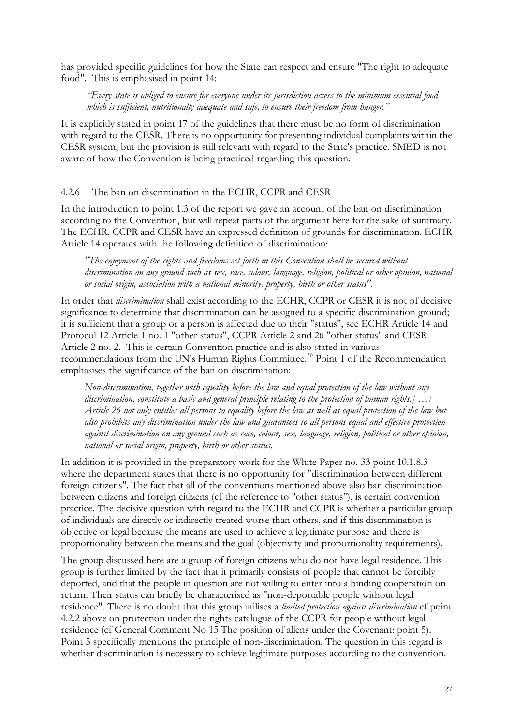<span id="page-31-0"></span>has provided specific guidelines for how the State can respect and ensure "The right to adequate food". This is emphasised in point 14:

*"Every state is obliged to ensure for everyone under its jurisdiction access to the minimum essential food which is sufficient, nutritionally adequate and safe, to ensure their freedom from hunger."*

It is explicitly stated in point 17 of the guidelines that there must be no form of discrimination with regard to the CESR. There is no opportunity for presenting individual complaints within the CESR system, but the provision is still relevant with regard to the State's practice. SMED is not aware of how the Convention is being practiced regarding this question.

#### 4.2.6 The ban on discrimination in the ECHR, CCPR and CESR

In the introduction to point 1.3 of the report we gave an account of the ban on discrimination according to the Convention, but will repeat parts of the argument here for the sake of summary. The ECHR, CCPR and CESR have an expressed definition of grounds for discrimination. ECHR Article 14 operates with the following definition of discrimination:

*"The enjoyment of the rights and freedoms set forth in this Convention shall be secured without discrimination on any ground such as sex, race, colour, language, religion, political or other opinion, national or social origin, association with a national minority, property, birth or other status".*

In order that *discrimination* shall exist according to the ECHR, CCPR or CESR it is not of decisive significance to determine that discrimination can be assigned to a specific discrimination ground; it is sufficient that a group or a person is affected due to their "status", see ECHR Article 14 and Protocol 12 Article 1 no. 1 "other status", CCPR Article 2 and 26 "other status" and CESR Article 2 no. 2. This is certain Convention practice and is also stated in various recommendations from the UN's Human Rights Committee.<sup>30</sup> Point 1 of the Recommendation emphasises the significance of the ban on discrimination:

*Non-discrimination, together with equality before the law and equal protection of the law without any discrimination, constitute a basic and general principle relating to the protection of human rights.[ …] Article 26 not only entitles all persons to equality before the law as well as equal protection of the law but also prohibits any discrimination under the law and guarantees to all persons equal and effective protection against discrimination on any ground such as race, colour, sex, language, religion, political or other opinion, national or social origin, property, birth or other status.* 

In addition it is provided in the preparatory work for the White Paper no. 33 point 10.1.8.3 where the department states that there is no opportunity for "discrimination between different foreign citizens". The fact that all of the conventions mentioned above also ban discrimination between citizens and foreign citizens (cf the reference to "other status"), is certain convention practice. The decisive question with regard to the ECHR and CCPR is whether a particular group of individuals are directly or indirectly treated worse than others, and if this discrimination is objective or legal because the means are used to achieve a legitimate purpose and there is proportionality between the means and the goal (objectivity and proportionality requirements).

The group discussed here are a group of foreign citizens who do not have legal residence. This group is further limited by the fact that it primarily consists of people that cannot be forcibly deported, and that the people in question are not willing to enter into a binding cooperation on return. Their status can briefly be characterised as "non-deportable people without legal residence". There is no doubt that this group utilises a *limited protection against discrimination* cf point 4.2.2 above on protection under the rights catalogue of the CCPR for people without legal residence (cf General Comment No 15 The position of aliens under the Covenant: point 5). Point 5 specifically mentions the principle of non-discrimination. The question in this regard is whether discrimination is necessary to achieve legitimate purposes according to the convention.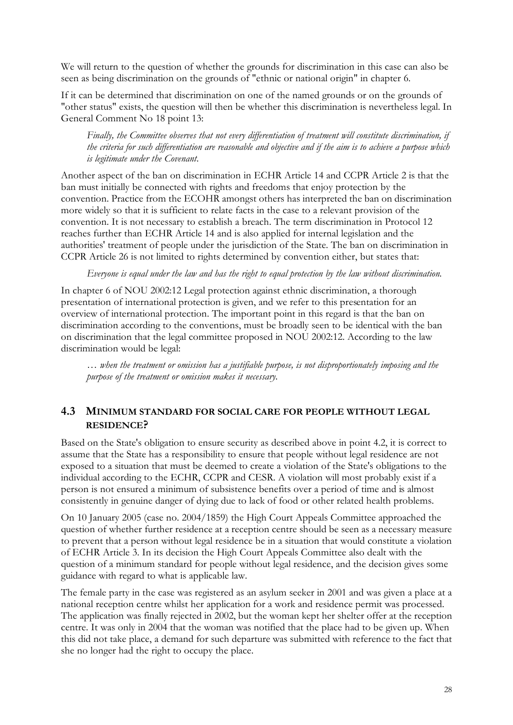<span id="page-32-0"></span>We will return to the question of whether the grounds for discrimination in this case can also be seen as being discrimination on the grounds of "ethnic or national origin" in chapter 6.

If it can be determined that discrimination on one of the named grounds or on the grounds of "other status" exists, the question will then be whether this discrimination is nevertheless legal. In General Comment No 18 point 13:

*Finally, the Committee observes that not every differentiation of treatment will constitute discrimination, if the criteria for such differentiation are reasonable and objective and if the aim is to achieve a purpose which is legitimate under the Covenant.*

Another aspect of the ban on discrimination in ECHR Article 14 and CCPR Article 2 is that the ban must initially be connected with rights and freedoms that enjoy protection by the convention. Practice from the ECOHR amongst others has interpreted the ban on discrimination more widely so that it is sufficient to relate facts in the case to a relevant provision of the convention. It is not necessary to establish a breach. The term discrimination in Protocol 12 reaches further than ECHR Article 14 and is also applied for internal legislation and the authorities' treatment of people under the jurisdiction of the State. The ban on discrimination in CCPR Article 26 is not limited to rights determined by convention either, but states that:

*Everyone is equal under the law and has the right to equal protection by the law without discrimination.*

In chapter 6 of NOU 2002:12 Legal protection against ethnic discrimination, a thorough presentation of international protection is given, and we refer to this presentation for an overview of international protection. The important point in this regard is that the ban on discrimination according to the conventions, must be broadly seen to be identical with the ban on discrimination that the legal committee proposed in NOU 2002:12. According to the law discrimination would be legal:

*… when the treatment or omission has a justifiable purpose, is not disproportionately imposing and the purpose of the treatment or omission makes it necessary.*

#### **4.3 MINIMUM STANDARD FOR SOCIAL CARE FOR PEOPLE WITHOUT LEGAL RESIDENCE?**

Based on the State's obligation to ensure security as described above in point 4.2, it is correct to assume that the State has a responsibility to ensure that people without legal residence are not exposed to a situation that must be deemed to create a violation of the State's obligations to the individual according to the ECHR, CCPR and CESR. A violation will most probably exist if a person is not ensured a minimum of subsistence benefits over a period of time and is almost consistently in genuine danger of dying due to lack of food or other related health problems.

On 10 January 2005 (case no. 2004/1859) the High Court Appeals Committee approached the question of whether further residence at a reception centre should be seen as a necessary measure to prevent that a person without legal residence be in a situation that would constitute a violation of ECHR Article 3. In its decision the High Court Appeals Committee also dealt with the question of a minimum standard for people without legal residence, and the decision gives some guidance with regard to what is applicable law.

The female party in the case was registered as an asylum seeker in 2001 and was given a place at a national reception centre whilst her application for a work and residence permit was processed. The application was finally rejected in 2002, but the woman kept her shelter offer at the reception centre. It was only in 2004 that the woman was notified that the place had to be given up. When this did not take place, a demand for such departure was submitted with reference to the fact that she no longer had the right to occupy the place.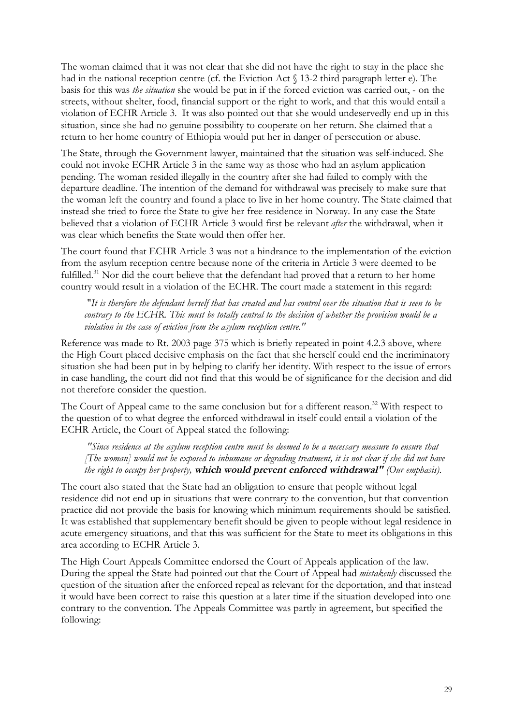The woman claimed that it was not clear that she did not have the right to stay in the place she had in the national reception centre (cf. the Eviction Act § 13-2 third paragraph letter e). The basis for this was *the situation* she would be put in if the forced eviction was carried out, - on the streets, without shelter, food, financial support or the right to work, and that this would entail a violation of ECHR Article 3. It was also pointed out that she would undeservedly end up in this situation, since she had no genuine possibility to cooperate on her return. She claimed that a return to her home country of Ethiopia would put her in danger of persecution or abuse.

The State, through the Government lawyer, maintained that the situation was self-induced. She could not invoke ECHR Article 3 in the same way as those who had an asylum application pending. The woman resided illegally in the country after she had failed to comply with the departure deadline. The intention of the demand for withdrawal was precisely to make sure that the woman left the country and found a place to live in her home country. The State claimed that instead she tried to force the State to give her free residence in Norway. In any case the State believed that a violation of ECHR Article 3 would first be relevant *after* the withdrawal, when it was clear which benefits the State would then offer her.

The court found that ECHR Article 3 was not a hindrance to the implementation of the eviction from the asylum reception centre because none of the criteria in Article 3 were deemed to be fulfilled.<sup>31</sup> Nor did the court believe that the defendant had proved that a return to her home country would result in a violation of the ECHR. The court made a statement in this regard:

"*It is therefore the defendant herself that has created and has control over the situation that is seen to be contrary to the ECHR. This must be totally central to the decision of whether the provision would be a violation in the case of eviction from the asylum reception centre."* 

Reference was made to Rt. 2003 page 375 which is briefly repeated in point 4.2.3 above, where the High Court placed decisive emphasis on the fact that she herself could end the incriminatory situation she had been put in by helping to clarify her identity. With respect to the issue of errors in case handling, the court did not find that this would be of significance for the decision and did not therefore consider the question.

The Court of Appeal came to the same conclusion but for a different reason.<sup>32</sup> With respect to the question of to what degree the enforced withdrawal in itself could entail a violation of the ECHR Article, the Court of Appeal stated the following:

*"Since residence at the asylum reception centre must be deemed to be a necessary measure to ensure that [The woman] would not be exposed to inhumane or degrading treatment, it is not clear if she did not have the right to occupy her property,* **which would prevent enforced withdrawal"** *(Our emphasis).*

The court also stated that the State had an obligation to ensure that people without legal residence did not end up in situations that were contrary to the convention, but that convention practice did not provide the basis for knowing which minimum requirements should be satisfied. It was established that supplementary benefit should be given to people without legal residence in acute emergency situations, and that this was sufficient for the State to meet its obligations in this area according to ECHR Article 3.

The High Court Appeals Committee endorsed the Court of Appeals application of the law. During the appeal the State had pointed out that the Court of Appeal had *mistakenly* discussed the question of the situation after the enforced repeal as relevant for the deportation, and that instead it would have been correct to raise this question at a later time if the situation developed into one contrary to the convention. The Appeals Committee was partly in agreement, but specified the following: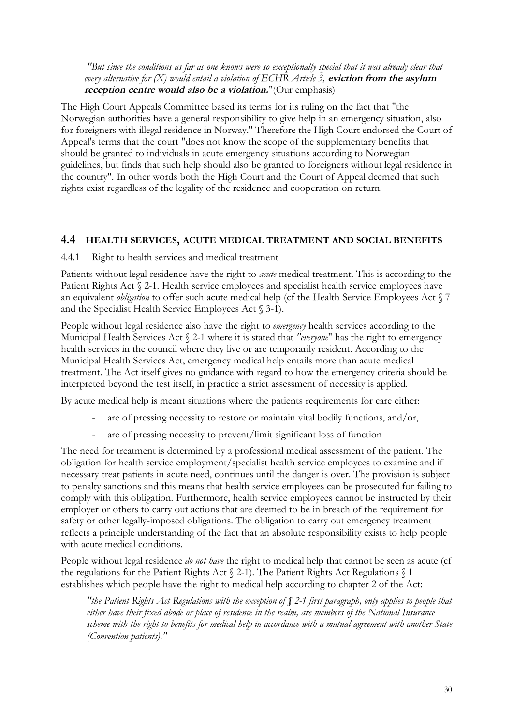<span id="page-34-0"></span>*"But since the conditions as far as one knows were so exceptionally special that it was already clear that every alternative for (X) would entail a violation of ECHR Article 3,* **eviction from the asylum reception centre would also be a violation.**"(Our emphasis)

The High Court Appeals Committee based its terms for its ruling on the fact that "the Norwegian authorities have a general responsibility to give help in an emergency situation, also for foreigners with illegal residence in Norway." Therefore the High Court endorsed the Court of Appeal's terms that the court "does not know the scope of the supplementary benefits that should be granted to individuals in acute emergency situations according to Norwegian guidelines, but finds that such help should also be granted to foreigners without legal residence in the country". In other words both the High Court and the Court of Appeal deemed that such rights exist regardless of the legality of the residence and cooperation on return.

#### **4.4 HEALTH SERVICES, ACUTE MEDICAL TREATMENT AND SOCIAL BENEFITS**

4.4.1 Right to health services and medical treatment

Patients without legal residence have the right to *acute* medical treatment. This is according to the Patient Rights Act § 2-1. Health service employees and specialist health service employees have an equivalent *obligation* to offer such acute medical help (cf the Health Service Employees Act § 7 and the Specialist Health Service Employees Act § 3-1).

People without legal residence also have the right to *emergency* health services according to the Municipal Health Services Act § 2-1 where it is stated that *"everyone*" has the right to emergency health services in the council where they live or are temporarily resident. According to the Municipal Health Services Act, emergency medical help entails more than acute medical treatment. The Act itself gives no guidance with regard to how the emergency criteria should be interpreted beyond the test itself, in practice a strict assessment of necessity is applied.

By acute medical help is meant situations where the patients requirements for care either:

- are of pressing necessity to restore or maintain vital bodily functions, and/or,
- are of pressing necessity to prevent/limit significant loss of function

The need for treatment is determined by a professional medical assessment of the patient. The obligation for health service employment/specialist health service employees to examine and if necessary treat patients in acute need, continues until the danger is over. The provision is subject to penalty sanctions and this means that health service employees can be prosecuted for failing to comply with this obligation. Furthermore, health service employees cannot be instructed by their employer or others to carry out actions that are deemed to be in breach of the requirement for safety or other legally-imposed obligations. The obligation to carry out emergency treatment reflects a principle understanding of the fact that an absolute responsibility exists to help people with acute medical conditions.

People without legal residence *do not have* the right to medical help that cannot be seen as acute (cf the regulations for the Patient Rights Act  $\S$  2-1). The Patient Rights Act Regulations  $\S$  1 establishes which people have the right to medical help according to chapter 2 of the Act:

*"the Patient Rights Act Regulations with the exception of § 2-1 first paragraph, only applies to people that either have their fixed abode or place of residence in the realm, are members of the National Insurance scheme with the right to benefits for medical help in accordance with a mutual agreement with another State (Convention patients)."*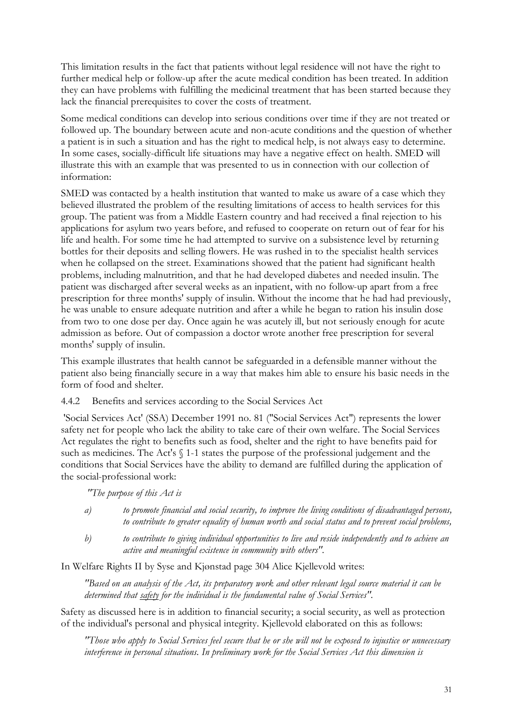<span id="page-35-0"></span>This limitation results in the fact that patients without legal residence will not have the right to further medical help or follow-up after the acute medical condition has been treated. In addition they can have problems with fulfilling the medicinal treatment that has been started because they lack the financial prerequisites to cover the costs of treatment.

Some medical conditions can develop into serious conditions over time if they are not treated or followed up. The boundary between acute and non-acute conditions and the question of whether a patient is in such a situation and has the right to medical help, is not always easy to determine. In some cases, socially-difficult life situations may have a negative effect on health. SMED will illustrate this with an example that was presented to us in connection with our collection of information:

SMED was contacted by a health institution that wanted to make us aware of a case which they believed illustrated the problem of the resulting limitations of access to health services for this group. The patient was from a Middle Eastern country and had received a final rejection to his applications for asylum two years before, and refused to cooperate on return out of fear for his life and health. For some time he had attempted to survive on a subsistence level by returning bottles for their deposits and selling flowers. He was rushed in to the specialist health services when he collapsed on the street. Examinations showed that the patient had significant health problems, including malnutrition, and that he had developed diabetes and needed insulin. The patient was discharged after several weeks as an inpatient, with no follow-up apart from a free prescription for three months' supply of insulin. Without the income that he had had previously, he was unable to ensure adequate nutrition and after a while he began to ration his insulin dose from two to one dose per day. Once again he was acutely ill, but not seriously enough for acute admission as before. Out of compassion a doctor wrote another free prescription for several months' supply of insulin.

This example illustrates that health cannot be safeguarded in a defensible manner without the patient also being financially secure in a way that makes him able to ensure his basic needs in the form of food and shelter.

4.4.2 Benefits and services according to the Social Services Act

 'Social Services Act' (SSA) December 1991 no. 81 ("Social Services Act") represents the lower safety net for people who lack the ability to take care of their own welfare. The Social Services Act regulates the right to benefits such as food, shelter and the right to have benefits paid for such as medicines. The Act's § 1-1 states the purpose of the professional judgement and the conditions that Social Services have the ability to demand are fulfilled during the application of the social-professional work:

*"The purpose of this Act is*

| a) | to promote financial and social security, to improve the living conditions of disadvantaged persons, |
|----|------------------------------------------------------------------------------------------------------|
|    | to contribute to greater equality of human worth and social status and to prevent social problems,   |

*b) to contribute to giving individual opportunities to live and reside independently and to achieve an active and meaningful existence in community with others".*

In Welfare Rights II by Syse and Kjønstad page 304 Alice Kjellevold writes:

*"Based on an analysis of the Act, its preparatory work and other relevant legal source material it can be determined that safety for the individual is the fundamental value of Social Services".*

Safety as discussed here is in addition to financial security; a social security, as well as protection of the individual's personal and physical integrity. Kjellevold elaborated on this as follows:

*"Those who apply to Social Services feel secure that he or she will not be exposed to injustice or unnecessary interference in personal situations. In preliminary work for the Social Services Act this dimension is*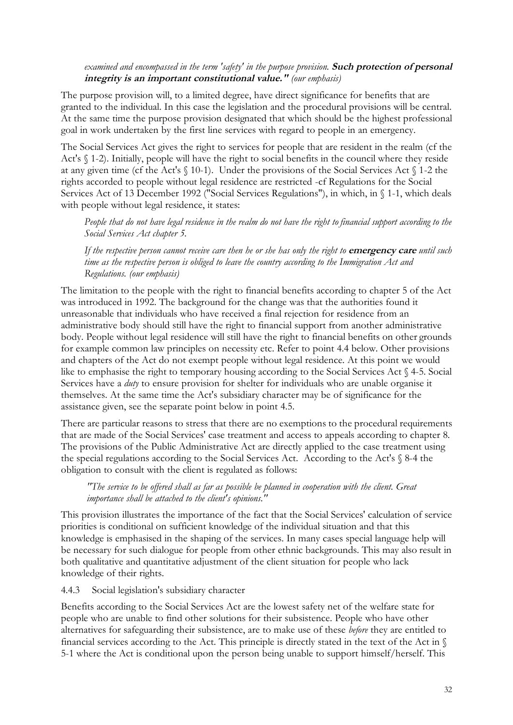### *examined and encompassed in the term 'safety' in the purpose provision.* **Such protection of personal integrity is an important constitutional value."** *(our emphasis)*

The purpose provision will, to a limited degree, have direct significance for benefits that are granted to the individual. In this case the legislation and the procedural provisions will be central. At the same time the purpose provision designated that which should be the highest professional goal in work undertaken by the first line services with regard to people in an emergency.

The Social Services Act gives the right to services for people that are resident in the realm (cf the Act's § 1-2). Initially, people will have the right to social benefits in the council where they reside at any given time (cf the Act's § 10-1). Under the provisions of the Social Services Act § 1-2 the rights accorded to people without legal residence are restricted -cf Regulations for the Social Services Act of 13 December 1992 ("Social Services Regulations"), in which, in § 1-1, which deals with people without legal residence, it states:

*People that do not have legal residence in the realm do not have the right to financial support according to the Social Services Act chapter 5.* 

*If the respective person cannot receive care then he or she has only the right to* **emergency care** *until such time as the respective person is obliged to leave the country according to the Immigration Act and Regulations. (our emphasis)*

The limitation to the people with the right to financial benefits according to chapter 5 of the Act was introduced in 1992. The background for the change was that the authorities found it unreasonable that individuals who have received a final rejection for residence from an administrative body should still have the right to financial support from another administrative body. People without legal residence will still have the right to financial benefits on other grounds for example common law principles on necessity etc. Refer to point 4.4 below. Other provisions and chapters of the Act do not exempt people without legal residence. At this point we would like to emphasise the right to temporary housing according to the Social Services Act § 4-5. Social Services have a *duty* to ensure provision for shelter for individuals who are unable organise it themselves. At the same time the Act's subsidiary character may be of significance for the assistance given, see the separate point below in point 4.5.

There are particular reasons to stress that there are no exemptions to the procedural requirements that are made of the Social Services' case treatment and access to appeals according to chapter 8. The provisions of the Public Administrative Act are directly applied to the case treatment using the special regulations according to the Social Services Act. According to the Act's § 8-4 the obligation to consult with the client is regulated as follows:

*"The service to be offered shall as far as possible be planned in cooperation with the client. Great importance shall be attached to the client's opinions."*

This provision illustrates the importance of the fact that the Social Services' calculation of service priorities is conditional on sufficient knowledge of the individual situation and that this knowledge is emphasised in the shaping of the services. In many cases special language help will be necessary for such dialogue for people from other ethnic backgrounds. This may also result in both qualitative and quantitative adjustment of the client situation for people who lack knowledge of their rights.

4.4.3 Social legislation's subsidiary character

Benefits according to the Social Services Act are the lowest safety net of the welfare state for people who are unable to find other solutions for their subsistence. People who have other alternatives for safeguarding their subsistence, are to make use of these *before* they are entitled to financial services according to the Act. This principle is directly stated in the text of the Act in § 5-1 where the Act is conditional upon the person being unable to support himself/herself. This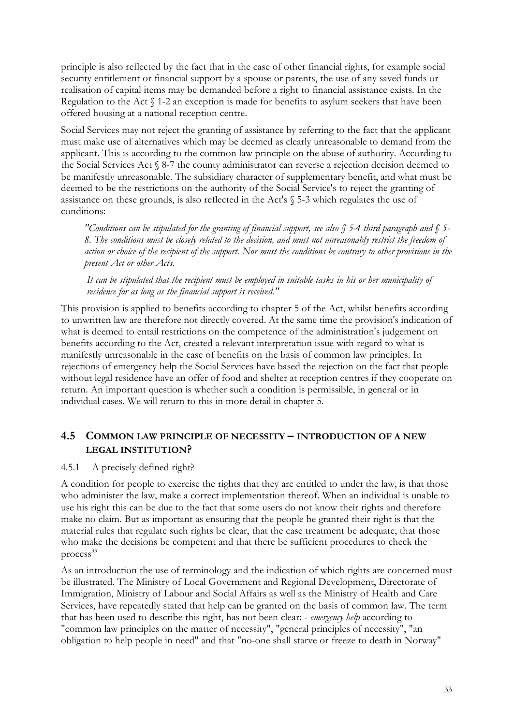principle is also reflected by the fact that in the case of other financial rights, for example social security entitlement or financial support by a spouse or parents, the use of any saved funds or realisation of capital items may be demanded before a right to financial assistance exists. In the Regulation to the Act § 1-2 an exception is made for benefits to asylum seekers that have been offered housing at a national reception centre.

Social Services may not reject the granting of assistance by referring to the fact that the applicant must make use of alternatives which may be deemed as clearly unreasonable to demand from the applicant. This is according to the common law principle on the abuse of authority. According to the Social Services Act § 8-7 the county administrator can reverse a rejection decision deemed to be manifestly unreasonable. The subsidiary character of supplementary benefit, and what must be deemed to be the restrictions on the authority of the Social Service's to reject the granting of assistance on these grounds, is also reflected in the Act's § 5-3 which regulates the use of conditions:

*"Conditions can be stipulated for the granting of financial support, see also § 5-4 third paragraph and § 5- 8. The conditions must be closely related to the decision, and must not unreasonably restrict the freedom of action or choice of the recipient of the support. Nor must the conditions be contrary to other provisions in the present Act or other Acts.*

*It can be stipulated that the recipient must be employed in suitable tasks in his or her municipality of residence for as long as the financial support is received."*

This provision is applied to benefits according to chapter 5 of the Act, whilst benefits according to unwritten law are therefore not directly covered. At the same time the provision's indication of what is deemed to entail restrictions on the competence of the administration's judgement on benefits according to the Act, created a relevant interpretation issue with regard to what is manifestly unreasonable in the case of benefits on the basis of common law principles. In rejections of emergency help the Social Services have based the rejection on the fact that people without legal residence have an offer of food and shelter at reception centres if they cooperate on return. An important question is whether such a condition is permissible, in general or in individual cases. We will return to this in more detail in chapter 5.

## **4.5 COMMON LAW PRINCIPLE OF NECESSITY – INTRODUCTION OF A NEW LEGAL INSTITUTION?**

#### 4.5.1 A precisely defined right?

A condition for people to exercise the rights that they are entitled to under the law, is that those who administer the law, make a correct implementation thereof. When an individual is unable to use his right this can be due to the fact that some users do not know their rights and therefore make no claim. But as important as ensuring that the people be granted their right is that the material rules that regulate such rights be clear, that the case treatment be adequate, that those who make the decisions be competent and that there be sufficient procedures to check the process<sup>33</sup>

As an introduction the use of terminology and the indication of which rights are concerned must be illustrated. The Ministry of Local Government and Regional Development, Directorate of Immigration, Ministry of Labour and Social Affairs as well as the Ministry of Health and Care Services, have repeatedly stated that help can be granted on the basis of common law. The term that has been used to describe this right, has not been clear: - *emergency help* according to "common law principles on the matter of necessity", "general principles of necessity", "an obligation to help people in need" and that "no-one shall starve or freeze to death in Norway"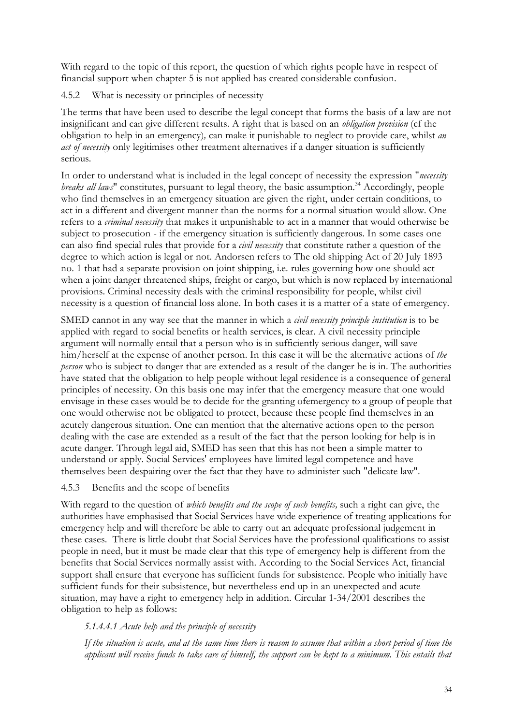With regard to the topic of this report, the question of which rights people have in respect of financial support when chapter 5 is not applied has created considerable confusion.

4.5.2 What is necessity or principles of necessity

The terms that have been used to describe the legal concept that forms the basis of a law are not insignificant and can give different results. A right that is based on an *obligation provision* (cf the obligation to help in an emergency)*,* can make it punishable to neglect to provide care, whilst *an act of necessity* only legitimises other treatment alternatives if a danger situation is sufficiently serious.

In order to understand what is included in the legal concept of necessity the expression "*necessity breaks all laws*" constitutes, pursuant to legal theory, the basic assumption.<sup>34</sup> Accordingly, people who find themselves in an emergency situation are given the right, under certain conditions, to act in a different and divergent manner than the norms for a normal situation would allow. One refers to a *criminal necessity* that makes it unpunishable to act in a manner that would otherwise be subject to prosecution - if the emergency situation is sufficiently dangerous. In some cases one can also find special rules that provide for a *civil necessity* that constitute rather a question of the degree to which action is legal or not. Andorsen refers to The old shipping Act of 20 July 1893 no. 1 that had a separate provision on joint shipping, i.e. rules governing how one should act when a joint danger threatened ships, freight or cargo, but which is now replaced by international provisions. Criminal necessity deals with the criminal responsibility for people, whilst civil necessity is a question of financial loss alone. In both cases it is a matter of a state of emergency.

SMED cannot in any way see that the manner in which a *civil necessity principle institution* is to be applied with regard to social benefits or health services, is clear. A civil necessity principle argument will normally entail that a person who is in sufficiently serious danger, will save him/herself at the expense of another person. In this case it will be the alternative actions of *the person* who is subject to danger that are extended as a result of the danger he is in. The authorities have stated that the obligation to help people without legal residence is a consequence of general principles of necessity. On this basis one may infer that the emergency measure that one would envisage in these cases would be to decide for the granting ofemergency to a group of people that one would otherwise not be obligated to protect, because these people find themselves in an acutely dangerous situation. One can mention that the alternative actions open to the person dealing with the case are extended as a result of the fact that the person looking for help is in acute danger. Through legal aid, SMED has seen that this has not been a simple matter to understand or apply. Social Services' employees have limited legal competence and have themselves been despairing over the fact that they have to administer such "delicate law".

## 4.5.3 Benefits and the scope of benefits

With regard to the question of *which benefits and the scope of such benefits,* such a right can give, the authorities have emphasised that Social Services have wide experience of treating applications for emergency help and will therefore be able to carry out an adequate professional judgement in these cases. There is little doubt that Social Services have the professional qualifications to assist people in need, but it must be made clear that this type of emergency help is different from the benefits that Social Services normally assist with. According to the Social Services Act, financial support shall ensure that everyone has sufficient funds for subsistence. People who initially have sufficient funds for their subsistence, but nevertheless end up in an unexpected and acute situation, may have a right to emergency help in addition. Circular 1-34/2001 describes the obligation to help as follows:

## *5.1.4.4.1 Acute help and the principle of necessity*

*If the situation is acute, and at the same time there is reason to assume that within a short period of time the*  applicant will receive funds to take care of himself, the support can be kept to a minimum. This entails that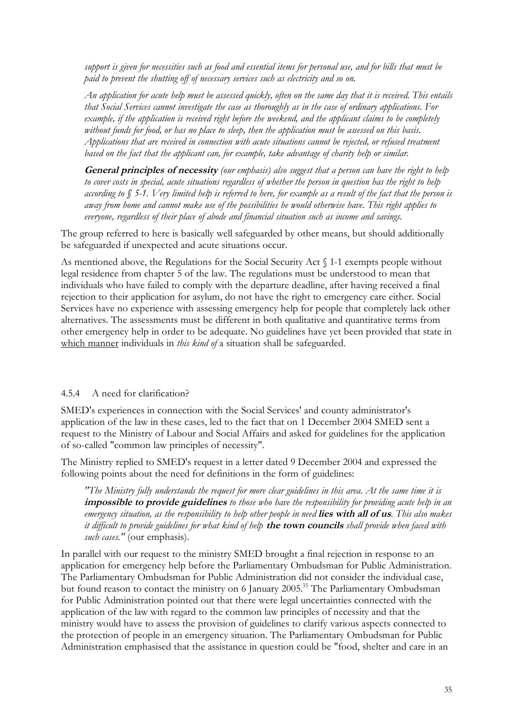*support is given for necessities such as food and essential items for personal use, and for bills that must be paid to prevent the shutting off of necessary services such as electricity and so on.* 

*An application for acute help must be assessed quickly, often on the same day that it is received. This entails that Social Services cannot investigate the case as thoroughly as in the case of ordinary applications. For example, if the application is received right before the weekend, and the applicant claims to be completely without funds for food, or has no place to sleep, then the application must be assessed on this basis. Applications that are received in connection with acute situations cannot be rejected, or refused treatment based on the fact that the applicant can, for example, take advantage of charity help or similar.*

**General principles of necessity** *(our emphasis) also suggest that a person can have the right to help to cover costs in special, acute situations regardless of whether the person in question has the right to help according to § 5-1. Very limited help is referred to here, for example as a result of the fact that the person is away from home and cannot make use of the possibilities he would otherwise have. This right applies to everyone, regardless of their place of abode and financial situation such as income and savings.*

The group referred to here is basically well safeguarded by other means, but should additionally be safeguarded if unexpected and acute situations occur.

As mentioned above, the Regulations for the Social Security Act § 1-1 exempts people without legal residence from chapter 5 of the law. The regulations must be understood to mean that individuals who have failed to comply with the departure deadline, after having received a final rejection to their application for asylum, do not have the right to emergency care either. Social Services have no experience with assessing emergency help for people that completely lack other alternatives. The assessments must be different in both qualitative and quantitative terms from other emergency help in order to be adequate. No guidelines have yet been provided that state in which manner individuals in *this kind of* a situation shall be safeguarded.

#### 4.5.4 A need for clarification?

SMED's experiences in connection with the Social Services' and county administrator's application of the law in these cases, led to the fact that on 1 December 2004 SMED sent a request to the Ministry of Labour and Social Affairs and asked for guidelines for the application of so-called "common law principles of necessity".

The Ministry replied to SMED's request in a letter dated 9 December 2004 and expressed the following points about the need for definitions in the form of guidelines:

*"The Ministry fully understands the request for more clear guidelines in this area. At the same time it is*  **impossible to provide guidelines** *to those who have the responsibility for providing acute help in an emergency situation, as the responsibility to help other people in need* **lies with all of us***. This also makes it difficult to provide guidelines for what kind of help* **the town councils** *shall provide when faced with such cases."* (our emphasis).

In parallel with our request to the ministry SMED brought a final rejection in response to an application for emergency help before the Parliamentary Ombudsman for Public Administration. The Parliamentary Ombudsman for Public Administration did not consider the individual case, but found reason to contact the ministry on 6 January 2005.<sup>35</sup> The Parliamentary Ombudsman for Public Administration pointed out that there were legal uncertainties connected with the application of the law with regard to the common law principles of necessity and that the ministry would have to assess the provision of guidelines to clarify various aspects connected to the protection of people in an emergency situation. The Parliamentary Ombudsman for Public Administration emphasised that the assistance in question could be "food, shelter and care in an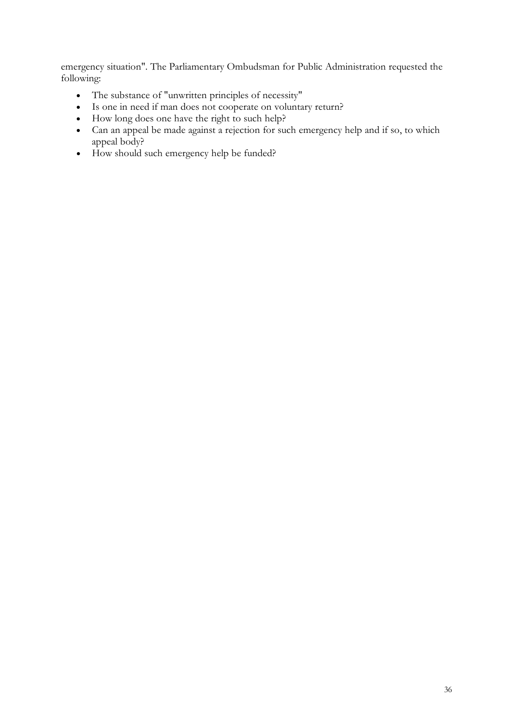emergency situation". The Parliamentary Ombudsman for Public Administration requested the following:

- The substance of "unwritten principles of necessity"
- Is one in need if man does not cooperate on voluntary return?
- How long does one have the right to such help?
- Can an appeal be made against a rejection for such emergency help and if so, to which appeal body?
- How should such emergency help be funded?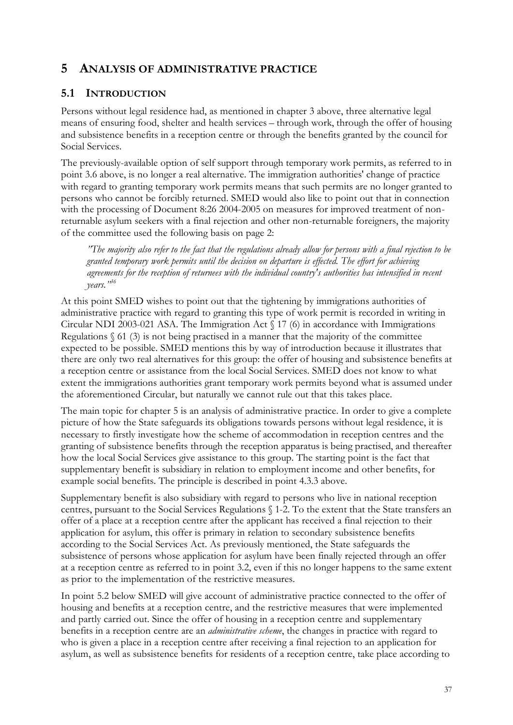# **5 ANALYSIS OF ADMINISTRATIVE PRACTICE**

# **5.1 INTRODUCTION**

Persons without legal residence had, as mentioned in chapter 3 above, three alternative legal means of ensuring food, shelter and health services – through work, through the offer of housing and subsistence benefits in a reception centre or through the benefits granted by the council for Social Services.

The previously-available option of self support through temporary work permits, as referred to in point 3.6 above, is no longer a real alternative. The immigration authorities' change of practice with regard to granting temporary work permits means that such permits are no longer granted to persons who cannot be forcibly returned. SMED would also like to point out that in connection with the processing of Document 8:26 2004-2005 on measures for improved treatment of nonreturnable asylum seekers with a final rejection and other non-returnable foreigners, the majority of the committee used the following basis on page 2:

*"The majority also refer to the fact that the regulations already allow for persons with a final rejection to be granted temporary work permits until the decision on departure is effected. The effort for achieving agreements for the reception of returnees with the individual country's authorities has intensified in recent years."<sup>36</sup>*

At this point SMED wishes to point out that the tightening by immigrations authorities of administrative practice with regard to granting this type of work permit is recorded in writing in Circular NDI 2003-021 ASA. The Immigration Act § 17 (6) in accordance with Immigrations Regulations  $\S$  61 (3) is not being practised in a manner that the majority of the committee expected to be possible. SMED mentions this by way of introduction because it illustrates that there are only two real alternatives for this group: the offer of housing and subsistence benefits at a reception centre or assistance from the local Social Services. SMED does not know to what extent the immigrations authorities grant temporary work permits beyond what is assumed under the aforementioned Circular, but naturally we cannot rule out that this takes place.

The main topic for chapter 5 is an analysis of administrative practice. In order to give a complete picture of how the State safeguards its obligations towards persons without legal residence, it is necessary to firstly investigate how the scheme of accommodation in reception centres and the granting of subsistence benefits through the reception apparatus is being practised, and thereafter how the local Social Services give assistance to this group. The starting point is the fact that supplementary benefit is subsidiary in relation to employment income and other benefits, for example social benefits. The principle is described in point 4.3.3 above.

Supplementary benefit is also subsidiary with regard to persons who live in national reception centres, pursuant to the Social Services Regulations § 1-2. To the extent that the State transfers an offer of a place at a reception centre after the applicant has received a final rejection to their application for asylum, this offer is primary in relation to secondary subsistence benefits according to the Social Services Act. As previously mentioned, the State safeguards the subsistence of persons whose application for asylum have been finally rejected through an offer at a reception centre as referred to in point 3.2, even if this no longer happens to the same extent as prior to the implementation of the restrictive measures.

In point 5.2 below SMED will give account of administrative practice connected to the offer of housing and benefits at a reception centre, and the restrictive measures that were implemented and partly carried out. Since the offer of housing in a reception centre and supplementary benefits in a reception centre are an *administrative scheme*, the changes in practice with regard to who is given a place in a reception centre after receiving a final rejection to an application for asylum, as well as subsistence benefits for residents of a reception centre, take place according to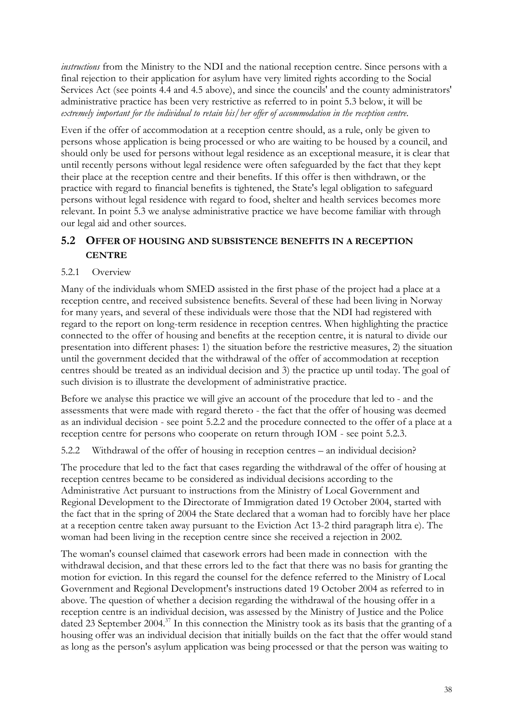*instructions* from the Ministry to the NDI and the national reception centre. Since persons with a final rejection to their application for asylum have very limited rights according to the Social Services Act (see points 4.4 and 4.5 above), and since the councils' and the county administrators' administrative practice has been very restrictive as referred to in point 5.3 below, it will be *extremely important for the individual to retain his/her offer of accommodation in the reception centre*.

Even if the offer of accommodation at a reception centre should, as a rule, only be given to persons whose application is being processed or who are waiting to be housed by a council, and should only be used for persons without legal residence as an exceptional measure, it is clear that until recently persons without legal residence were often safeguarded by the fact that they kept their place at the reception centre and their benefits. If this offer is then withdrawn, or the practice with regard to financial benefits is tightened, the State's legal obligation to safeguard persons without legal residence with regard to food, shelter and health services becomes more relevant. In point 5.3 we analyse administrative practice we have become familiar with through our legal aid and other sources.

# **5.2 OFFER OF HOUSING AND SUBSISTENCE BENEFITS IN A RECEPTION CENTRE**

### 5.2.1 Overview

Many of the individuals whom SMED assisted in the first phase of the project had a place at a reception centre, and received subsistence benefits. Several of these had been living in Norway for many years, and several of these individuals were those that the NDI had registered with regard to the report on long-term residence in reception centres. When highlighting the practice connected to the offer of housing and benefits at the reception centre, it is natural to divide our presentation into different phases: 1) the situation before the restrictive measures, 2) the situation until the government decided that the withdrawal of the offer of accommodation at reception centres should be treated as an individual decision and 3) the practice up until today. The goal of such division is to illustrate the development of administrative practice.

Before we analyse this practice we will give an account of the procedure that led to - and the assessments that were made with regard thereto - the fact that the offer of housing was deemed as an individual decision - see point 5.2.2 and the procedure connected to the offer of a place at a reception centre for persons who cooperate on return through IOM - see point 5.2.3.

5.2.2 Withdrawal of the offer of housing in reception centres – an individual decision?

The procedure that led to the fact that cases regarding the withdrawal of the offer of housing at reception centres became to be considered as individual decisions according to the Administrative Act pursuant to instructions from the Ministry of Local Government and Regional Development to the Directorate of Immigration dated 19 October 2004, started with the fact that in the spring of 2004 the State declared that a woman had to forcibly have her place at a reception centre taken away pursuant to the Eviction Act 13-2 third paragraph litra e). The woman had been living in the reception centre since she received a rejection in 2002.

The woman's counsel claimed that casework errors had been made in connection with the withdrawal decision, and that these errors led to the fact that there was no basis for granting the motion for eviction. In this regard the counsel for the defence referred to the Ministry of Local Government and Regional Development's instructions dated 19 October 2004 as referred to in above. The question of whether a decision regarding the withdrawal of the housing offer in a reception centre is an individual decision, was assessed by the Ministry of Justice and the Police dated 23 September 2004.<sup>37</sup> In this connection the Ministry took as its basis that the granting of a housing offer was an individual decision that initially builds on the fact that the offer would stand as long as the person's asylum application was being processed or that the person was waiting to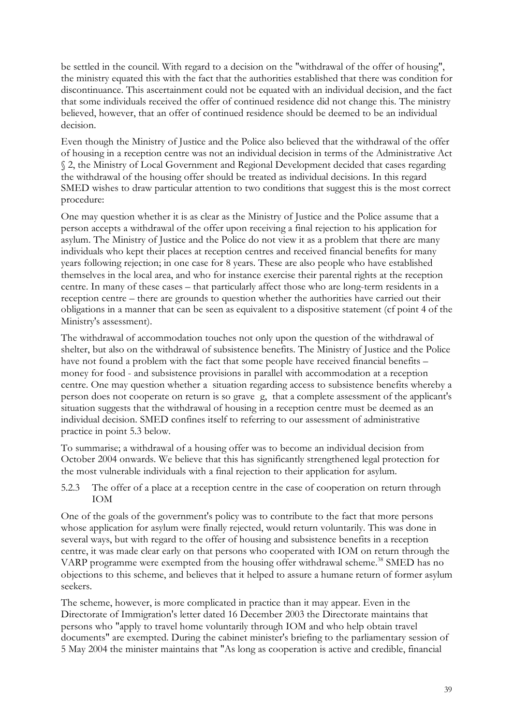be settled in the council. With regard to a decision on the "withdrawal of the offer of housing", the ministry equated this with the fact that the authorities established that there was condition for discontinuance. This ascertainment could not be equated with an individual decision, and the fact that some individuals received the offer of continued residence did not change this. The ministry believed, however, that an offer of continued residence should be deemed to be an individual decision.

Even though the Ministry of Justice and the Police also believed that the withdrawal of the offer of housing in a reception centre was not an individual decision in terms of the Administrative Act § 2, the Ministry of Local Government and Regional Development decided that cases regarding the withdrawal of the housing offer should be treated as individual decisions. In this regard SMED wishes to draw particular attention to two conditions that suggest this is the most correct procedure:

One may question whether it is as clear as the Ministry of Justice and the Police assume that a person accepts a withdrawal of the offer upon receiving a final rejection to his application for asylum. The Ministry of Justice and the Police do not view it as a problem that there are many individuals who kept their places at reception centres and received financial benefits for many years following rejection; in one case for 8 years. These are also people who have established themselves in the local area, and who for instance exercise their parental rights at the reception centre. In many of these cases – that particularly affect those who are long-term residents in a reception centre – there are grounds to question whether the authorities have carried out their obligations in a manner that can be seen as equivalent to a dispositive statement (cf point 4 of the Ministry's assessment).

The withdrawal of accommodation touches not only upon the question of the withdrawal of shelter, but also on the withdrawal of subsistence benefits. The Ministry of Justice and the Police have not found a problem with the fact that some people have received financial benefits – money for food - and subsistence provisions in parallel with accommodation at a reception centre. One may question whether a situation regarding access to subsistence benefits whereby a person does not cooperate on return is so grave g, that a complete assessment of the applicant's situation suggests that the withdrawal of housing in a reception centre must be deemed as an individual decision. SMED confines itself to referring to our assessment of administrative practice in point 5.3 below.

To summarise; a withdrawal of a housing offer was to become an individual decision from October 2004 onwards. We believe that this has significantly strengthened legal protection for the most vulnerable individuals with a final rejection to their application for asylum.

5.2.3 The offer of a place at a reception centre in the case of cooperation on return through IOM

One of the goals of the government's policy was to contribute to the fact that more persons whose application for asylum were finally rejected, would return voluntarily. This was done in several ways, but with regard to the offer of housing and subsistence benefits in a reception centre, it was made clear early on that persons who cooperated with IOM on return through the VARP programme were exempted from the housing offer withdrawal scheme.<sup>38</sup> SMED has no objections to this scheme, and believes that it helped to assure a humane return of former asylum seekers.

The scheme, however, is more complicated in practice than it may appear. Even in the Directorate of Immigration's letter dated 16 December 2003 the Directorate maintains that persons who "apply to travel home voluntarily through IOM and who help obtain travel documents" are exempted. During the cabinet minister's briefing to the parliamentary session of 5 May 2004 the minister maintains that "As long as cooperation is active and credible, financial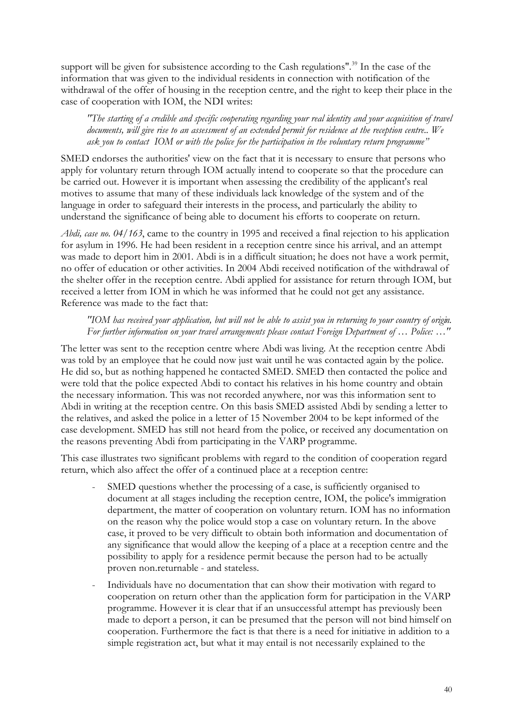support will be given for subsistence according to the Cash regulations".<sup>39</sup> In the case of the information that was given to the individual residents in connection with notification of the withdrawal of the offer of housing in the reception centre, and the right to keep their place in the case of cooperation with IOM, the NDI writes:

*"The starting of a credible and specific cooperating regarding your real identity and your acquisition of travel documents, will give rise to an assessment of an extended permit for residence at the reception centre.. We ask you to contact IOM or with the police for the participation in the voluntary return programme"*

SMED endorses the authorities' view on the fact that it is necessary to ensure that persons who apply for voluntary return through IOM actually intend to cooperate so that the procedure can be carried out. However it is important when assessing the credibility of the applicant's real motives to assume that many of these individuals lack knowledge of the system and of the language in order to safeguard their interests in the process, and particularly the ability to understand the significance of being able to document his efforts to cooperate on return.

*Abdi, case no. 04/163*, came to the country in 1995 and received a final rejection to his application for asylum in 1996. He had been resident in a reception centre since his arrival, and an attempt was made to deport him in 2001. Abdi is in a difficult situation; he does not have a work permit, no offer of education or other activities. In 2004 Abdi received notification of the withdrawal of the shelter offer in the reception centre. Abdi applied for assistance for return through IOM, but received a letter from IOM in which he was informed that he could not get any assistance. Reference was made to the fact that:

### *"IOM has received your application, but will not be able to assist you in returning to your country of origin. For further information on your travel arrangements please contact Foreign Department of … Police: …"*

The letter was sent to the reception centre where Abdi was living. At the reception centre Abdi was told by an employee that he could now just wait until he was contacted again by the police. He did so, but as nothing happened he contacted SMED. SMED then contacted the police and were told that the police expected Abdi to contact his relatives in his home country and obtain the necessary information. This was not recorded anywhere, nor was this information sent to Abdi in writing at the reception centre. On this basis SMED assisted Abdi by sending a letter to the relatives, and asked the police in a letter of 15 November 2004 to be kept informed of the case development. SMED has still not heard from the police, or received any documentation on the reasons preventing Abdi from participating in the VARP programme.

This case illustrates two significant problems with regard to the condition of cooperation regard return, which also affect the offer of a continued place at a reception centre:

- SMED questions whether the processing of a case, is sufficiently organised to document at all stages including the reception centre, IOM, the police's immigration department, the matter of cooperation on voluntary return. IOM has no information on the reason why the police would stop a case on voluntary return. In the above case, it proved to be very difficult to obtain both information and documentation of any significance that would allow the keeping of a place at a reception centre and the possibility to apply for a residence permit because the person had to be actually proven non.returnable - and stateless.
- Individuals have no documentation that can show their motivation with regard to cooperation on return other than the application form for participation in the VARP programme. However it is clear that if an unsuccessful attempt has previously been made to deport a person, it can be presumed that the person will not bind himself on cooperation. Furthermore the fact is that there is a need for initiative in addition to a simple registration act, but what it may entail is not necessarily explained to the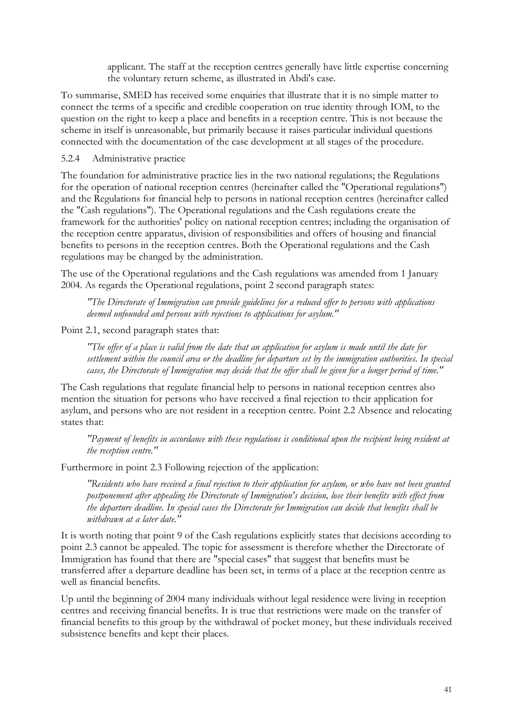applicant. The staff at the reception centres generally have little expertise concerning the voluntary return scheme, as illustrated in Abdi's case.

To summarise, SMED has received some enquiries that illustrate that it is no simple matter to connect the terms of a specific and credible cooperation on true identity through IOM, to the question on the right to keep a place and benefits in a reception centre. This is not because the scheme in itself is unreasonable, but primarily because it raises particular individual questions connected with the documentation of the case development at all stages of the procedure.

#### 5.2.4 Administrative practice

The foundation for administrative practice lies in the two national regulations; the Regulations for the operation of national reception centres (hereinafter called the "Operational regulations") and the Regulations for financial help to persons in national reception centres (hereinafter called the "Cash regulations"). The Operational regulations and the Cash regulations create the framework for the authorities' policy on national reception centres; including the organisation of the reception centre apparatus, division of responsibilities and offers of housing and financial benefits to persons in the reception centres. Both the Operational regulations and the Cash regulations may be changed by the administration.

The use of the Operational regulations and the Cash regulations was amended from 1 January 2004. As regards the Operational regulations, point 2 second paragraph states:

*"The Directorate of Immigration can provide guidelines for a reduced offer to persons with applications deemed unfounded and persons with rejections to applications for asylum."*

Point 2.1, second paragraph states that:

*"The offer of a place is valid from the date that an application for asylum is made until the date for settlement within the council area or the deadline for departure set by the immigration authorities. In special cases, the Directorate of Immigration may decide that the offer shall be given for a longer period of time."*

The Cash regulations that regulate financial help to persons in national reception centres also mention the situation for persons who have received a final rejection to their application for asylum, and persons who are not resident in a reception centre. Point 2.2 Absence and relocating states that:

*"Payment of benefits in accordance with these regulations is conditional upon the recipient being resident at the reception centre."*

Furthermore in point 2.3 Following rejection of the application:

*"Residents who have received a final rejection to their application for asylum, or who have not been granted postponement after appealing the Directorate of Immigration's decision, lose their benefits with effect from the departure deadline. In special cases the Directorate for Immigration can decide that benefits shall be withdrawn at a later date."* 

It is worth noting that point 9 of the Cash regulations explicitly states that decisions according to point 2.3 cannot be appealed. The topic for assessment is therefore whether the Directorate of Immigration has found that there are "special cases" that suggest that benefits must be transferred after a departure deadline has been set, in terms of a place at the reception centre as well as financial benefits.

Up until the beginning of 2004 many individuals without legal residence were living in reception centres and receiving financial benefits. It is true that restrictions were made on the transfer of financial benefits to this group by the withdrawal of pocket money, but these individuals received subsistence benefits and kept their places.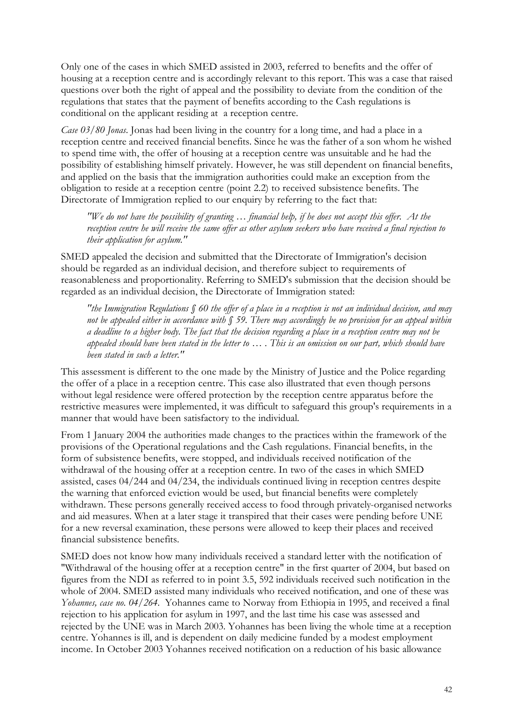Only one of the cases in which SMED assisted in 2003, referred to benefits and the offer of housing at a reception centre and is accordingly relevant to this report. This was a case that raised questions over both the right of appeal and the possibility to deviate from the condition of the regulations that states that the payment of benefits according to the Cash regulations is conditional on the applicant residing at a reception centre.

*Case 03/80 Jonas*. Jonas had been living in the country for a long time, and had a place in a reception centre and received financial benefits. Since he was the father of a son whom he wished to spend time with, the offer of housing at a reception centre was unsuitable and he had the possibility of establishing himself privately. However, he was still dependent on financial benefits, and applied on the basis that the immigration authorities could make an exception from the obligation to reside at a reception centre (point 2.2) to received subsistence benefits. The Directorate of Immigration replied to our enquiry by referring to the fact that:

*"We do not have the possibility of granting … financial help, if he does not accept this offer. At the reception centre he will receive the same offer as other asylum seekers who have received a final rejection to their application for asylum."*

SMED appealed the decision and submitted that the Directorate of Immigration's decision should be regarded as an individual decision, and therefore subject to requirements of reasonableness and proportionality. Referring to SMED's submission that the decision should be regarded as an individual decision, the Directorate of Immigration stated:

*"the Immigration Regulations § 60 the offer of a place in a reception is not an individual decision, and may not be appealed either in accordance with § 59. There may accordingly be no provision for an appeal within a deadline to a higher body. The fact that the decision regarding a place in a reception centre may not be appealed should have been stated in the letter to … . This is an omission on our part, which should have been stated in such a letter."*

This assessment is different to the one made by the Ministry of Justice and the Police regarding the offer of a place in a reception centre. This case also illustrated that even though persons without legal residence were offered protection by the reception centre apparatus before the restrictive measures were implemented, it was difficult to safeguard this group's requirements in a manner that would have been satisfactory to the individual.

From 1 January 2004 the authorities made changes to the practices within the framework of the provisions of the Operational regulations and the Cash regulations. Financial benefits, in the form of subsistence benefits, were stopped, and individuals received notification of the withdrawal of the housing offer at a reception centre. In two of the cases in which SMED assisted, cases 04/244 and 04/234, the individuals continued living in reception centres despite the warning that enforced eviction would be used, but financial benefits were completely withdrawn. These persons generally received access to food through privately-organised networks and aid measures. When at a later stage it transpired that their cases were pending before UNE for a new reversal examination, these persons were allowed to keep their places and received financial subsistence benefits.

SMED does not know how many individuals received a standard letter with the notification of "Withdrawal of the housing offer at a reception centre" in the first quarter of 2004, but based on figures from the NDI as referred to in point 3.5, 592 individuals received such notification in the whole of 2004. SMED assisted many individuals who received notification, and one of these was *Yohannes, case no. 04/264*. Yohannes came to Norway from Ethiopia in 1995, and received a final rejection to his application for asylum in 1997, and the last time his case was assessed and rejected by the UNE was in March 2003. Yohannes has been living the whole time at a reception centre. Yohannes is ill, and is dependent on daily medicine funded by a modest employment income. In October 2003 Yohannes received notification on a reduction of his basic allowance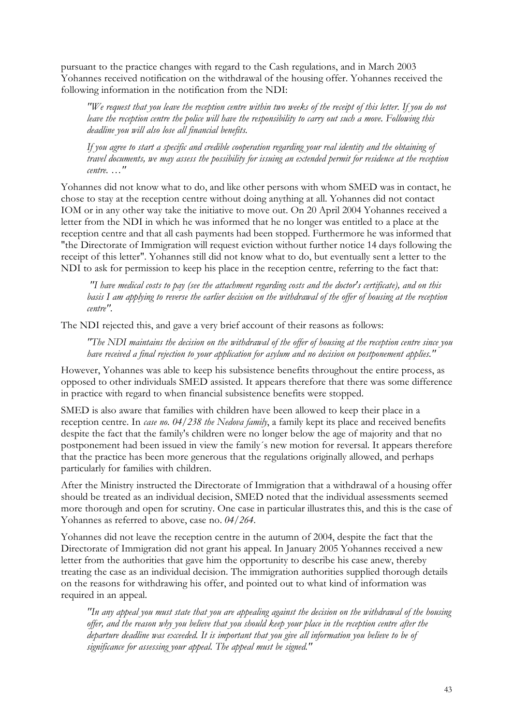pursuant to the practice changes with regard to the Cash regulations, and in March 2003 Yohannes received notification on the withdrawal of the housing offer. Yohannes received the following information in the notification from the NDI:

*"We request that you leave the reception centre within two weeks of the receipt of this letter. If you do not leave the reception centre the police will have the responsibility to carry out such a move. Following this deadline you will also lose all financial benefits.*

*If you agree to start a specific and credible cooperation regarding your real identity and the obtaining of travel documents, we may assess the possibility for issuing an extended permit for residence at the reception centre. …"*

Yohannes did not know what to do, and like other persons with whom SMED was in contact, he chose to stay at the reception centre without doing anything at all. Yohannes did not contact IOM or in any other way take the initiative to move out. On 20 April 2004 Yohannes received a letter from the NDI in which he was informed that he no longer was entitled to a place at the reception centre and that all cash payments had been stopped. Furthermore he was informed that "the Directorate of Immigration will request eviction without further notice 14 days following the receipt of this letter". Yohannes still did not know what to do, but eventually sent a letter to the NDI to ask for permission to keep his place in the reception centre, referring to the fact that:

 *"I have medical costs to pay (see the attachment regarding costs and the doctor's certificate), and on this basis I am applying to reverse the earlier decision on the withdrawal of the offer of housing at the reception centre".* 

The NDI rejected this, and gave a very brief account of their reasons as follows:

*"The NDI maintains the decision on the withdrawal of the offer of housing at the reception centre since you have received a final rejection to your application for asylum and no decision on postponement applies."*

However, Yohannes was able to keep his subsistence benefits throughout the entire process, as opposed to other individuals SMED assisted. It appears therefore that there was some difference in practice with regard to when financial subsistence benefits were stopped.

SMED is also aware that families with children have been allowed to keep their place in a reception centre. In *case no. 04/238 the Nedova family*, a family kept its place and received benefits despite the fact that the family's children were no longer below the age of majority and that no postponement had been issued in view the family´s new motion for reversal. It appears therefore that the practice has been more generous that the regulations originally allowed, and perhaps particularly for families with children.

After the Ministry instructed the Directorate of Immigration that a withdrawal of a housing offer should be treated as an individual decision, SMED noted that the individual assessments seemed more thorough and open for scrutiny. One case in particular illustrates this, and this is the case of Yohannes as referred to above, case no. *04/264*.

Yohannes did not leave the reception centre in the autumn of 2004, despite the fact that the Directorate of Immigration did not grant his appeal. In January 2005 Yohannes received a new letter from the authorities that gave him the opportunity to describe his case anew, thereby treating the case as an individual decision. The immigration authorities supplied thorough details on the reasons for withdrawing his offer, and pointed out to what kind of information was required in an appeal.

*"In any appeal you must state that you are appealing against the decision on the withdrawal of the housing offer, and the reason why you believe that you should keep your place in the reception centre after the departure deadline was exceeded. It is important that you give all information you believe to be of significance for assessing your appeal. The appeal must be signed."*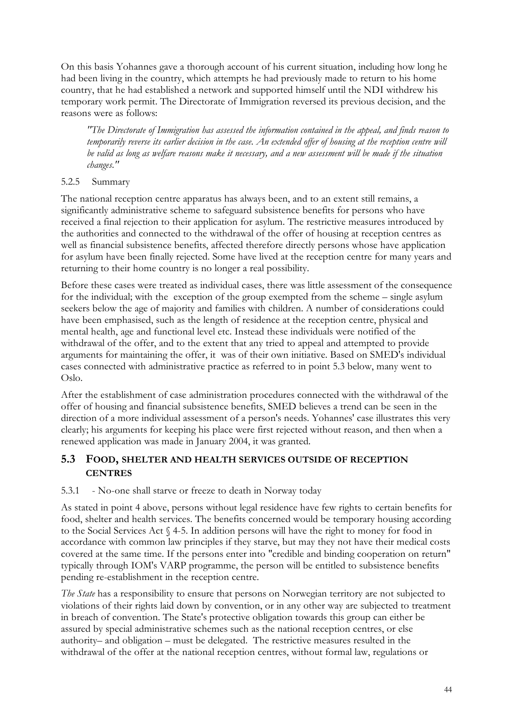On this basis Yohannes gave a thorough account of his current situation, including how long he had been living in the country, which attempts he had previously made to return to his home country, that he had established a network and supported himself until the NDI withdrew his temporary work permit. The Directorate of Immigration reversed its previous decision, and the reasons were as follows:

*"The Directorate of Immigration has assessed the information contained in the appeal, and finds reason to temporarily reverse its earlier decision in the case. An extended offer of housing at the reception centre will be valid as long as welfare reasons make it necessary, and a new assessment will be made if the situation changes."*

## 5.2.5 Summary

The national reception centre apparatus has always been, and to an extent still remains, a significantly administrative scheme to safeguard subsistence benefits for persons who have received a final rejection to their application for asylum. The restrictive measures introduced by the authorities and connected to the withdrawal of the offer of housing at reception centres as well as financial subsistence benefits, affected therefore directly persons whose have application for asylum have been finally rejected. Some have lived at the reception centre for many years and returning to their home country is no longer a real possibility.

Before these cases were treated as individual cases, there was little assessment of the consequence for the individual; with the exception of the group exempted from the scheme – single asylum seekers below the age of majority and families with children. A number of considerations could have been emphasised, such as the length of residence at the reception centre, physical and mental health, age and functional level etc. Instead these individuals were notified of the withdrawal of the offer, and to the extent that any tried to appeal and attempted to provide arguments for maintaining the offer, it was of their own initiative. Based on SMED's individual cases connected with administrative practice as referred to in point 5.3 below, many went to Oslo.

After the establishment of case administration procedures connected with the withdrawal of the offer of housing and financial subsistence benefits, SMED believes a trend can be seen in the direction of a more individual assessment of a person's needs. Yohannes' case illustrates this very clearly; his arguments for keeping his place were first rejected without reason, and then when a renewed application was made in January 2004, it was granted.

## **5.3 FOOD, SHELTER AND HEALTH SERVICES OUTSIDE OF RECEPTION CENTRES**

## 5.3.1 - No-one shall starve or freeze to death in Norway today

As stated in point 4 above, persons without legal residence have few rights to certain benefits for food, shelter and health services. The benefits concerned would be temporary housing according to the Social Services Act § 4-5. In addition persons will have the right to money for food in accordance with common law principles if they starve, but may they not have their medical costs covered at the same time. If the persons enter into "credible and binding cooperation on return" typically through IOM's VARP programme, the person will be entitled to subsistence benefits pending re-establishment in the reception centre.

*The State* has a responsibility to ensure that persons on Norwegian territory are not subjected to violations of their rights laid down by convention, or in any other way are subjected to treatment in breach of convention. The State's protective obligation towards this group can either be assured by special administrative schemes such as the national reception centres, or else authority– and obligation – must be delegated. The restrictive measures resulted in the withdrawal of the offer at the national reception centres, without formal law, regulations or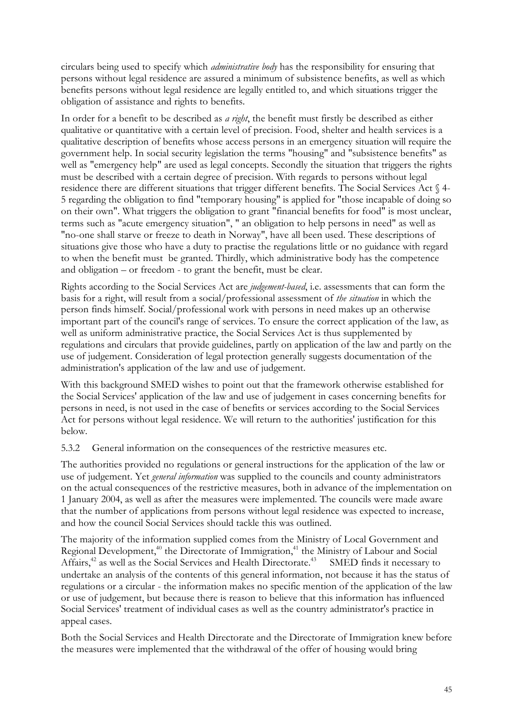circulars being used to specify which *administrative body* has the responsibility for ensuring that persons without legal residence are assured a minimum of subsistence benefits, as well as which benefits persons without legal residence are legally entitled to, and which situations trigger the obligation of assistance and rights to benefits.

In order for a benefit to be described as *a right*, the benefit must firstly be described as either qualitative or quantitative with a certain level of precision. Food, shelter and health services is a qualitative description of benefits whose access persons in an emergency situation will require the government help. In social security legislation the terms "housing" and "subsistence benefits" as well as "emergency help" are used as legal concepts. Secondly the situation that triggers the rights must be described with a certain degree of precision. With regards to persons without legal residence there are different situations that trigger different benefits. The Social Services Act § 4- 5 regarding the obligation to find "temporary housing" is applied for "those incapable of doing so on their own". What triggers the obligation to grant "financial benefits for food" is most unclear, terms such as "acute emergency situation", " an obligation to help persons in need" as well as "no-one shall starve or freeze to death in Norway", have all been used. These descriptions of situations give those who have a duty to practise the regulations little or no guidance with regard to when the benefit must be granted. Thirdly, which administrative body has the competence and obligation – or freedom - to grant the benefit, must be clear.

Rights according to the Social Services Act are *judgement-based*, i.e. assessments that can form the basis for a right, will result from a social/professional assessment of *the situation* in which the person finds himself. Social/professional work with persons in need makes up an otherwise important part of the council's range of services. To ensure the correct application of the law, as well as uniform administrative practice, the Social Services Act is thus supplemented by regulations and circulars that provide guidelines, partly on application of the law and partly on the use of judgement. Consideration of legal protection generally suggests documentation of the administration's application of the law and use of judgement.

With this background SMED wishes to point out that the framework otherwise established for the Social Services' application of the law and use of judgement in cases concerning benefits for persons in need, is not used in the case of benefits or services according to the Social Services Act for persons without legal residence. We will return to the authorities' justification for this below.

5.3.2 General information on the consequences of the restrictive measures etc.

The authorities provided no regulations or general instructions for the application of the law or use of judgement. Yet *general information* was supplied to the councils and county administrators on the actual consequences of the restrictive measures, both in advance of the implementation on 1 January 2004, as well as after the measures were implemented. The councils were made aware that the number of applications from persons without legal residence was expected to increase, and how the council Social Services should tackle this was outlined.

The majority of the information supplied comes from the Ministry of Local Government and Regional Development,<sup>40</sup> the Directorate of Immigration,<sup>41</sup> the Ministry of Labour and Social Affairs,<sup>42</sup> as well as the Social Services and Health Directorate.<sup>43</sup> SMED finds it necessary to undertake an analysis of the contents of this general information, not because it has the status of regulations or a circular - the information makes no specific mention of the application of the law or use of judgement, but because there is reason to believe that this information has influenced Social Services' treatment of individual cases as well as the country administrator's practice in appeal cases.

Both the Social Services and Health Directorate and the Directorate of Immigration knew before the measures were implemented that the withdrawal of the offer of housing would bring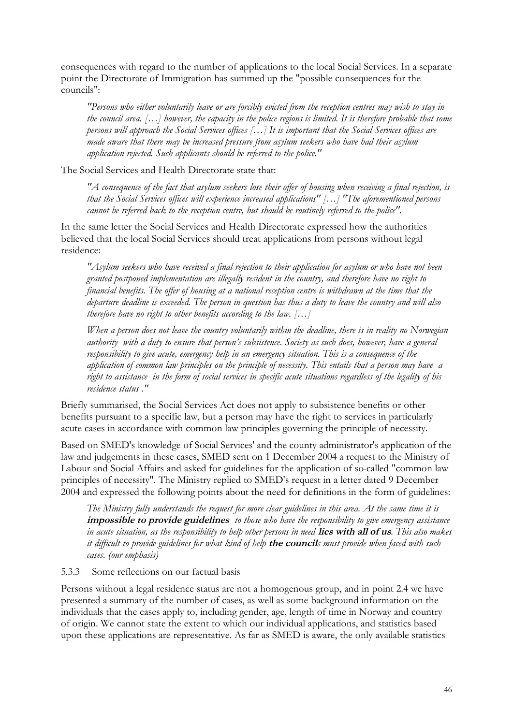consequences with regard to the number of applications to the local Social Services. In a separate point the Directorate of Immigration has summed up the "possible consequences for the councils":

*"Persons who either voluntarily leave or are forcibly evicted from the reception centres may wish to stay in the council area. […] however, the capacity in the police regions is limited. It is therefore probable that some persons will approach the Social Services offices […] It is important that the Social Services offices are made aware that there may be increased pressure from asylum seekers who have had their asylum application rejected. Such applicants should be referred to the police."*

The Social Services and Health Directorate state that:

*"A consequence of the fact that asylum seekers lose their offer of housing when receiving a final rejection, is that the Social Services offices will experience increased applications" […] "The aforementioned persons cannot be referred back to the reception centre, but should be routinely referred to the police".*

In the same letter the Social Services and Health Directorate expressed how the authorities believed that the local Social Services should treat applications from persons without legal residence:

*"Asylum seekers who have received a final rejection to their application for asylum or who have not been granted postponed implementation are illegally resident in the country, and therefore have no right to financial benefits. The offer of housing at a national reception centre is withdrawn at the time that the departure deadline is exceeded. The person in question has thus a duty to leave the country and will also therefore have no right to other benefits according to the law. […]*

*When a person does not leave the country voluntarily within the deadline, there is in reality no Norwegian authority with a duty to ensure that person's subsistence. Society as such does, however, have a general responsibility to give acute, emergency help in an emergency situation. This is a consequence of the application of common law principles on the principle of necessity. This entails that a person may have a right to assistance in the form of social services in specific acute situations regardless of the legality of his residence status ."*

Briefly summarised, the Social Services Act does not apply to subsistence benefits or other benefits pursuant to a specific law, but a person may have the right to services in particularly acute cases in accordance with common law principles governing the principle of necessity.

Based on SMED's knowledge of Social Services' and the county administrator's application of the law and judgements in these cases, SMED sent on 1 December 2004 a request to the Ministry of Labour and Social Affairs and asked for guidelines for the application of so-called "common law principles of necessity". The Ministry replied to SMED's request in a letter dated 9 December 2004 and expressed the following points about the need for definitions in the form of guidelines:

*The Ministry fully understands the request for more clear guidelines in this area. At the same time it is*  **impossible to provide guidelines** *to those who have the responsibility to give emergency assistance in acute situation, as the responsibility to help other persons in need* **lies with all of us***. This also makes it difficult to provide guidelines for what kind of help* **the council***s must provide when faced with such cases. (our emphasis)*

#### 5.3.3 Some reflections on our factual basis

Persons without a legal residence status are not a homogenous group, and in point 2.4 we have presented a summary of the number of cases, as well as some background information on the individuals that the cases apply to, including gender, age, length of time in Norway and country of origin. We cannot state the extent to which our individual applications, and statistics based upon these applications are representative. As far as SMED is aware, the only available statistics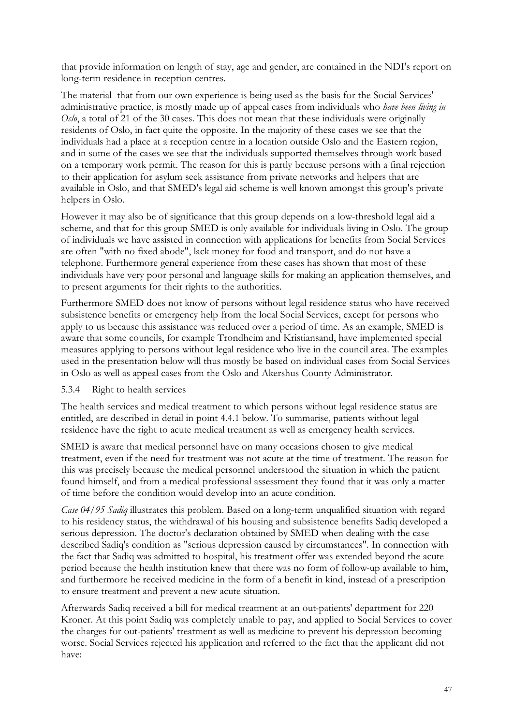that provide information on length of stay, age and gender, are contained in the NDI's report on long-term residence in reception centres.

The material that from our own experience is being used as the basis for the Social Services' administrative practice, is mostly made up of appeal cases from individuals who *have been living in Oslo*, a total of 21 of the 30 cases. This does not mean that these individuals were originally residents of Oslo, in fact quite the opposite. In the majority of these cases we see that the individuals had a place at a reception centre in a location outside Oslo and the Eastern region, and in some of the cases we see that the individuals supported themselves through work based on a temporary work permit. The reason for this is partly because persons with a final rejection to their application for asylum seek assistance from private networks and helpers that are available in Oslo, and that SMED's legal aid scheme is well known amongst this group's private helpers in Oslo.

However it may also be of significance that this group depends on a low-threshold legal aid a scheme, and that for this group SMED is only available for individuals living in Oslo. The group of individuals we have assisted in connection with applications for benefits from Social Services are often "with no fixed abode", lack money for food and transport, and do not have a telephone. Furthermore general experience from these cases has shown that most of these individuals have very poor personal and language skills for making an application themselves, and to present arguments for their rights to the authorities.

Furthermore SMED does not know of persons without legal residence status who have received subsistence benefits or emergency help from the local Social Services, except for persons who apply to us because this assistance was reduced over a period of time. As an example, SMED is aware that some councils, for example Trondheim and Kristiansand, have implemented special measures applying to persons without legal residence who live in the council area. The examples used in the presentation below will thus mostly be based on individual cases from Social Services in Oslo as well as appeal cases from the Oslo and Akershus County Administrator.

#### 5.3.4 Right to health services

The health services and medical treatment to which persons without legal residence status are entitled, are described in detail in point 4.4.1 below. To summarise, patients without legal residence have the right to acute medical treatment as well as emergency health services.

SMED is aware that medical personnel have on many occasions chosen to give medical treatment, even if the need for treatment was not acute at the time of treatment. The reason for this was precisely because the medical personnel understood the situation in which the patient found himself, and from a medical professional assessment they found that it was only a matter of time before the condition would develop into an acute condition.

*Case 04/95 Sadiq* illustrates this problem. Based on a long-term unqualified situation with regard to his residency status, the withdrawal of his housing and subsistence benefits Sadiq developed a serious depression. The doctor's declaration obtained by SMED when dealing with the case described Sadiq's condition as "serious depression caused by circumstances". In connection with the fact that Sadiq was admitted to hospital, his treatment offer was extended beyond the acute period because the health institution knew that there was no form of follow-up available to him, and furthermore he received medicine in the form of a benefit in kind, instead of a prescription to ensure treatment and prevent a new acute situation.

Afterwards Sadiq received a bill for medical treatment at an out-patients' department for 220 Kroner. At this point Sadiq was completely unable to pay, and applied to Social Services to cover the charges for out-patients' treatment as well as medicine to prevent his depression becoming worse. Social Services rejected his application and referred to the fact that the applicant did not have: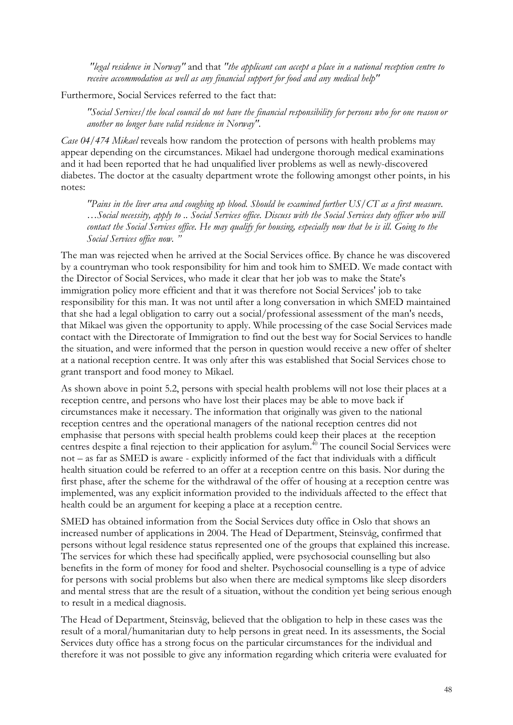*"legal residence in Norway"* and that *"the applicant can accept a place in a national reception centre to receive accommodation as well as any financial support for food and any medical help"*

Furthermore, Social Services referred to the fact that:

*"Social Services/the local council do not have the financial responsibility for persons who for one reason or another no longer have valid residence in Norway".*

*Case 04/474 Mikael* reveals how random the protection of persons with health problems may appear depending on the circumstances. Mikael had undergone thorough medical examinations and it had been reported that he had unqualified liver problems as well as newly-discovered diabetes. The doctor at the casualty department wrote the following amongst other points, in his notes:

*"Pains in the liver area and coughing up blood. Should be examined further US/CT as a first measure. …Social necessity, apply to .. Social Services office. Discuss with the Social Services duty officer who will contact the Social Services office. He may qualify for housing, especially now that he is ill. Going to the Social Services office now. "*

The man was rejected when he arrived at the Social Services office. By chance he was discovered by a countryman who took responsibility for him and took him to SMED. We made contact with the Director of Social Services, who made it clear that her job was to make the State's immigration policy more efficient and that it was therefore not Social Services' job to take responsibility for this man. It was not until after a long conversation in which SMED maintained that she had a legal obligation to carry out a social/professional assessment of the man's needs, that Mikael was given the opportunity to apply. While processing of the case Social Services made contact with the Directorate of Immigration to find out the best way for Social Services to handle the situation, and were informed that the person in question would receive a new offer of shelter at a national reception centre. It was only after this was established that Social Services chose to grant transport and food money to Mikael.

As shown above in point 5.2, persons with special health problems will not lose their places at a reception centre, and persons who have lost their places may be able to move back if circumstances make it necessary. The information that originally was given to the national reception centres and the operational managers of the national reception centres did not emphasise that persons with special health problems could keep their places at the reception centres despite a final rejection to their application for asylum.<sup>40</sup> The council Social Services were not – as far as SMED is aware - explicitly informed of the fact that individuals with a difficult health situation could be referred to an offer at a reception centre on this basis. Nor during the first phase, after the scheme for the withdrawal of the offer of housing at a reception centre was implemented, was any explicit information provided to the individuals affected to the effect that health could be an argument for keeping a place at a reception centre.

SMED has obtained information from the Social Services duty office in Oslo that shows an increased number of applications in 2004. The Head of Department, Steinsvåg, confirmed that persons without legal residence status represented one of the groups that explained this increase. The services for which these had specifically applied, were psychosocial counselling but also benefits in the form of money for food and shelter. Psychosocial counselling is a type of advice for persons with social problems but also when there are medical symptoms like sleep disorders and mental stress that are the result of a situation, without the condition yet being serious enough to result in a medical diagnosis.

The Head of Department, Steinsvåg, believed that the obligation to help in these cases was the result of a moral/humanitarian duty to help persons in great need. In its assessments, the Social Services duty office has a strong focus on the particular circumstances for the individual and therefore it was not possible to give any information regarding which criteria were evaluated for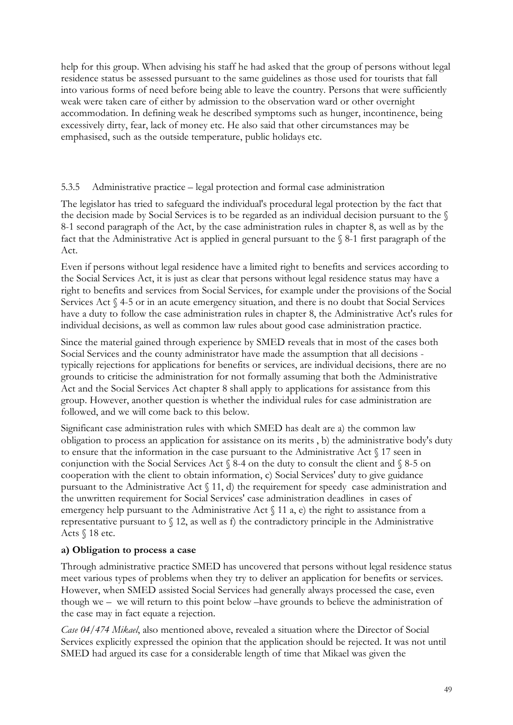help for this group. When advising his staff he had asked that the group of persons without legal residence status be assessed pursuant to the same guidelines as those used for tourists that fall into various forms of need before being able to leave the country. Persons that were sufficiently weak were taken care of either by admission to the observation ward or other overnight accommodation. In defining weak he described symptoms such as hunger, incontinence, being excessively dirty, fear, lack of money etc. He also said that other circumstances may be emphasised, such as the outside temperature, public holidays etc.

## 5.3.5 Administrative practice – legal protection and formal case administration

The legislator has tried to safeguard the individual's procedural legal protection by the fact that the decision made by Social Services is to be regarded as an individual decision pursuant to the § 8-1 second paragraph of the Act, by the case administration rules in chapter 8, as well as by the fact that the Administrative Act is applied in general pursuant to the § 8-1 first paragraph of the Act.

Even if persons without legal residence have a limited right to benefits and services according to the Social Services Act, it is just as clear that persons without legal residence status may have a right to benefits and services from Social Services, for example under the provisions of the Social Services Act § 4-5 or in an acute emergency situation, and there is no doubt that Social Services have a duty to follow the case administration rules in chapter 8, the Administrative Act's rules for individual decisions, as well as common law rules about good case administration practice.

Since the material gained through experience by SMED reveals that in most of the cases both Social Services and the county administrator have made the assumption that all decisions typically rejections for applications for benefits or services, are individual decisions, there are no grounds to criticise the administration for not formally assuming that both the Administrative Act and the Social Services Act chapter 8 shall apply to applications for assistance from this group. However, another question is whether the individual rules for case administration are followed, and we will come back to this below.

Significant case administration rules with which SMED has dealt are a) the common law obligation to process an application for assistance on its merits , b) the administrative body's duty to ensure that the information in the case pursuant to the Administrative Act § 17 seen in conjunction with the Social Services Act  $\frac{8}{4}$  on the duty to consult the client and  $\frac{8}{5}$  on cooperation with the client to obtain information, c) Social Services' duty to give guidance pursuant to the Administrative Act § 11, d) the requirement for speedy case administration and the unwritten requirement for Social Services' case administration deadlines in cases of emergency help pursuant to the Administrative Act  $\int$  11 a, e) the right to assistance from a representative pursuant to  $\S$  12, as well as f) the contradictory principle in the Administrative Acts § 18 etc.

## **a) Obligation to process a case**

Through administrative practice SMED has uncovered that persons without legal residence status meet various types of problems when they try to deliver an application for benefits or services. However, when SMED assisted Social Services had generally always processed the case, even though we – we will return to this point below –have grounds to believe the administration of the case may in fact equate a rejection.

*Case 04/474 Mikael*, also mentioned above, revealed a situation where the Director of Social Services explicitly expressed the opinion that the application should be rejected. It was not until SMED had argued its case for a considerable length of time that Mikael was given the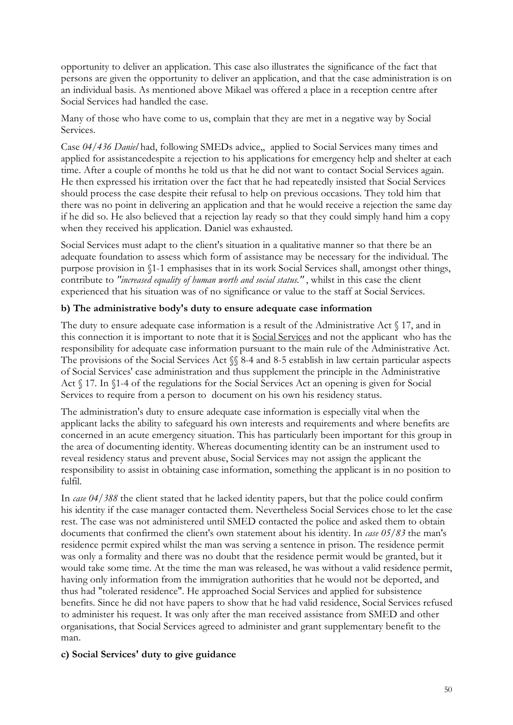opportunity to deliver an application. This case also illustrates the significance of the fact that persons are given the opportunity to deliver an application, and that the case administration is on an individual basis. As mentioned above Mikael was offered a place in a reception centre after Social Services had handled the case.

Many of those who have come to us, complain that they are met in a negative way by Social Services.

Case *04/436 Daniel* had, following SMEDs advice,, applied to Social Services many times and applied for assistancedespite a rejection to his applications for emergency help and shelter at each time. After a couple of months he told us that he did not want to contact Social Services again. He then expressed his irritation over the fact that he had repeatedly insisted that Social Services should process the case despite their refusal to help on previous occasions. They told him that there was no point in delivering an application and that he would receive a rejection the same day if he did so. He also believed that a rejection lay ready so that they could simply hand him a copy when they received his application. Daniel was exhausted.

Social Services must adapt to the client's situation in a qualitative manner so that there be an adequate foundation to assess which form of assistance may be necessary for the individual. The purpose provision in §1-1 emphasises that in its work Social Services shall, amongst other things, contribute to *"increased equality of human worth and social status."* , whilst in this case the client experienced that his situation was of no significance or value to the staff at Social Services.

## **b) The administrative body's duty to ensure adequate case information**

The duty to ensure adequate case information is a result of the Administrative Act § 17, and in this connection it is important to note that it is Social Services and not the applicant who has the responsibility for adequate case information pursuant to the main rule of the Administrative Act. The provisions of the Social Services Act  $\%$  8-4 and 8-5 establish in law certain particular aspects of Social Services' case administration and thus supplement the principle in the Administrative Act § 17. In §1-4 of the regulations for the Social Services Act an opening is given for Social Services to require from a person to document on his own his residency status.

The administration's duty to ensure adequate case information is especially vital when the applicant lacks the ability to safeguard his own interests and requirements and where benefits are concerned in an acute emergency situation. This has particularly been important for this group in the area of documenting identity. Whereas documenting identity can be an instrument used to reveal residency status and prevent abuse, Social Services may not assign the applicant the responsibility to assist in obtaining case information, something the applicant is in no position to fulfil.

In *case 04/388* the client stated that he lacked identity papers, but that the police could confirm his identity if the case manager contacted them. Nevertheless Social Services chose to let the case rest. The case was not administered until SMED contacted the police and asked them to obtain documents that confirmed the client's own statement about his identity. In *case 05/83* the man's residence permit expired whilst the man was serving a sentence in prison. The residence permit was only a formality and there was no doubt that the residence permit would be granted, but it would take some time. At the time the man was released, he was without a valid residence permit, having only information from the immigration authorities that he would not be deported, and thus had "tolerated residence". He approached Social Services and applied for subsistence benefits. Since he did not have papers to show that he had valid residence, Social Services refused to administer his request. It was only after the man received assistance from SMED and other organisations, that Social Services agreed to administer and grant supplementary benefit to the man.

## **c) Social Services' duty to give guidance**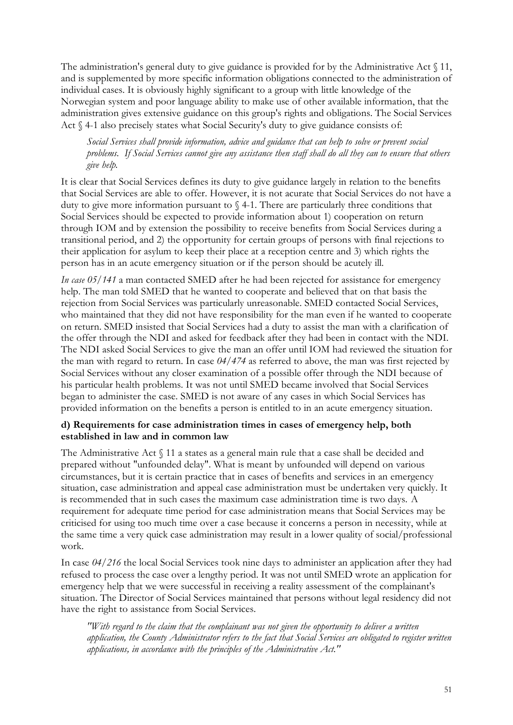The administration's general duty to give guidance is provided for by the Administrative Act  $\S$  11, and is supplemented by more specific information obligations connected to the administration of individual cases. It is obviously highly significant to a group with little knowledge of the Norwegian system and poor language ability to make use of other available information, that the administration gives extensive guidance on this group's rights and obligations. The Social Services Act  $\%$  4-1 also precisely states what Social Security's duty to give guidance consists of:

*Social Services shall provide information, advice and guidance that can help to solve or prevent social problems. If Social Services cannot give any assistance then staff shall do all they can to ensure that others give help.*

It is clear that Social Services defines its duty to give guidance largely in relation to the benefits that Social Services are able to offer. However, it is not acurate that Social Services do not have a duty to give more information pursuant to § 4-1. There are particularly three conditions that Social Services should be expected to provide information about 1) cooperation on return through IOM and by extension the possibility to receive benefits from Social Services during a transitional period, and 2) the opportunity for certain groups of persons with final rejections to their application for asylum to keep their place at a reception centre and 3) which rights the person has in an acute emergency situation or if the person should be acutely ill.

*In case 05/141* a man contacted SMED after he had been rejected for assistance for emergency help. The man told SMED that he wanted to cooperate and believed that on that basis the rejection from Social Services was particularly unreasonable. SMED contacted Social Services, who maintained that they did not have responsibility for the man even if he wanted to cooperate on return. SMED insisted that Social Services had a duty to assist the man with a clarification of the offer through the NDI and asked for feedback after they had been in contact with the NDI. The NDI asked Social Services to give the man an offer until IOM had reviewed the situation for the man with regard to return. In case *04/474* as referred to above, the man was first rejected by Social Services without any closer examination of a possible offer through the NDI because of his particular health problems. It was not until SMED became involved that Social Services began to administer the case. SMED is not aware of any cases in which Social Services has provided information on the benefits a person is entitled to in an acute emergency situation.

### **d) Requirements for case administration times in cases of emergency help, both established in law and in common law**

The Administrative Act  $\int$  11 a states as a general main rule that a case shall be decided and prepared without "unfounded delay". What is meant by unfounded will depend on various circumstances, but it is certain practice that in cases of benefits and services in an emergency situation, case administration and appeal case administration must be undertaken very quickly. It is recommended that in such cases the maximum case administration time is two days. A requirement for adequate time period for case administration means that Social Services may be criticised for using too much time over a case because it concerns a person in necessity, while at the same time a very quick case administration may result in a lower quality of social/professional work.

In case *04/216* the local Social Services took nine days to administer an application after they had refused to process the case over a lengthy period. It was not until SMED wrote an application for emergency help that we were successful in receiving a reality assessment of the complainant's situation. The Director of Social Services maintained that persons without legal residency did not have the right to assistance from Social Services.

*"With regard to the claim that the complainant was not given the opportunity to deliver a written application, the County Administrator refers to the fact that Social Services are obligated to register written applications, in accordance with the principles of the Administrative Act."*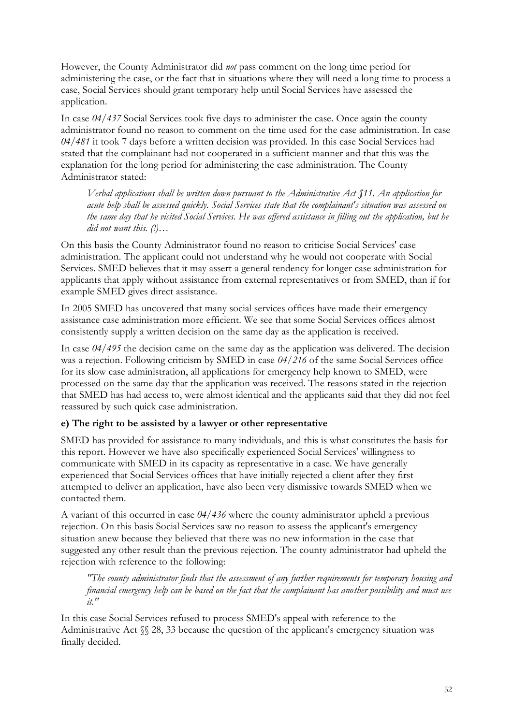However, the County Administrator did *not* pass comment on the long time period for administering the case, or the fact that in situations where they will need a long time to process a case, Social Services should grant temporary help until Social Services have assessed the application.

In case *04/437* Social Services took five days to administer the case. Once again the county administrator found no reason to comment on the time used for the case administration. In case *04/481* it took 7 days before a written decision was provided. In this case Social Services had stated that the complainant had not cooperated in a sufficient manner and that this was the explanation for the long period for administering the case administration. The County Administrator stated:

*Verbal applications shall be written down pursuant to the Administrative Act §11. An application for acute help shall be assessed quickly. Social Services state that the complainant's situation was assessed on the same day that he visited Social Services. He was offered assistance in filling out the application, but he did not want this. (!)…*

On this basis the County Administrator found no reason to criticise Social Services' case administration. The applicant could not understand why he would not cooperate with Social Services. SMED believes that it may assert a general tendency for longer case administration for applicants that apply without assistance from external representatives or from SMED, than if for example SMED gives direct assistance.

In 2005 SMED has uncovered that many social services offices have made their emergency assistance case administration more efficient. We see that some Social Services offices almost consistently supply a written decision on the same day as the application is received.

In case *04/495* the decision came on the same day as the application was delivered. The decision was a rejection. Following criticism by SMED in case *04/216* of the same Social Services office for its slow case administration, all applications for emergency help known to SMED, were processed on the same day that the application was received. The reasons stated in the rejection that SMED has had access to, were almost identical and the applicants said that they did not feel reassured by such quick case administration.

## **e) The right to be assisted by a lawyer or other representative**

SMED has provided for assistance to many individuals, and this is what constitutes the basis for this report. However we have also specifically experienced Social Services' willingness to communicate with SMED in its capacity as representative in a case. We have generally experienced that Social Services offices that have initially rejected a client after they first attempted to deliver an application, have also been very dismissive towards SMED when we contacted them.

A variant of this occurred in case *04/436* where the county administrator upheld a previous rejection. On this basis Social Services saw no reason to assess the applicant's emergency situation anew because they believed that there was no new information in the case that suggested any other result than the previous rejection. The county administrator had upheld the rejection with reference to the following:

*"The county administrator finds that the assessment of any further requirements for temporary housing and financial emergency help can be based on the fact that the complainant has another possibility and must use it."*

In this case Social Services refused to process SMED's appeal with reference to the Administrative Act  $\mathcal{S}$  28, 33 because the question of the applicant's emergency situation was finally decided.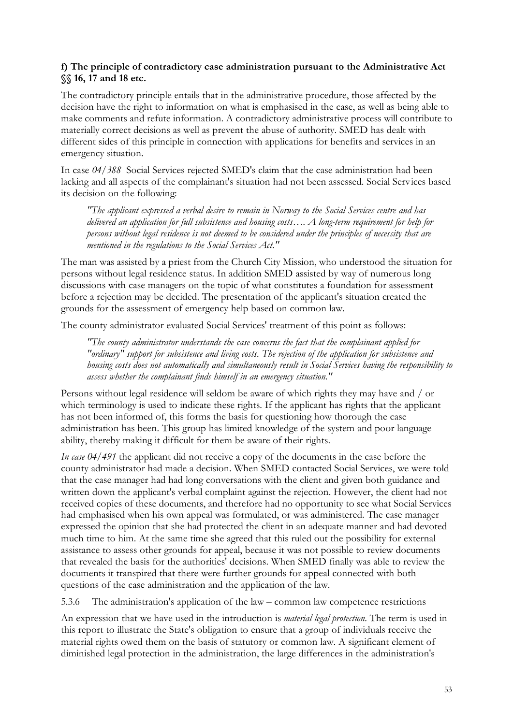## **f) The principle of contradictory case administration pursuant to the Administrative Act §§ 16, 17 and 18 etc.**

The contradictory principle entails that in the administrative procedure, those affected by the decision have the right to information on what is emphasised in the case, as well as being able to make comments and refute information. A contradictory administrative process will contribute to materially correct decisions as well as prevent the abuse of authority. SMED has dealt with different sides of this principle in connection with applications for benefits and services in an emergency situation.

In case *04/388* Social Services rejected SMED's claim that the case administration had been lacking and all aspects of the complainant's situation had not been assessed. Social Services based its decision on the following:

*"The applicant expressed a verbal desire to remain in Norway to the Social Services centre and has delivered an application for full subsistence and housing costs…. A long-term requirement for help for persons without legal residence is not deemed to be considered under the principles of necessity that are mentioned in the regulations to the Social Services Act."*

The man was assisted by a priest from the Church City Mission, who understood the situation for persons without legal residence status. In addition SMED assisted by way of numerous long discussions with case managers on the topic of what constitutes a foundation for assessment before a rejection may be decided. The presentation of the applicant's situation created the grounds for the assessment of emergency help based on common law.

The county administrator evaluated Social Services' treatment of this point as follows:

*"The county administrator understands the case concerns the fact that the complainant applied for "ordinary" support for subsistence and living costs. The rejection of the application for subsistence and housing costs does not automatically and simultaneously result in Social Services having the responsibility to assess whether the complainant finds himself in an emergency situation."*

Persons without legal residence will seldom be aware of which rights they may have and / or which terminology is used to indicate these rights. If the applicant has rights that the applicant has not been informed of, this forms the basis for questioning how thorough the case administration has been. This group has limited knowledge of the system and poor language ability, thereby making it difficult for them be aware of their rights.

*In case 04/491* the applicant did not receive a copy of the documents in the case before the county administrator had made a decision. When SMED contacted Social Services, we were told that the case manager had had long conversations with the client and given both guidance and written down the applicant's verbal complaint against the rejection. However, the client had not received copies of these documents, and therefore had no opportunity to see what Social Services had emphasised when his own appeal was formulated, or was administered. The case manager expressed the opinion that she had protected the client in an adequate manner and had devoted much time to him. At the same time she agreed that this ruled out the possibility for external assistance to assess other grounds for appeal, because it was not possible to review documents that revealed the basis for the authorities' decisions. When SMED finally was able to review the documents it transpired that there were further grounds for appeal connected with both questions of the case administration and the application of the law.

5.3.6 The administration's application of the law – common law competence restrictions

An expression that we have used in the introduction is *material legal protection*. The term is used in this report to illustrate the State's obligation to ensure that a group of individuals receive the material rights owed them on the basis of statutory or common law. A significant element of diminished legal protection in the administration, the large differences in the administration's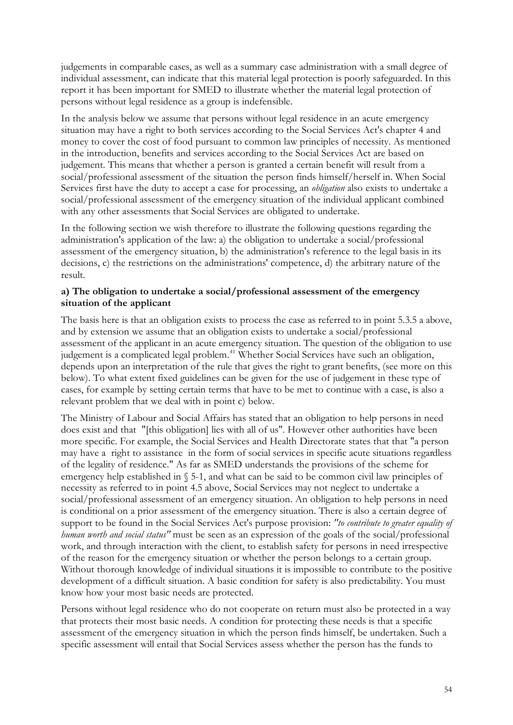judgements in comparable cases, as well as a summary case administration with a small degree of individual assessment, can indicate that this material legal protection is poorly safeguarded. In this report it has been important for SMED to illustrate whether the material legal protection of persons without legal residence as a group is indefensible.

In the analysis below we assume that persons without legal residence in an acute emergency situation may have a right to both services according to the Social Services Act's chapter 4 and money to cover the cost of food pursuant to common law principles of necessity. As mentioned in the introduction, benefits and services according to the Social Services Act are based on judgement. This means that whether a person is granted a certain benefit will result from a social/professional assessment of the situation the person finds himself/herself in. When Social Services first have the duty to accept a case for processing, an *obligation* also exists to undertake a social/professional assessment of the emergency situation of the individual applicant combined with any other assessments that Social Services are obligated to undertake.

In the following section we wish therefore to illustrate the following questions regarding the administration's application of the law: a) the obligation to undertake a social/professional assessment of the emergency situation, b) the administration's reference to the legal basis in its decisions, c) the restrictions on the administrations' competence, d) the arbitrary nature of the result.

### **a) The obligation to undertake a social/professional assessment of the emergency situation of the applicant**

The basis here is that an obligation exists to process the case as referred to in point 5.3.5 a above, and by extension we assume that an obligation exists to undertake a social/professional assessment of the applicant in an acute emergency situation. The question of the obligation to use judgement is a complicated legal problem.<sup>41</sup> Whether Social Services have such an obligation, depends upon an interpretation of the rule that gives the right to grant benefits, (see more on this below). To what extent fixed guidelines can be given for the use of judgement in these type of cases, for example by setting certain terms that have to be met to continue with a case, is also a relevant problem that we deal with in point c) below.

The Ministry of Labour and Social Affairs has stated that an obligation to help persons in need does exist and that "[this obligation] lies with all of us". However other authorities have been more specific. For example, the Social Services and Health Directorate states that that "a person may have a right to assistance in the form of social services in specific acute situations regardless of the legality of residence." As far as SMED understands the provisions of the scheme for emergency help established in § 5-1, and what can be said to be common civil law principles of necessity as referred to in point 4.5 above, Social Services may not neglect to undertake a social/professional assessment of an emergency situation. An obligation to help persons in need is conditional on a prior assessment of the emergency situation. There is also a certain degree of support to be found in the Social Services Act's purpose provision: *"to contribute to greater equality of human worth and social status"* must be seen as an expression of the goals of the social/professional work, and through interaction with the client, to establish safety for persons in need irrespective of the reason for the emergency situation or whether the person belongs to a certain group. Without thorough knowledge of individual situations it is impossible to contribute to the positive development of a difficult situation. A basic condition for safety is also predictability. You must know how your most basic needs are protected.

Persons without legal residence who do not cooperate on return must also be protected in a way that protects their most basic needs. A condition for protecting these needs is that a specific assessment of the emergency situation in which the person finds himself, be undertaken. Such a specific assessment will entail that Social Services assess whether the person has the funds to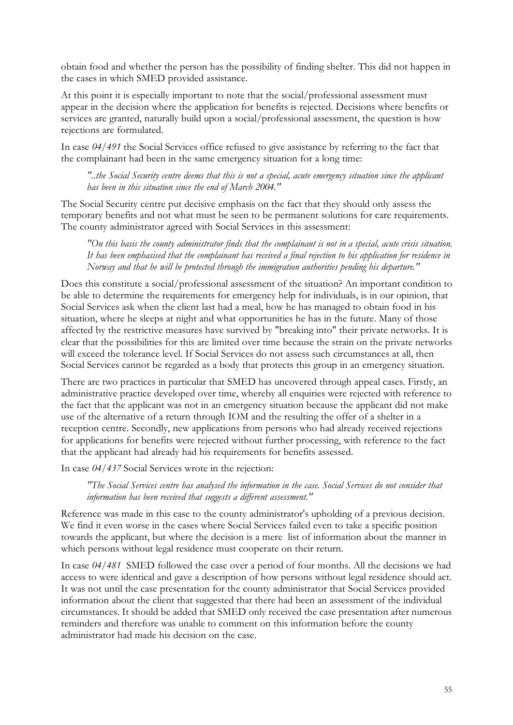obtain food and whether the person has the possibility of finding shelter. This did not happen in the cases in which SMED provided assistance.

At this point it is especially important to note that the social/professional assessment must appear in the decision where the application for benefits is rejected. Decisions where benefits or services are granted, naturally build upon a social/professional assessment, the question is how rejections are formulated.

In case *04/491* the Social Services office refused to give assistance by referring to the fact that the complainant had been in the same emergency situation for a long time:

*"..the Social Security centre deems that this is not a special, acute emergency situation since the applicant has been in this situation since the end of March 2004."*

The Social Security centre put decisive emphasis on the fact that they should only assess the temporary benefits and not what must be seen to be permanent solutions for care requirements. The county administrator agreed with Social Services in this assessment:

*"On this basis the county administrator finds that the complainant is not in a special, acute crisis situation. It has been emphasised that the complainant has received a final rejection to his application for residence in Norway and that he will be protected through the immigration authorities pending his departure."*

Does this constitute a social/professional assessment of the situation? An important condition to be able to determine the requirements for emergency help for individuals, is in our opinion, that Social Services ask when the client last had a meal, how he has managed to obtain food in his situation, where he sleeps at night and what opportunities he has in the future. Many of those affected by the restrictive measures have survived by "breaking into" their private networks. It is clear that the possibilities for this are limited over time because the strain on the private networks will exceed the tolerance level. If Social Services do not assess such circumstances at all, then Social Services cannot be regarded as a body that protects this group in an emergency situation.

There are two practices in particular that SMED has uncovered through appeal cases. Firstly, an administrative practice developed over time, whereby all enquiries were rejected with reference to the fact that the applicant was not in an emergency situation because the applicant did not make use of the alternative of a return through IOM and the resulting the offer of a shelter in a reception centre. Secondly, new applications from persons who had already received rejections for applications for benefits were rejected without further processing, with reference to the fact that the applicant had already had his requirements for benefits assessed.

In case *04/437* Social Services wrote in the rejection:

*"The Social Services centre has analysed the information in the case. Social Services do not consider that information has been received that suggests a different assessment."*

Reference was made in this case to the county administrator's upholding of a previous decision. We find it even worse in the cases where Social Services failed even to take a specific position towards the applicant, but where the decision is a mere list of information about the manner in which persons without legal residence must cooperate on their return.

In case *04/481* SMED followed the case over a period of four months. All the decisions we had access to were identical and gave a description of how persons without legal residence should act. It was not until the case presentation for the county administrator that Social Services provided information about the client that suggested that there had been an assessment of the individual circumstances. It should be added that SMED only received the case presentation after numerous reminders and therefore was unable to comment on this information before the county administrator had made his decision on the case.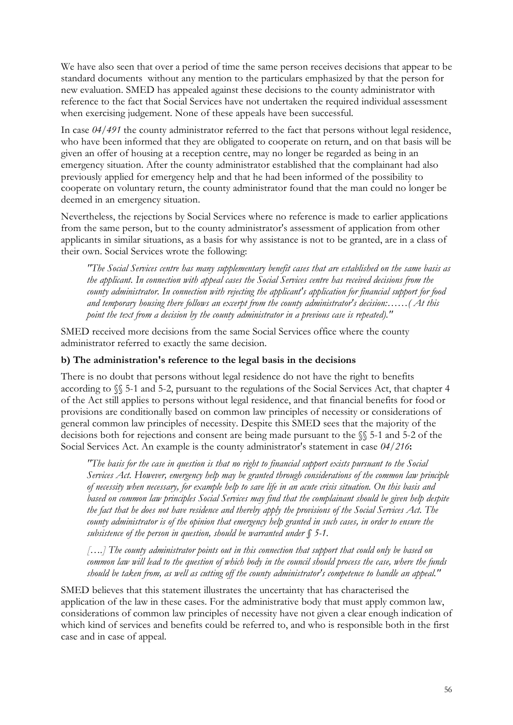We have also seen that over a period of time the same person receives decisions that appear to be standard documents without any mention to the particulars emphasized by that the person for new evaluation. SMED has appealed against these decisions to the county administrator with reference to the fact that Social Services have not undertaken the required individual assessment when exercising judgement. None of these appeals have been successful.

In case *04/491* the county administrator referred to the fact that persons without legal residence, who have been informed that they are obligated to cooperate on return, and on that basis will be given an offer of housing at a reception centre, may no longer be regarded as being in an emergency situation. After the county administrator established that the complainant had also previously applied for emergency help and that he had been informed of the possibility to cooperate on voluntary return, the county administrator found that the man could no longer be deemed in an emergency situation.

Nevertheless, the rejections by Social Services where no reference is made to earlier applications from the same person, but to the county administrator's assessment of application from other applicants in similar situations, as a basis for why assistance is not to be granted, are in a class of their own. Social Services wrote the following:

*"The Social Services centre has many supplementary benefit cases that are established on the same basis as the applicant. In connection with appeal cases the Social Services centre has received decisions from the county administrator. In connection with rejecting the applicant's application for financial support for food and temporary housing there follows an excerpt from the county administrator's decision:……( At this point the text from a decision by the county administrator in a previous case is repeated)."*

SMED received more decisions from the same Social Services office where the county administrator referred to exactly the same decision.

#### **b) The administration's reference to the legal basis in the decisions**

There is no doubt that persons without legal residence do not have the right to benefits according to §§ 5-1 and 5-2, pursuant to the regulations of the Social Services Act, that chapter 4 of the Act still applies to persons without legal residence, and that financial benefits for food or provisions are conditionally based on common law principles of necessity or considerations of general common law principles of necessity. Despite this SMED sees that the majority of the decisions both for rejections and consent are being made pursuant to the §§ 5-1 and 5-2 of the Social Services Act. An example is the county administrator's statement in case *04/216***:**

*"The basis for the case in question is that no right to financial support exists pursuant to the Social Services Act. However, emergency help may be granted through considerations of the common law principle of necessity when necessary, for example help to save life in an acute crisis situation. On this basis and based on common law principles Social Services may find that the complainant should be given help despite the fact that he does not have residence and thereby apply the provisions of the Social Services Act. The county administrator is of the opinion that emergency help granted in such cases, in order to ensure the subsistence of the person in question, should be warranted under § 5-1.*

*[….] The county administrator points out in this connection that support that could only be based on common law will lead to the question of which body in the council should process the case, where the funds should be taken from, as well as cutting off the county administrator's competence to handle an appeal."*

SMED believes that this statement illustrates the uncertainty that has characterised the application of the law in these cases. For the administrative body that must apply common law, considerations of common law principles of necessity have not given a clear enough indication of which kind of services and benefits could be referred to, and who is responsible both in the first case and in case of appeal.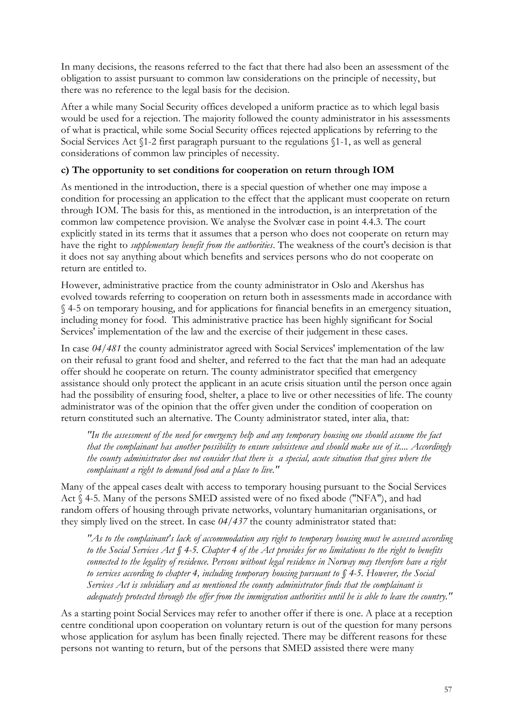In many decisions, the reasons referred to the fact that there had also been an assessment of the obligation to assist pursuant to common law considerations on the principle of necessity, but there was no reference to the legal basis for the decision.

After a while many Social Security offices developed a uniform practice as to which legal basis would be used for a rejection. The majority followed the county administrator in his assessments of what is practical, while some Social Security offices rejected applications by referring to the Social Services Act §1-2 first paragraph pursuant to the regulations §1-1, as well as general considerations of common law principles of necessity.

## **c) The opportunity to set conditions for cooperation on return through IOM**

As mentioned in the introduction, there is a special question of whether one may impose a condition for processing an application to the effect that the applicant must cooperate on return through IOM. The basis for this, as mentioned in the introduction, is an interpretation of the common law competence provision. We analyse the Svolvær case in point 4.4.3. The court explicitly stated in its terms that it assumes that a person who does not cooperate on return may have the right to *supplementary benefit from the authorities*. The weakness of the court's decision is that it does not say anything about which benefits and services persons who do not cooperate on return are entitled to.

However, administrative practice from the county administrator in Oslo and Akershus has evolved towards referring to cooperation on return both in assessments made in accordance with § 4-5 on temporary housing, and for applications for financial benefits in an emergency situation, including money for food. This administrative practice has been highly significant for Social Services' implementation of the law and the exercise of their judgement in these cases.

In case *04/481* the county administrator agreed with Social Services' implementation of the law on their refusal to grant food and shelter, and referred to the fact that the man had an adequate offer should he cooperate on return. The county administrator specified that emergency assistance should only protect the applicant in an acute crisis situation until the person once again had the possibility of ensuring food, shelter, a place to live or other necessities of life. The county administrator was of the opinion that the offer given under the condition of cooperation on return constituted such an alternative. The County administrator stated, inter alia, that:

*"In the assessment of the need for emergency help and any temporary housing one should assume the fact that the complainant has another possibility to ensure subsistence and should make use of it.... Accordingly the county administrator does not consider that there is a special, acute situation that gives where the complainant a right to demand food and a place to live."*

Many of the appeal cases dealt with access to temporary housing pursuant to the Social Services Act § 4-5. Many of the persons SMED assisted were of no fixed abode ("NFA"), and had random offers of housing through private networks, voluntary humanitarian organisations, or they simply lived on the street. In case *04/437* the county administrator stated that:

*"As to the complainant's lack of accommodation any right to temporary housing must be assessed according to the Social Services Act § 4-5. Chapter 4 of the Act provides for no limitations to the right to benefits connected to the legality of residence. Persons without legal residence in Norway may therefore have a right to services according to chapter 4, including temporary housing pursuant to § 4-5. However, the Social Services Act is subsidiary and as mentioned the county administrator finds that the complainant is adequately protected through the offer from the immigration authorities until he is able to leave the country."*

As a starting point Social Services may refer to another offer if there is one. A place at a reception centre conditional upon cooperation on voluntary return is out of the question for many persons whose application for asylum has been finally rejected. There may be different reasons for these persons not wanting to return, but of the persons that SMED assisted there were many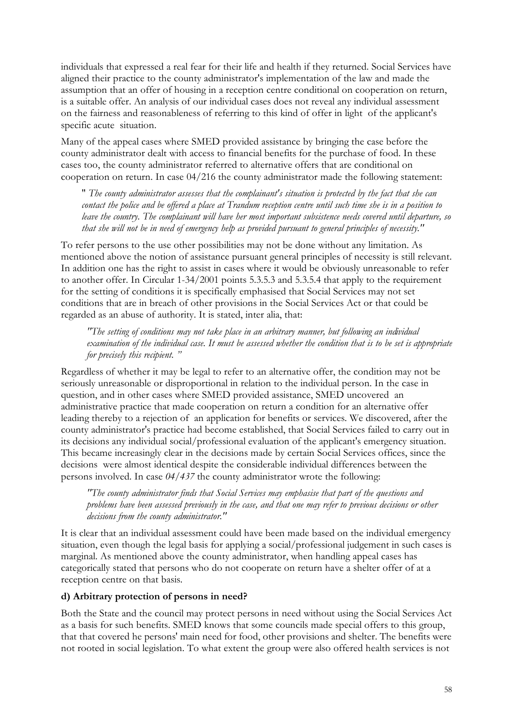individuals that expressed a real fear for their life and health if they returned. Social Services have aligned their practice to the county administrator's implementation of the law and made the assumption that an offer of housing in a reception centre conditional on cooperation on return, is a suitable offer. An analysis of our individual cases does not reveal any individual assessment on the fairness and reasonableness of referring to this kind of offer in light of the applicant's specific acute situation.

Many of the appeal cases where SMED provided assistance by bringing the case before the county administrator dealt with access to financial benefits for the purchase of food. In these cases too, the county administrator referred to alternative offers that are conditional on cooperation on return. In case 04/216 the county administrator made the following statement:

" *The county administrator assesses that the complainant's situation is protected by the fact that she can contact the police and be offered a place at Trandum reception centre until such time she is in a position to leave the country. The complainant will have her most important subsistence needs covered until departure, so that she will not be in need of emergency help as provided pursuant to general principles of necessity."*

To refer persons to the use other possibilities may not be done without any limitation. As mentioned above the notion of assistance pursuant general principles of necessity is still relevant. In addition one has the right to assist in cases where it would be obviously unreasonable to refer to another offer. In Circular 1-34/2001 points 5.3.5.3 and 5.3.5.4 that apply to the requirement for the setting of conditions it is specifically emphasised that Social Services may not set conditions that are in breach of other provisions in the Social Services Act or that could be regarded as an abuse of authority. It is stated, inter alia, that:

*"The setting of conditions may not take place in an arbitrary manner, but following an individual examination of the individual case. It must be assessed whether the condition that is to be set is appropriate for precisely this recipient. "*

Regardless of whether it may be legal to refer to an alternative offer, the condition may not be seriously unreasonable or disproportional in relation to the individual person. In the case in question, and in other cases where SMED provided assistance, SMED uncovered an administrative practice that made cooperation on return a condition for an alternative offer leading thereby to a rejection of an application for benefits or services. We discovered, after the county administrator's practice had become established, that Social Services failed to carry out in its decisions any individual social/professional evaluation of the applicant's emergency situation. This became increasingly clear in the decisions made by certain Social Services offices, since the decisions were almost identical despite the considerable individual differences between the persons involved. In case *04/437* the county administrator wrote the following:

*"The county administrator finds that Social Services may emphasise that part of the questions and problems have been assessed previously in the case, and that one may refer to previous decisions or other decisions from the county administrator."*

It is clear that an individual assessment could have been made based on the individual emergency situation, even though the legal basis for applying a social/professional judgement in such cases is marginal. As mentioned above the county administrator, when handling appeal cases has categorically stated that persons who do not cooperate on return have a shelter offer of at a reception centre on that basis.

#### **d) Arbitrary protection of persons in need?**

Both the State and the council may protect persons in need without using the Social Services Act as a basis for such benefits. SMED knows that some councils made special offers to this group, that that covered he persons' main need for food, other provisions and shelter. The benefits were not rooted in social legislation. To what extent the group were also offered health services is not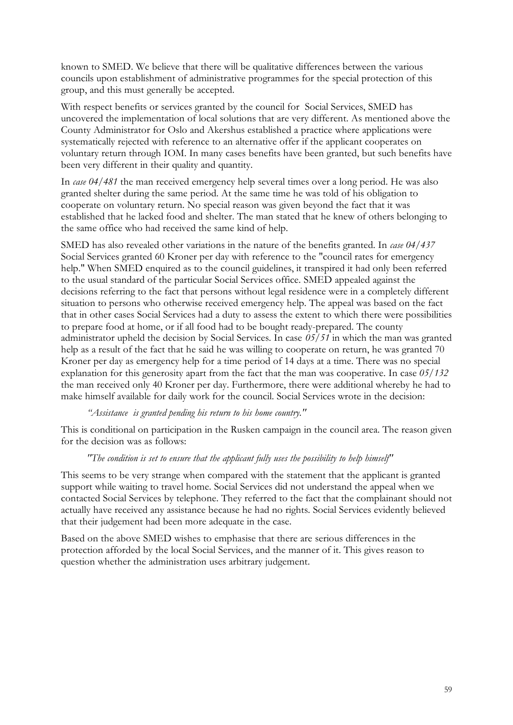known to SMED. We believe that there will be qualitative differences between the various councils upon establishment of administrative programmes for the special protection of this group, and this must generally be accepted.

With respect benefits or services granted by the council for Social Services, SMED has uncovered the implementation of local solutions that are very different. As mentioned above the County Administrator for Oslo and Akershus established a practice where applications were systematically rejected with reference to an alternative offer if the applicant cooperates on voluntary return through IOM. In many cases benefits have been granted, but such benefits have been very different in their quality and quantity.

In *case 04/481* the man received emergency help several times over a long period. He was also granted shelter during the same period. At the same time he was told of his obligation to cooperate on voluntary return. No special reason was given beyond the fact that it was established that he lacked food and shelter. The man stated that he knew of others belonging to the same office who had received the same kind of help.

SMED has also revealed other variations in the nature of the benefits granted. In *case 04/437* Social Services granted 60 Kroner per day with reference to the "council rates for emergency help." When SMED enquired as to the council guidelines, it transpired it had only been referred to the usual standard of the particular Social Services office. SMED appealed against the decisions referring to the fact that persons without legal residence were in a completely different situation to persons who otherwise received emergency help. The appeal was based on the fact that in other cases Social Services had a duty to assess the extent to which there were possibilities to prepare food at home, or if all food had to be bought ready-prepared. The county administrator upheld the decision by Social Services. In case *05/51* in which the man was granted help as a result of the fact that he said he was willing to cooperate on return, he was granted 70 Kroner per day as emergency help for a time period of 14 days at a time. There was no special explanation for this generosity apart from the fact that the man was cooperative. In case *05/132*  the man received only 40 Kroner per day. Furthermore, there were additional whereby he had to make himself available for daily work for the council. Social Services wrote in the decision:

#### *"Assistance is granted pending his return to his home country."*

This is conditional on participation in the Rusken campaign in the council area. The reason given for the decision was as follows:

#### *"The condition is set to ensure that the applicant fully uses the possibility to help himself"*

This seems to be very strange when compared with the statement that the applicant is granted support while waiting to travel home. Social Services did not understand the appeal when we contacted Social Services by telephone. They referred to the fact that the complainant should not actually have received any assistance because he had no rights. Social Services evidently believed that their judgement had been more adequate in the case.

Based on the above SMED wishes to emphasise that there are serious differences in the protection afforded by the local Social Services, and the manner of it. This gives reason to question whether the administration uses arbitrary judgement.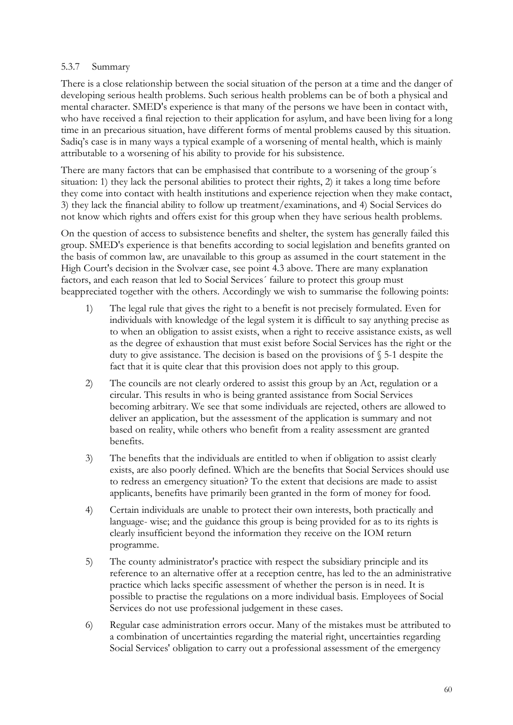#### 5.3.7 Summary

There is a close relationship between the social situation of the person at a time and the danger of developing serious health problems. Such serious health problems can be of both a physical and mental character. SMED's experience is that many of the persons we have been in contact with, who have received a final rejection to their application for asylum, and have been living for a long time in an precarious situation, have different forms of mental problems caused by this situation. Sadiq's case is in many ways a typical example of a worsening of mental health, which is mainly attributable to a worsening of his ability to provide for his subsistence.

There are many factors that can be emphasised that contribute to a worsening of the group´s situation: 1) they lack the personal abilities to protect their rights, 2) it takes a long time before they come into contact with health institutions and experience rejection when they make contact, 3) they lack the financial ability to follow up treatment/examinations, and 4) Social Services do not know which rights and offers exist for this group when they have serious health problems.

On the question of access to subsistence benefits and shelter, the system has generally failed this group. SMED's experience is that benefits according to social legislation and benefits granted on the basis of common law, are unavailable to this group as assumed in the court statement in the High Court's decision in the Svolvær case, see point 4.3 above. There are many explanation factors, and each reason that led to Social Services´ failure to protect this group must beappreciated together with the others. Accordingly we wish to summarise the following points:

- 1) The legal rule that gives the right to a benefit is not precisely formulated. Even for individuals with knowledge of the legal system it is difficult to say anything precise as to when an obligation to assist exists, when a right to receive assistance exists, as well as the degree of exhaustion that must exist before Social Services has the right or the duty to give assistance. The decision is based on the provisions of § 5-1 despite the fact that it is quite clear that this provision does not apply to this group.
- 2) The councils are not clearly ordered to assist this group by an Act, regulation or a circular. This results in who is being granted assistance from Social Services becoming arbitrary. We see that some individuals are rejected, others are allowed to deliver an application, but the assessment of the application is summary and not based on reality, while others who benefit from a reality assessment are granted benefits.
- 3) The benefits that the individuals are entitled to when if obligation to assist clearly exists, are also poorly defined. Which are the benefits that Social Services should use to redress an emergency situation? To the extent that decisions are made to assist applicants, benefits have primarily been granted in the form of money for food.
- 4) Certain individuals are unable to protect their own interests, both practically and language- wise; and the guidance this group is being provided for as to its rights is clearly insufficient beyond the information they receive on the IOM return programme.
- 5) The county administrator's practice with respect the subsidiary principle and its reference to an alternative offer at a reception centre, has led to the an administrative practice which lacks specific assessment of whether the person is in need. It is possible to practise the regulations on a more individual basis. Employees of Social Services do not use professional judgement in these cases.
- 6) Regular case administration errors occur. Many of the mistakes must be attributed to a combination of uncertainties regarding the material right, uncertainties regarding Social Services' obligation to carry out a professional assessment of the emergency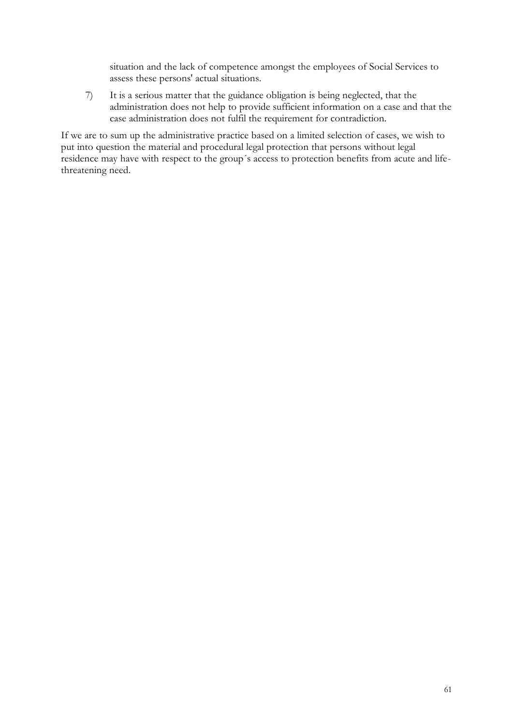situation and the lack of competence amongst the employees of Social Services to assess these persons' actual situations.

7) It is a serious matter that the guidance obligation is being neglected, that the administration does not help to provide sufficient information on a case and that the case administration does not fulfil the requirement for contradiction.

If we are to sum up the administrative practice based on a limited selection of cases, we wish to put into question the material and procedural legal protection that persons without legal residence may have with respect to the group´s access to protection benefits from acute and lifethreatening need.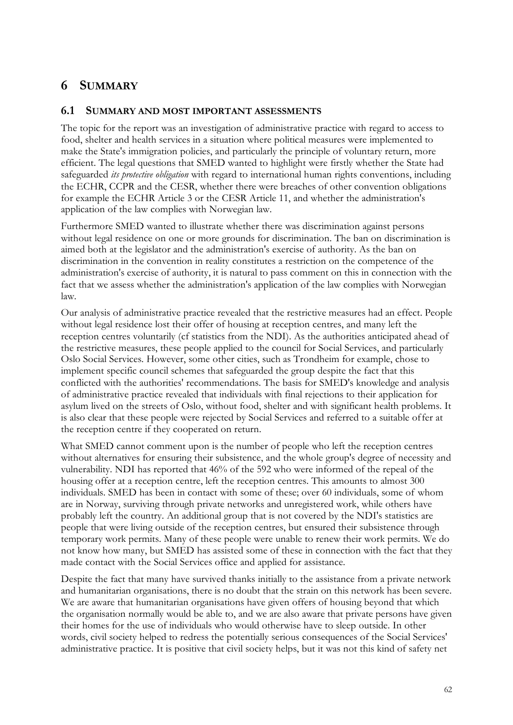# **6 SUMMARY**

## **6.1 SUMMARY AND MOST IMPORTANT ASSESSMENTS**

The topic for the report was an investigation of administrative practice with regard to access to food, shelter and health services in a situation where political measures were implemented to make the State's immigration policies, and particularly the principle of voluntary return, more efficient. The legal questions that SMED wanted to highlight were firstly whether the State had safeguarded *its protective obligation* with regard to international human rights conventions, including the ECHR, CCPR and the CESR, whether there were breaches of other convention obligations for example the ECHR Article 3 or the CESR Article 11, and whether the administration's application of the law complies with Norwegian law.

Furthermore SMED wanted to illustrate whether there was discrimination against persons without legal residence on one or more grounds for discrimination. The ban on discrimination is aimed both at the legislator and the administration's exercise of authority. As the ban on discrimination in the convention in reality constitutes a restriction on the competence of the administration's exercise of authority, it is natural to pass comment on this in connection with the fact that we assess whether the administration's application of the law complies with Norwegian law.

Our analysis of administrative practice revealed that the restrictive measures had an effect. People without legal residence lost their offer of housing at reception centres, and many left the reception centres voluntarily (cf statistics from the NDI). As the authorities anticipated ahead of the restrictive measures, these people applied to the council for Social Services, and particularly Oslo Social Services. However, some other cities, such as Trondheim for example, chose to implement specific council schemes that safeguarded the group despite the fact that this conflicted with the authorities' recommendations. The basis for SMED's knowledge and analysis of administrative practice revealed that individuals with final rejections to their application for asylum lived on the streets of Oslo, without food, shelter and with significant health problems. It is also clear that these people were rejected by Social Services and referred to a suitable offer at the reception centre if they cooperated on return.

What SMED cannot comment upon is the number of people who left the reception centres without alternatives for ensuring their subsistence, and the whole group's degree of necessity and vulnerability. NDI has reported that 46% of the 592 who were informed of the repeal of the housing offer at a reception centre, left the reception centres. This amounts to almost 300 individuals. SMED has been in contact with some of these; over 60 individuals, some of whom are in Norway, surviving through private networks and unregistered work, while others have probably left the country. An additional group that is not covered by the NDI's statistics are people that were living outside of the reception centres, but ensured their subsistence through temporary work permits. Many of these people were unable to renew their work permits. We do not know how many, but SMED has assisted some of these in connection with the fact that they made contact with the Social Services office and applied for assistance.

Despite the fact that many have survived thanks initially to the assistance from a private network and humanitarian organisations, there is no doubt that the strain on this network has been severe. We are aware that humanitarian organisations have given offers of housing beyond that which the organisation normally would be able to, and we are also aware that private persons have given their homes for the use of individuals who would otherwise have to sleep outside. In other words, civil society helped to redress the potentially serious consequences of the Social Services' administrative practice. It is positive that civil society helps, but it was not this kind of safety net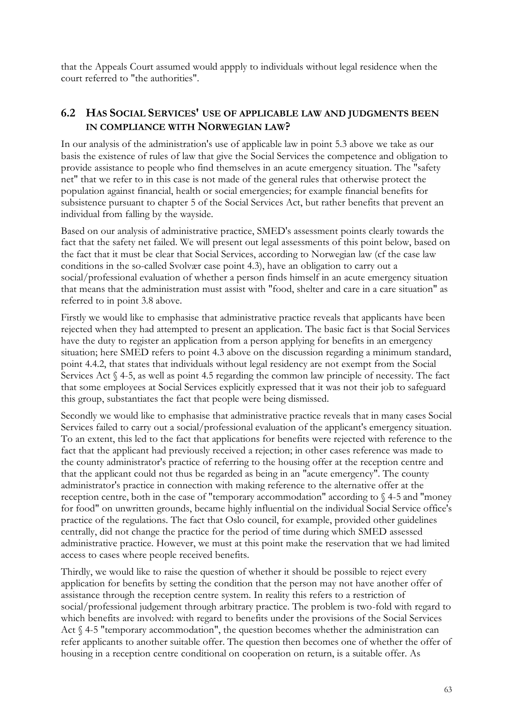that the Appeals Court assumed would appply to individuals without legal residence when the court referred to "the authorities".

# **6.2 HAS SOCIAL SERVICES' USE OF APPLICABLE LAW AND JUDGMENTS BEEN IN COMPLIANCE WITH NORWEGIAN LAW?**

In our analysis of the administration's use of applicable law in point 5.3 above we take as our basis the existence of rules of law that give the Social Services the competence and obligation to provide assistance to people who find themselves in an acute emergency situation. The "safety net" that we refer to in this case is not made of the general rules that otherwise protect the population against financial, health or social emergencies; for example financial benefits for subsistence pursuant to chapter 5 of the Social Services Act, but rather benefits that prevent an individual from falling by the wayside.

Based on our analysis of administrative practice, SMED's assessment points clearly towards the fact that the safety net failed. We will present out legal assessments of this point below, based on the fact that it must be clear that Social Services, according to Norwegian law (cf the case law conditions in the so-called Svolvær case point 4.3), have an obligation to carry out a social/professional evaluation of whether a person finds himself in an acute emergency situation that means that the administration must assist with "food, shelter and care in a care situation" as referred to in point 3.8 above.

Firstly we would like to emphasise that administrative practice reveals that applicants have been rejected when they had attempted to present an application. The basic fact is that Social Services have the duty to register an application from a person applying for benefits in an emergency situation; here SMED refers to point 4.3 above on the discussion regarding a minimum standard, point 4.4.2, that states that individuals without legal residency are not exempt from the Social Services Act § 4-5, as well as point 4.5 regarding the common law principle of necessity. The fact that some employees at Social Services explicitly expressed that it was not their job to safeguard this group, substantiates the fact that people were being dismissed.

Secondly we would like to emphasise that administrative practice reveals that in many cases Social Services failed to carry out a social/professional evaluation of the applicant's emergency situation. To an extent, this led to the fact that applications for benefits were rejected with reference to the fact that the applicant had previously received a rejection; in other cases reference was made to the county administrator's practice of referring to the housing offer at the reception centre and that the applicant could not thus be regarded as being in an "acute emergency". The county administrator's practice in connection with making reference to the alternative offer at the reception centre, both in the case of "temporary accommodation" according to § 4-5 and "money for food" on unwritten grounds, became highly influential on the individual Social Service office's practice of the regulations. The fact that Oslo council, for example, provided other guidelines centrally, did not change the practice for the period of time during which SMED assessed administrative practice. However, we must at this point make the reservation that we had limited access to cases where people received benefits.

Thirdly, we would like to raise the question of whether it should be possible to reject every application for benefits by setting the condition that the person may not have another offer of assistance through the reception centre system. In reality this refers to a restriction of social/professional judgement through arbitrary practice. The problem is two-fold with regard to which benefits are involved: with regard to benefits under the provisions of the Social Services Act § 4-5 "temporary accommodation", the question becomes whether the administration can refer applicants to another suitable offer. The question then becomes one of whether the offer of housing in a reception centre conditional on cooperation on return, is a suitable offer. As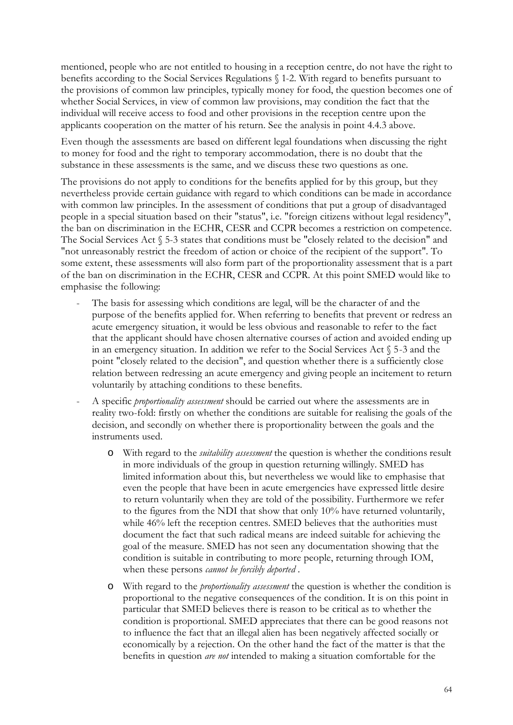mentioned, people who are not entitled to housing in a reception centre, do not have the right to benefits according to the Social Services Regulations § 1-2. With regard to benefits pursuant to the provisions of common law principles, typically money for food, the question becomes one of whether Social Services, in view of common law provisions, may condition the fact that the individual will receive access to food and other provisions in the reception centre upon the applicants cooperation on the matter of his return. See the analysis in point 4.4.3 above.

Even though the assessments are based on different legal foundations when discussing the right to money for food and the right to temporary accommodation, there is no doubt that the substance in these assessments is the same, and we discuss these two questions as one.

The provisions do not apply to conditions for the benefits applied for by this group, but they nevertheless provide certain guidance with regard to which conditions can be made in accordance with common law principles. In the assessment of conditions that put a group of disadvantaged people in a special situation based on their "status", i.e. "foreign citizens without legal residency", the ban on discrimination in the ECHR, CESR and CCPR becomes a restriction on competence. The Social Services Act § 5-3 states that conditions must be "closely related to the decision" and "not unreasonably restrict the freedom of action or choice of the recipient of the support". To some extent, these assessments will also form part of the proportionality assessment that is a part of the ban on discrimination in the ECHR, CESR and CCPR. At this point SMED would like to emphasise the following:

- The basis for assessing which conditions are legal, will be the character of and the purpose of the benefits applied for. When referring to benefits that prevent or redress an acute emergency situation, it would be less obvious and reasonable to refer to the fact that the applicant should have chosen alternative courses of action and avoided ending up in an emergency situation. In addition we refer to the Social Services Act § 5-3 and the point "closely related to the decision", and question whether there is a sufficiently close relation between redressing an acute emergency and giving people an incitement to return voluntarily by attaching conditions to these benefits.
- A specific *proportionality assessment* should be carried out where the assessments are in reality two-fold: firstly on whether the conditions are suitable for realising the goals of the decision, and secondly on whether there is proportionality between the goals and the instruments used.
	- o With regard to the *suitability assessment* the question is whether the conditions result in more individuals of the group in question returning willingly. SMED has limited information about this, but nevertheless we would like to emphasise that even the people that have been in acute emergencies have expressed little desire to return voluntarily when they are told of the possibility. Furthermore we refer to the figures from the NDI that show that only 10% have returned voluntarily, while 46% left the reception centres. SMED believes that the authorities must document the fact that such radical means are indeed suitable for achieving the goal of the measure. SMED has not seen any documentation showing that the condition is suitable in contributing to more people, returning through IOM, when these persons *cannot be forcibly deported* .
	- o With regard to the *proportionality assessment* the question is whether the condition is proportional to the negative consequences of the condition. It is on this point in particular that SMED believes there is reason to be critical as to whether the condition is proportional. SMED appreciates that there can be good reasons not to influence the fact that an illegal alien has been negatively affected socially or economically by a rejection. On the other hand the fact of the matter is that the benefits in question *are not* intended to making a situation comfortable for the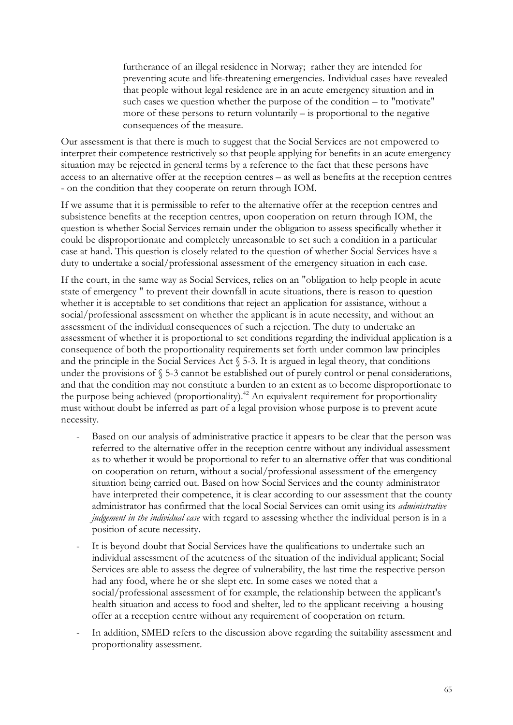furtherance of an illegal residence in Norway; rather they are intended for preventing acute and life-threatening emergencies. Individual cases have revealed that people without legal residence are in an acute emergency situation and in such cases we question whether the purpose of the condition – to "motivate" more of these persons to return voluntarily – is proportional to the negative consequences of the measure.

Our assessment is that there is much to suggest that the Social Services are not empowered to interpret their competence restrictively so that people applying for benefits in an acute emergency situation may be rejected in general terms by a reference to the fact that these persons have access to an alternative offer at the reception centres – as well as benefits at the reception centres - on the condition that they cooperate on return through IOM.

If we assume that it is permissible to refer to the alternative offer at the reception centres and subsistence benefits at the reception centres, upon cooperation on return through IOM, the question is whether Social Services remain under the obligation to assess specifically whether it could be disproportionate and completely unreasonable to set such a condition in a particular case at hand. This question is closely related to the question of whether Social Services have a duty to undertake a social/professional assessment of the emergency situation in each case.

If the court, in the same way as Social Services, relies on an "obligation to help people in acute state of emergency " to prevent their downfall in acute situations, there is reason to question whether it is acceptable to set conditions that reject an application for assistance, without a social/professional assessment on whether the applicant is in acute necessity, and without an assessment of the individual consequences of such a rejection. The duty to undertake an assessment of whether it is proportional to set conditions regarding the individual application is a consequence of both the proportionality requirements set forth under common law principles and the principle in the Social Services Act  $\S$  5-3. It is argued in legal theory, that conditions under the provisions of § 5-3 cannot be established out of purely control or penal considerations, and that the condition may not constitute a burden to an extent as to become disproportionate to the purpose being achieved (proportionality).<sup>42</sup> An equivalent requirement for proportionality must without doubt be inferred as part of a legal provision whose purpose is to prevent acute necessity.

- Based on our analysis of administrative practice it appears to be clear that the person was referred to the alternative offer in the reception centre without any individual assessment as to whether it would be proportional to refer to an alternative offer that was conditional on cooperation on return, without a social/professional assessment of the emergency situation being carried out. Based on how Social Services and the county administrator have interpreted their competence, it is clear according to our assessment that the county administrator has confirmed that the local Social Services can omit using its *administrative judgement in the individual case* with regard to assessing whether the individual person is in a position of acute necessity.
- It is beyond doubt that Social Services have the qualifications to undertake such an individual assessment of the acuteness of the situation of the individual applicant; Social Services are able to assess the degree of vulnerability, the last time the respective person had any food, where he or she slept etc. In some cases we noted that a social/professional assessment of for example, the relationship between the applicant's health situation and access to food and shelter, led to the applicant receiving a housing offer at a reception centre without any requirement of cooperation on return.
- In addition, SMED refers to the discussion above regarding the suitability assessment and proportionality assessment.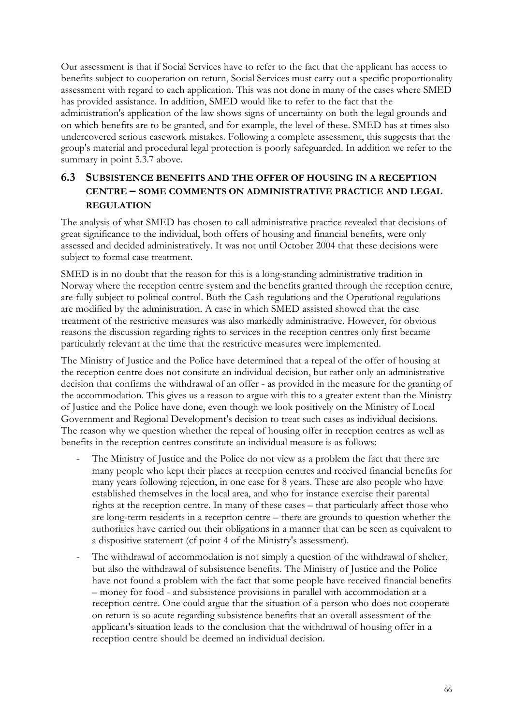Our assessment is that if Social Services have to refer to the fact that the applicant has access to benefits subject to cooperation on return, Social Services must carry out a specific proportionality assessment with regard to each application. This was not done in many of the cases where SMED has provided assistance. In addition, SMED would like to refer to the fact that the administration's application of the law shows signs of uncertainty on both the legal grounds and on which benefits are to be granted, and for example, the level of these. SMED has at times also undercovered serious casework mistakes. Following a complete assessment, this suggests that the group's material and procedural legal protection is poorly safeguarded. In addition we refer to the summary in point 5.3.7 above.

# **6.3 SUBSISTENCE BENEFITS AND THE OFFER OF HOUSING IN A RECEPTION CENTRE – SOME COMMENTS ON ADMINISTRATIVE PRACTICE AND LEGAL REGULATION**

The analysis of what SMED has chosen to call administrative practice revealed that decisions of great significance to the individual, both offers of housing and financial benefits, were only assessed and decided administratively. It was not until October 2004 that these decisions were subject to formal case treatment.

SMED is in no doubt that the reason for this is a long-standing administrative tradition in Norway where the reception centre system and the benefits granted through the reception centre, are fully subject to political control. Both the Cash regulations and the Operational regulations are modified by the administration. A case in which SMED assisted showed that the case treatment of the restrictive measures was also markedly administrative. However, for obvious reasons the discussion regarding rights to services in the reception centres only first became particularly relevant at the time that the restrictive measures were implemented.

The Ministry of Justice and the Police have determined that a repeal of the offer of housing at the reception centre does not consitute an individual decision, but rather only an administrative decision that confirms the withdrawal of an offer - as provided in the measure for the granting of the accommodation. This gives us a reason to argue with this to a greater extent than the Ministry of Justice and the Police have done, even though we look positively on the Ministry of Local Government and Regional Development's decision to treat such cases as individual decisions. The reason why we question whether the repeal of housing offer in reception centres as well as benefits in the reception centres constitute an individual measure is as follows:

- The Ministry of Justice and the Police do not view as a problem the fact that there are many people who kept their places at reception centres and received financial benefits for many years following rejection, in one case for 8 years. These are also people who have established themselves in the local area, and who for instance exercise their parental rights at the reception centre. In many of these cases – that particularly affect those who are long-term residents in a reception centre – there are grounds to question whether the authorities have carried out their obligations in a manner that can be seen as equivalent to a dispositive statement (cf point 4 of the Ministry's assessment).
- The withdrawal of accommodation is not simply a question of the withdrawal of shelter, but also the withdrawal of subsistence benefits. The Ministry of Justice and the Police have not found a problem with the fact that some people have received financial benefits – money for food - and subsistence provisions in parallel with accommodation at a reception centre. One could argue that the situation of a person who does not cooperate on return is so acute regarding subsistence benefits that an overall assessment of the applicant's situation leads to the conclusion that the withdrawal of housing offer in a reception centre should be deemed an individual decision.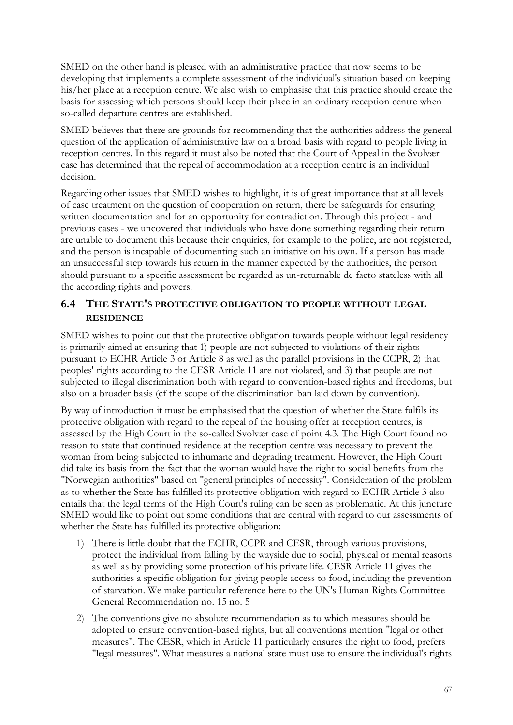SMED on the other hand is pleased with an administrative practice that now seems to be developing that implements a complete assessment of the individual's situation based on keeping his/her place at a reception centre. We also wish to emphasise that this practice should create the basis for assessing which persons should keep their place in an ordinary reception centre when so-called departure centres are established.

SMED believes that there are grounds for recommending that the authorities address the general question of the application of administrative law on a broad basis with regard to people living in reception centres. In this regard it must also be noted that the Court of Appeal in the Svolvær case has determined that the repeal of accommodation at a reception centre is an individual decision.

Regarding other issues that SMED wishes to highlight, it is of great importance that at all levels of case treatment on the question of cooperation on return, there be safeguards for ensuring written documentation and for an opportunity for contradiction. Through this project - and previous cases - we uncovered that individuals who have done something regarding their return are unable to document this because their enquiries, for example to the police, are not registered, and the person is incapable of documenting such an initiative on his own. If a person has made an unsuccessful step towards his return in the manner expected by the authorities, the person should pursuant to a specific assessment be regarded as un-returnable de facto stateless with all the according rights and powers.

# **6.4 THE STATE'S PROTECTIVE OBLIGATION TO PEOPLE WITHOUT LEGAL RESIDENCE**

SMED wishes to point out that the protective obligation towards people without legal residency is primarily aimed at ensuring that 1) people are not subjected to violations of their rights pursuant to ECHR Article 3 or Article 8 as well as the parallel provisions in the CCPR, 2) that peoples' rights according to the CESR Article 11 are not violated, and 3) that people are not subjected to illegal discrimination both with regard to convention-based rights and freedoms, but also on a broader basis (cf the scope of the discrimination ban laid down by convention).

By way of introduction it must be emphasised that the question of whether the State fulfils its protective obligation with regard to the repeal of the housing offer at reception centres, is assessed by the High Court in the so-called Svolvær case cf point 4.3. The High Court found no reason to state that continued residence at the reception centre was necessary to prevent the woman from being subjected to inhumane and degrading treatment. However, the High Court did take its basis from the fact that the woman would have the right to social benefits from the "Norwegian authorities" based on "general principles of necessity". Consideration of the problem as to whether the State has fulfilled its protective obligation with regard to ECHR Article 3 also entails that the legal terms of the High Court's ruling can be seen as problematic. At this juncture SMED would like to point out some conditions that are central with regard to our assessments of whether the State has fulfilled its protective obligation:

- 1) There is little doubt that the ECHR, CCPR and CESR, through various provisions, protect the individual from falling by the wayside due to social, physical or mental reasons as well as by providing some protection of his private life. CESR Article 11 gives the authorities a specific obligation for giving people access to food, including the prevention of starvation. We make particular reference here to the UN's Human Rights Committee General Recommendation no. 15 no. 5
- 2) The conventions give no absolute recommendation as to which measures should be adopted to ensure convention-based rights, but all conventions mention "legal or other measures". The CESR, which in Article 11 particularly ensures the right to food, prefers "legal measures". What measures a national state must use to ensure the individual's rights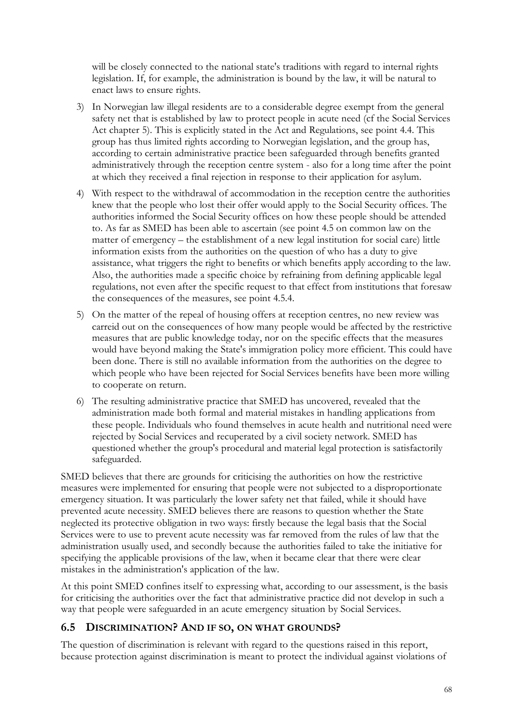will be closely connected to the national state's traditions with regard to internal rights legislation. If, for example, the administration is bound by the law, it will be natural to enact laws to ensure rights.

- 3) In Norwegian law illegal residents are to a considerable degree exempt from the general safety net that is established by law to protect people in acute need (cf the Social Services Act chapter 5). This is explicitly stated in the Act and Regulations, see point 4.4. This group has thus limited rights according to Norwegian legislation, and the group has, according to certain administrative practice been safeguarded through benefits granted administratively through the reception centre system - also for a long time after the point at which they received a final rejection in response to their application for asylum.
- 4) With respect to the withdrawal of accommodation in the reception centre the authorities knew that the people who lost their offer would apply to the Social Security offices. The authorities informed the Social Security offices on how these people should be attended to. As far as SMED has been able to ascertain (see point 4.5 on common law on the matter of emergency – the establishment of a new legal institution for social care) little information exists from the authorities on the question of who has a duty to give assistance, what triggers the right to benefits or which benefits apply according to the law. Also, the authorities made a specific choice by refraining from defining applicable legal regulations, not even after the specific request to that effect from institutions that foresaw the consequences of the measures, see point 4.5.4.
- 5) On the matter of the repeal of housing offers at reception centres, no new review was carreid out on the consequences of how many people would be affected by the restrictive measures that are public knowledge today, nor on the specific effects that the measures would have beyond making the State's immigration policy more efficient. This could have been done. There is still no available information from the authorities on the degree to which people who have been rejected for Social Services benefits have been more willing to cooperate on return.
- 6) The resulting administrative practice that SMED has uncovered, revealed that the administration made both formal and material mistakes in handling applications from these people. Individuals who found themselves in acute health and nutritional need were rejected by Social Services and recuperated by a civil society network. SMED has questioned whether the group's procedural and material legal protection is satisfactorily safeguarded.

SMED believes that there are grounds for criticising the authorities on how the restrictive measures were implemented for ensuring that people were not subjected to a disproportionate emergency situation. It was particularly the lower safety net that failed, while it should have prevented acute necessity. SMED believes there are reasons to question whether the State neglected its protective obligation in two ways: firstly because the legal basis that the Social Services were to use to prevent acute necessity was far removed from the rules of law that the administration usually used, and secondly because the authorities failed to take the initiative for specifying the applicable provisions of the law, when it became clear that there were clear mistakes in the administration's application of the law.

At this point SMED confines itself to expressing what, according to our assessment, is the basis for criticising the authorities over the fact that administrative practice did not develop in such a way that people were safeguarded in an acute emergency situation by Social Services.

## **6.5 DISCRIMINATION? AND IF SO, ON WHAT GROUNDS?**

The question of discrimination is relevant with regard to the questions raised in this report, because protection against discrimination is meant to protect the individual against violations of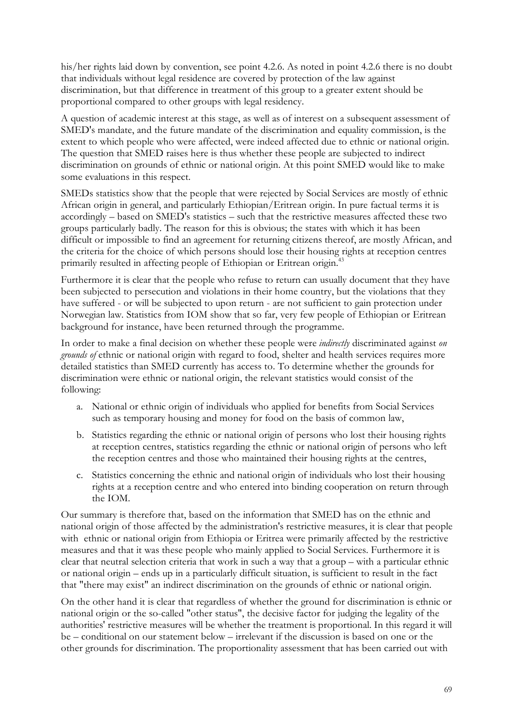his/her rights laid down by convention, see point 4.2.6. As noted in point 4.2.6 there is no doubt that individuals without legal residence are covered by protection of the law against discrimination, but that difference in treatment of this group to a greater extent should be proportional compared to other groups with legal residency.

A question of academic interest at this stage, as well as of interest on a subsequent assessment of SMED's mandate, and the future mandate of the discrimination and equality commission, is the extent to which people who were affected, were indeed affected due to ethnic or national origin. The question that SMED raises here is thus whether these people are subjected to indirect discrimination on grounds of ethnic or national origin. At this point SMED would like to make some evaluations in this respect.

SMEDs statistics show that the people that were rejected by Social Services are mostly of ethnic African origin in general, and particularly Ethiopian/Eritrean origin. In pure factual terms it is accordingly – based on SMED's statistics – such that the restrictive measures affected these two groups particularly badly. The reason for this is obvious; the states with which it has been difficult or impossible to find an agreement for returning citizens thereof, are mostly African, and the criteria for the choice of which persons should lose their housing rights at reception centres primarily resulted in affecting people of Ethiopian or Eritrean origin.<sup>43</sup>

Furthermore it is clear that the people who refuse to return can usually document that they have been subjected to persecution and violations in their home country, but the violations that they have suffered - or will be subjected to upon return - are not sufficient to gain protection under Norwegian law. Statistics from IOM show that so far, very few people of Ethiopian or Eritrean background for instance, have been returned through the programme.

In order to make a final decision on whether these people were *indirectly* discriminated against *on grounds of* ethnic or national origin with regard to food, shelter and health services requires more detailed statistics than SMED currently has access to. To determine whether the grounds for discrimination were ethnic or national origin, the relevant statistics would consist of the following:

- a. National or ethnic origin of individuals who applied for benefits from Social Services such as temporary housing and money for food on the basis of common law,
- b. Statistics regarding the ethnic or national origin of persons who lost their housing rights at reception centres, statistics regarding the ethnic or national origin of persons who left the reception centres and those who maintained their housing rights at the centres,
- c. Statistics concerning the ethnic and national origin of individuals who lost their housing rights at a reception centre and who entered into binding cooperation on return through the IOM.

Our summary is therefore that, based on the information that SMED has on the ethnic and national origin of those affected by the administration's restrictive measures, it is clear that people with ethnic or national origin from Ethiopia or Eritrea were primarily affected by the restrictive measures and that it was these people who mainly applied to Social Services. Furthermore it is clear that neutral selection criteria that work in such a way that a group – with a particular ethnic or national origin – ends up in a particularly difficult situation, is sufficient to result in the fact that "there may exist" an indirect discrimination on the grounds of ethnic or national origin.

On the other hand it is clear that regardless of whether the ground for discrimination is ethnic or national origin or the so-called "other status", the decisive factor for judging the legality of the authorities' restrictive measures will be whether the treatment is proportional. In this regard it will be – conditional on our statement below – irrelevant if the discussion is based on one or the other grounds for discrimination. The proportionality assessment that has been carried out with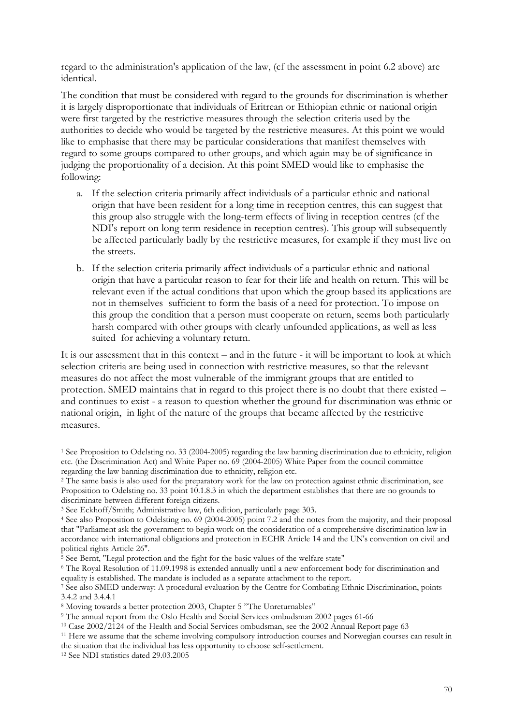regard to the administration's application of the law, (cf the assessment in point 6.2 above) are identical.

The condition that must be considered with regard to the grounds for discrimination is whether it is largely disproportionate that individuals of Eritrean or Ethiopian ethnic or national origin were first targeted by the restrictive measures through the selection criteria used by the authorities to decide who would be targeted by the restrictive measures. At this point we would like to emphasise that there may be particular considerations that manifest themselves with regard to some groups compared to other groups, and which again may be of significance in judging the proportionality of a decision. At this point SMED would like to emphasise the following:

- a. If the selection criteria primarily affect individuals of a particular ethnic and national origin that have been resident for a long time in reception centres, this can suggest that this group also struggle with the long-term effects of living in reception centres (cf the NDI's report on long term residence in reception centres). This group will subsequently be affected particularly badly by the restrictive measures, for example if they must live on the streets.
- b. If the selection criteria primarily affect individuals of a particular ethnic and national origin that have a particular reason to fear for their life and health on return. This will be relevant even if the actual conditions that upon which the group based its applications are not in themselves sufficient to form the basis of a need for protection. To impose on this group the condition that a person must cooperate on return, seems both particularly harsh compared with other groups with clearly unfounded applications, as well as less suited for achieving a voluntary return.

It is our assessment that in this context – and in the future - it will be important to look at which selection criteria are being used in connection with restrictive measures, so that the relevant measures do not affect the most vulnerable of the immigrant groups that are entitled to protection. SMED maintains that in regard to this project there is no doubt that there existed – and continues to exist - a reason to question whether the ground for discrimination was ethnic or national origin, in light of the nature of the groups that became affected by the restrictive measures.

 $\overline{a}$ 1 See Proposition to Odelsting no. 33 (2004-2005) regarding the law banning discrimination due to ethnicity, religion etc. (the Discrimination Act) and White Paper no. 69 (2004-2005) White Paper from the council committee regarding the law banning discrimination due to ethnicity, religion etc.

<sup>&</sup>lt;sup>2</sup> The same basis is also used for the preparatory work for the law on protection against ethnic discrimination, see Proposition to Odelsting no. 33 point 10.1.8.3 in which the department establishes that there are no grounds to discriminate between different foreign citizens.

<sup>&</sup>lt;sup>3</sup> See Eckhoff/Smith; Administrative law, 6th edition, particularly page 303.

<sup>4</sup> See also Proposition to Odelsting no. 69 (2004-2005) point 7.2 and the notes from the majority, and their proposal that "Parliament ask the government to begin work on the consideration of a comprehensive discrimination law in accordance with international obligations and protection in ECHR Article 14 and the UN's convention on civil and political rights Article 26".

<sup>&</sup>lt;sup>5</sup> See Bernt, "Legal protection and the fight for the basic values of the welfare state"

<sup>6</sup> The Royal Resolution of 11.09.1998 is extended annually until a new enforcement body for discrimination and equality is established. The mandate is included as a separate attachment to the report.

<sup>7</sup> See also SMED underway: A procedural evaluation by the Centre for Combating Ethnic Discrimination, points 3.4.2 and 3.4.4.1

<sup>8</sup> Moving towards a better protection 2003, Chapter 5 "The Unreturnables"

<sup>9</sup> The annual report from the Oslo Health and Social Services ombudsman 2002 pages 61-66

<sup>&</sup>lt;sup>10</sup> Case 2002/2124 of the Health and Social Services ombudsman, see the 2002 Annual Report page 63

<sup>11</sup> Here we assume that the scheme involving compulsory introduction courses and Norwegian courses can result in the situation that the individual has less opportunity to choose self-settlement.

<sup>12</sup> See NDI statistics dated 29.03.2005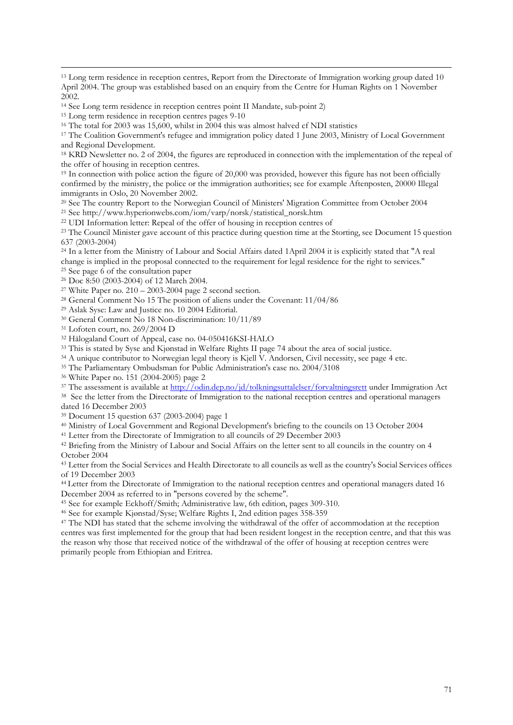$\overline{a}$ 

<sup>17</sup> The Coalition Government's refugee and immigration policy dated 1 June 2003, Ministry of Local Government and Regional Development.

<sup>18</sup> KRD Newsletter no. 2 of 2004, the figures are reproduced in connection with the implementation of the repeal of the offer of housing in reception centres.

<sup>19</sup> In connection with police action the figure of 20,000 was provided, however this figure has not been officially confirmed by the ministry, the police or the immigration authorities; see for example Aftenposten, 20000 Illegal immigrants in Oslo, 20 November 2002.

<sup>20</sup> See The country Report to the Norwegian Council of Ministers' Migration Committee from October 2004

<sup>21</sup> See http://www.hyperionwebs.com/iom/varp/norsk/statistical\_norsk.htm

<sup>22</sup> UDI Information letter: Repeal of the offer of housing in reception centres of

<sup>23</sup> The Council Minister gave account of this practice during question time at the Storting, see Document 15 question 637 (2003-2004)

<sup>24</sup> In a letter from the Ministry of Labour and Social Affairs dated 1April 2004 it is explicitly stated that "A real change is implied in the proposal connected to the requirement for legal residence for the right to services."

<sup>25</sup> See page 6 of the consultation paper

<sup>26</sup> Doc 8:50 (2003-2004) of 12 March 2004.

<sup>27</sup> White Paper no.  $210 - 2003 - 2004$  page 2 second section.

<sup>28</sup> General Comment No 15 The position of aliens under the Covenant: 11/04/86

<sup>29</sup> Aslak Syse: Law and Justice no. 10 2004 Editorial.

<sup>30</sup> General Comment No 18 Non-discrimination: 10/11/89

<sup>31</sup> Lofoten court, no. 269/2004 D

<sup>32</sup> Hålogaland Court of Appeal, case no. 04-050416KSI-HALO

<sup>33</sup> This is stated by Syse and Kjønstad in Welfare Rights II page 74 about the area of social justice.

<sup>34</sup> A unique contributor to Norwegian legal theory is Kjell V. Andorsen, Civil necessity, see page 4 etc.

<sup>35</sup> The Parliamentary Ombudsman for Public Administration's case no. 2004/3108

<sup>36</sup> White Paper no. 151 (2004-2005) page 2

<sup>37</sup> The assessment is available at http://odin.dep.no/jd/tolkningsuttalelser/forvaltningsrett under Immigration Act

<sup>38</sup> See the letter from the Directorate of Immigration to the national reception centres and operational managers dated 16 December 2003

<sup>39</sup> Document 15 question 637 (2003-2004) page 1

<sup>40</sup> Ministry of Local Government and Regional Development's briefing to the councils on 13 October 2004

<sup>41</sup> Letter from the Directorate of Immigration to all councils of 29 December 2003

<sup>42</sup> Briefing from the Ministry of Labour and Social Affairs on the letter sent to all councils in the country on 4 October 2004

<sup>43</sup> Letter from the Social Services and Health Directorate to all councils as well as the country's Social Services offices of 19 December 2003

<sup>44</sup>Letter from the Directorate of Immigration to the national reception centres and operational managers dated 16 December 2004 as referred to in "persons covered by the scheme".

<sup>45</sup> See for example Eckhoff/Smith; Administrative law, 6th edition, pages 309-310.

<sup>46</sup> See for example Kjønstad/Syse; Welfare Rights I, 2nd edition pages 358-359

<sup>47</sup> The NDI has stated that the scheme involving the withdrawal of the offer of accommodation at the reception centres was first implemented for the group that had been resident longest in the reception centre, and that this was the reason why those that received notice of the withdrawal of the offer of housing at reception centres were primarily people from Ethiopian and Eritrea.

<sup>&</sup>lt;sup>13</sup> Long term residence in reception centres, Report from the Directorate of Immigration working group dated 10 April 2004. The group was established based on an enquiry from the Centre for Human Rights on 1 November 2002.

<sup>14</sup> See Long term residence in reception centres point II Mandate, sub-point 2)

<sup>&</sup>lt;sup>15</sup> Long term residence in reception centres pages 9-10

<sup>16</sup> The total for 2003 was 15,600, whilst in 2004 this was almost halved cf NDI statistics